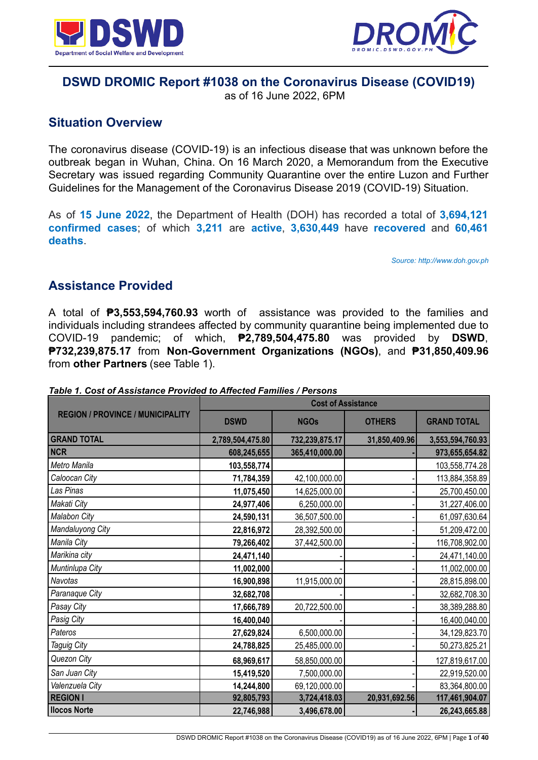



# **DSWD DROMIC Report #1038 on the Coronavirus Disease (COVID19)**

as of 16 June 2022, 6PM

# **Situation Overview**

The coronavirus disease (COVID-19) is an infectious disease that was unknown before the outbreak began in Wuhan, China. On 16 March 2020, a Memorandum from the Executive Secretary was issued regarding Community Quarantine over the entire Luzon and Further Guidelines for the Management of the Coronavirus Disease 2019 (COVID-19) Situation.

As of **15 June 2022**, the Department of Health (DOH) has recorded a total of **3,694,121 confirmed cases**; of which **3,211** are **active**, **3,630,449** have **recovered** and **60,461 deaths**.

*Source: http://www.doh.gov.ph*

# **Assistance Provided**

A total of **₱3,553,594,760.93** worth of assistance was provided to the families and individuals including strandees affected by community quarantine being implemented due to COVID-19 pandemic; of which, **₱2,789,504,475.80** was provided by **DSWD**, **₱732,239,875.17** from **Non-Government Organizations (NGOs)**, and **₱31,850,409.96** from **other Partners** (see Table 1).

|                                         | <b>Cost of Assistance</b> |                |               |                    |
|-----------------------------------------|---------------------------|----------------|---------------|--------------------|
| <b>REGION / PROVINCE / MUNICIPALITY</b> | <b>DSWD</b>               | <b>NGOs</b>    | <b>OTHERS</b> | <b>GRAND TOTAL</b> |
| <b>GRAND TOTAL</b>                      | 2,789,504,475.80          | 732,239,875.17 | 31,850,409.96 | 3,553,594,760.93   |
| <b>NCR</b>                              | 608,245,655               | 365,410,000.00 |               | 973,655,654.82     |
| Metro Manila                            | 103,558,774               |                |               | 103,558,774.28     |
| Caloocan City                           | 71,784,359                | 42,100,000.00  |               | 113,884,358.89     |
| Las Pinas                               | 11,075,450                | 14,625,000.00  |               | 25,700,450.00      |
| Makati City                             | 24,977,406                | 6,250,000.00   |               | 31,227,406.00      |
| <b>Malabon City</b>                     | 24,590,131                | 36,507,500.00  |               | 61,097,630.64      |
| Mandaluyong City                        | 22,816,972                | 28,392,500.00  |               | 51,209,472.00      |
| Manila City                             | 79,266,402                | 37,442,500.00  |               | 116,708,902.00     |
| Marikina city                           | 24,471,140                |                |               | 24,471,140.00      |
| Muntinlupa City                         | 11,002,000                |                |               | 11,002,000.00      |
| Navotas                                 | 16,900,898                | 11,915,000.00  |               | 28,815,898.00      |
| Paranaque City                          | 32,682,708                |                |               | 32,682,708.30      |
| Pasay City                              | 17,666,789                | 20,722,500.00  |               | 38,389,288.80      |
| Pasig City                              | 16,400,040                |                |               | 16,400,040.00      |
| Pateros                                 | 27,629,824                | 6,500,000.00   |               | 34,129,823.70      |
| <b>Taguig City</b>                      | 24,788,825                | 25,485,000.00  |               | 50,273,825.21      |
| Quezon City                             | 68,969,617                | 58,850,000.00  |               | 127,819,617.00     |
| San Juan City                           | 15,419,520                | 7,500,000.00   |               | 22,919,520.00      |
| Valenzuela City                         | 14,244,800                | 69,120,000.00  |               | 83,364,800.00      |
| <b>REGION I</b>                         | 92,805,793                | 3,724,418.03   | 20,931,692.56 | 117,461,904.07     |
| <b>Ilocos Norte</b>                     | 22,746,988                | 3,496,678.00   |               | 26,243,665.88      |

#### *Table 1. Cost of Assistance Provided to Affected Families / Persons*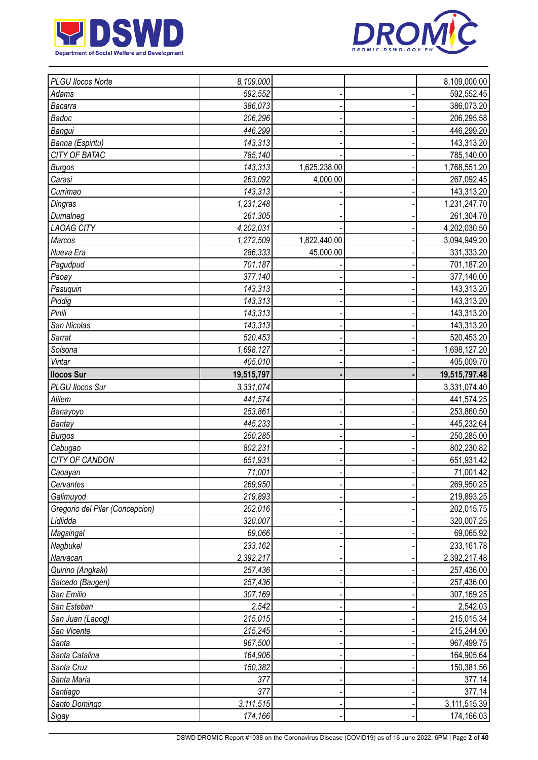



| PLGU Ilocos Norte               | 8,109,000            |              | 8,109,000.00               |
|---------------------------------|----------------------|--------------|----------------------------|
| Adams                           | 592,552              |              | 592,552.45                 |
| Bacarra                         | 386,073              |              | 386,073.20                 |
| Badoc                           | 206,296              |              | 206,295.58                 |
| Bangui                          | 446,299              |              | 446,299.20                 |
| Banna (Espiritu)                | 143,313              |              | 143,313.20                 |
| CITY OF BATAC                   | 785,140              |              | 785,140.00                 |
| <b>Burgos</b>                   | 143,313              | 1,625,238.00 | 1,768,551.20               |
| Carasi                          | 263,092              | 4,000.00     | 267,092.45                 |
| Currimao                        | 143,313              |              | 143,313.20                 |
| Dingras                         | 1,231,248            |              | 1,231,247.70               |
| Dumalneg                        | 261,305              |              | 261,304.70                 |
| <b>LAOAG CITY</b>               | 4,202,031            |              | 4,202,030.50               |
| Marcos                          | 1,272,509            | 1,822,440.00 | 3,094,949.20               |
| Nueva Era                       | 286,333              | 45,000.00    | 331,333.20                 |
| Pagudpud                        | 701,187              |              | 701,187.20                 |
| Paoay                           | 377,140              |              | 377,140.00                 |
| Pasuquin                        | 143,313              |              | 143,313.20                 |
| Piddig                          | 143,313              |              | 143,313.20                 |
| Pinili                          | 143,313              |              | 143,313.20                 |
| San Nicolas                     | 143,313              |              | 143,313.20                 |
| Sarrat                          | 520,453              |              | 520,453.20                 |
| Solsona                         | 1,698,127            |              | 1,698,127.20               |
| Vintar                          | 405,010              |              | 405,009.70                 |
| <b>Ilocos Sur</b>               | 19,515,797           |              | 19,515,797.48              |
| PLGU Ilocos Sur                 | 3,331,074            |              | 3,331,074.40               |
| Alilem                          | 441,574              |              | 441,574.25                 |
| Banayoyo                        | 253,861              |              | 253,860.50                 |
| Bantay                          | 445,233              |              | 445,232.64                 |
| <b>Burgos</b>                   | 250,285              |              | 250,285.00                 |
| Cabugao                         | 802,231              |              | 802,230.82                 |
| CITY OF CANDON                  | 651,931              |              | 651,931.42                 |
| Caoayan                         | 71,001               |              | 71,001.42                  |
| Cervantes                       | 269,950              |              | 269,950.25                 |
| Galimuyod                       | 219,893              |              | 219,893.25                 |
| Gregorio del Pilar (Concepcion) | 202,016              |              | 202,015.75                 |
| Lidlidda                        | 320,007              |              | 320,007.25                 |
| Magsingal                       | 69,066               |              | 69,065.92                  |
| Nagbukel                        | 233,162              |              | 233,161.78                 |
| Narvacan                        | 2,392,217            |              | 2,392,217.48               |
| Quirino (Angkaki)               | 257,436              |              | 257,436.00                 |
| Salcedo (Baugen)                | 257,436              |              | 257,436.00                 |
| San Emilio                      | 307,169              |              | 307,169.25                 |
| San Esteban                     | 2,542                |              | 2,542.03                   |
| San Juan (Lapog)                | 215,015              |              | 215,015.34                 |
| San Vicente                     | 215,245              |              | 215,244.90                 |
| Santa                           | 967,500              |              | 967,499.75                 |
| Santa Catalina                  |                      |              | 164,905.64                 |
| Santa Cruz                      |                      |              |                            |
|                                 | 164,906              |              |                            |
|                                 | 150,382              |              | 150,381.56                 |
| Santa Maria                     | 377                  |              | 377.14                     |
| Santiago                        | 377                  |              | 377.14                     |
| Santo Domingo<br>Sigay          | 3,111,515<br>174,166 |              | 3,111,515.39<br>174,166.03 |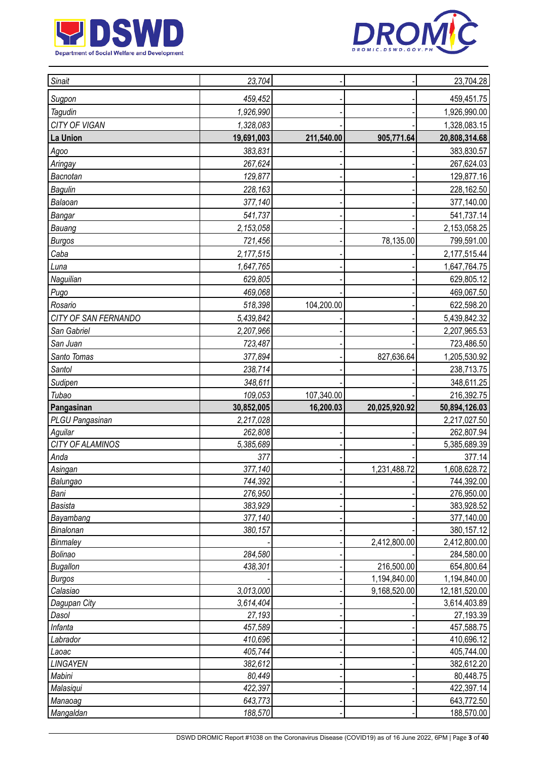



| Sugpon<br>459,452<br>459,451.75<br>Tagudin<br>1,926,990<br>1,926,990.00<br>CITY OF VIGAN<br>1,328,083<br>1,328,083.15<br>La Union<br>211,540.00<br>905,771.64<br>20,808,314.68<br>19,691,003<br>383,830.57<br>383,831<br>Agoo<br>267,624<br>267,624.03<br>Aringay<br>Bacnotan<br>129,877<br>129,877.16<br>Bagulin<br>228,163<br>228,162.50<br>Balaoan<br>377,140.00<br>377,140<br>Bangar<br>541,737<br>541,737.14<br>2,153,058<br>2,153,058.25<br>Bauang<br>721,456<br>78,135.00<br><b>Burgos</b><br>799,591.00<br>Caba<br>2,177,515.44<br>2,177,515<br>1,647,765<br>1,647,764.75<br>Luna<br>629,805<br>629,805.12<br>Naguilian<br>469,068<br>469,067.50<br>Pugo<br>518,398<br>104,200.00<br>622,598.20<br>Rosario<br>CITY OF SAN FERNANDO<br>5,439,842<br>5,439,842.32<br>San Gabriel<br>2,207,965.53<br>2,207,966<br>San Juan<br>723,486.50<br>723,487<br>827,636.64<br>Santo Tomas<br>377,894<br>1,205,530.92<br>238,714<br>Santol<br>238,713.75<br>Sudipen<br>348,611<br>348,611.25<br>Tubao<br>109,053<br>107,340.00<br>216,392.75<br>Pangasinan<br>30,852,005<br>16,200.03<br>20,025,920.92<br>50,894,126.03<br>PLGU Pangasinan<br>2,217,028<br>2,217,027.50<br>262,808<br>262,807.94<br>Aguilar<br>CITY OF ALAMINOS<br>5,385,689<br>5,385,689.39<br>Anda<br>377<br>377.14<br>377,140<br>1,608,628.72<br>Asingan<br>1,231,488.72<br>Balungao<br>744,392<br>744,392.00<br>276,950<br>276,950.00<br>Bani<br>383,929<br>383,928.52<br><b>Basista</b><br>Bayambang<br>377,140<br>377,140.00<br>Binalonan<br>380,157<br>380,157.12<br>2,412,800.00<br>Binmaley<br>2,412,800.00<br>284,580<br>284,580.00<br>Bolinao<br>216,500.00<br><b>Bugallon</b><br>438,301<br>654,800.64<br>1,194,840.00<br>1,194,840.00<br><b>Burgos</b><br>9,168,520.00<br>3,013,000<br>12,181,520.00<br>Calasiao<br>3,614,404<br>3,614,403.89<br>Dagupan City<br>Dasol<br>27,193<br>27,193.39<br>Infanta<br>457,588.75<br>457,589<br>410,696.12<br>410,696<br>Labrador<br>405,744<br>405,744.00<br>Laoac<br>LINGAYEN<br>382,612<br>382,612.20<br>Mabini<br>80,449<br>80,448.75<br>422,397<br>422,397.14<br>Malasiqui<br>643,773<br>643,772.50<br>Manaoag | Sinait | 23,704 |  | 23,704.28 |
|----------------------------------------------------------------------------------------------------------------------------------------------------------------------------------------------------------------------------------------------------------------------------------------------------------------------------------------------------------------------------------------------------------------------------------------------------------------------------------------------------------------------------------------------------------------------------------------------------------------------------------------------------------------------------------------------------------------------------------------------------------------------------------------------------------------------------------------------------------------------------------------------------------------------------------------------------------------------------------------------------------------------------------------------------------------------------------------------------------------------------------------------------------------------------------------------------------------------------------------------------------------------------------------------------------------------------------------------------------------------------------------------------------------------------------------------------------------------------------------------------------------------------------------------------------------------------------------------------------------------------------------------------------------------------------------------------------------------------------------------------------------------------------------------------------------------------------------------------------------------------------------------------------------------------------------------------------------------------------------------------------------------------------------------------------------------------------------------------------------------------------|--------|--------|--|-----------|
|                                                                                                                                                                                                                                                                                                                                                                                                                                                                                                                                                                                                                                                                                                                                                                                                                                                                                                                                                                                                                                                                                                                                                                                                                                                                                                                                                                                                                                                                                                                                                                                                                                                                                                                                                                                                                                                                                                                                                                                                                                                                                                                                  |        |        |  |           |
|                                                                                                                                                                                                                                                                                                                                                                                                                                                                                                                                                                                                                                                                                                                                                                                                                                                                                                                                                                                                                                                                                                                                                                                                                                                                                                                                                                                                                                                                                                                                                                                                                                                                                                                                                                                                                                                                                                                                                                                                                                                                                                                                  |        |        |  |           |
|                                                                                                                                                                                                                                                                                                                                                                                                                                                                                                                                                                                                                                                                                                                                                                                                                                                                                                                                                                                                                                                                                                                                                                                                                                                                                                                                                                                                                                                                                                                                                                                                                                                                                                                                                                                                                                                                                                                                                                                                                                                                                                                                  |        |        |  |           |
|                                                                                                                                                                                                                                                                                                                                                                                                                                                                                                                                                                                                                                                                                                                                                                                                                                                                                                                                                                                                                                                                                                                                                                                                                                                                                                                                                                                                                                                                                                                                                                                                                                                                                                                                                                                                                                                                                                                                                                                                                                                                                                                                  |        |        |  |           |
|                                                                                                                                                                                                                                                                                                                                                                                                                                                                                                                                                                                                                                                                                                                                                                                                                                                                                                                                                                                                                                                                                                                                                                                                                                                                                                                                                                                                                                                                                                                                                                                                                                                                                                                                                                                                                                                                                                                                                                                                                                                                                                                                  |        |        |  |           |
|                                                                                                                                                                                                                                                                                                                                                                                                                                                                                                                                                                                                                                                                                                                                                                                                                                                                                                                                                                                                                                                                                                                                                                                                                                                                                                                                                                                                                                                                                                                                                                                                                                                                                                                                                                                                                                                                                                                                                                                                                                                                                                                                  |        |        |  |           |
|                                                                                                                                                                                                                                                                                                                                                                                                                                                                                                                                                                                                                                                                                                                                                                                                                                                                                                                                                                                                                                                                                                                                                                                                                                                                                                                                                                                                                                                                                                                                                                                                                                                                                                                                                                                                                                                                                                                                                                                                                                                                                                                                  |        |        |  |           |
|                                                                                                                                                                                                                                                                                                                                                                                                                                                                                                                                                                                                                                                                                                                                                                                                                                                                                                                                                                                                                                                                                                                                                                                                                                                                                                                                                                                                                                                                                                                                                                                                                                                                                                                                                                                                                                                                                                                                                                                                                                                                                                                                  |        |        |  |           |
|                                                                                                                                                                                                                                                                                                                                                                                                                                                                                                                                                                                                                                                                                                                                                                                                                                                                                                                                                                                                                                                                                                                                                                                                                                                                                                                                                                                                                                                                                                                                                                                                                                                                                                                                                                                                                                                                                                                                                                                                                                                                                                                                  |        |        |  |           |
|                                                                                                                                                                                                                                                                                                                                                                                                                                                                                                                                                                                                                                                                                                                                                                                                                                                                                                                                                                                                                                                                                                                                                                                                                                                                                                                                                                                                                                                                                                                                                                                                                                                                                                                                                                                                                                                                                                                                                                                                                                                                                                                                  |        |        |  |           |
|                                                                                                                                                                                                                                                                                                                                                                                                                                                                                                                                                                                                                                                                                                                                                                                                                                                                                                                                                                                                                                                                                                                                                                                                                                                                                                                                                                                                                                                                                                                                                                                                                                                                                                                                                                                                                                                                                                                                                                                                                                                                                                                                  |        |        |  |           |
|                                                                                                                                                                                                                                                                                                                                                                                                                                                                                                                                                                                                                                                                                                                                                                                                                                                                                                                                                                                                                                                                                                                                                                                                                                                                                                                                                                                                                                                                                                                                                                                                                                                                                                                                                                                                                                                                                                                                                                                                                                                                                                                                  |        |        |  |           |
|                                                                                                                                                                                                                                                                                                                                                                                                                                                                                                                                                                                                                                                                                                                                                                                                                                                                                                                                                                                                                                                                                                                                                                                                                                                                                                                                                                                                                                                                                                                                                                                                                                                                                                                                                                                                                                                                                                                                                                                                                                                                                                                                  |        |        |  |           |
|                                                                                                                                                                                                                                                                                                                                                                                                                                                                                                                                                                                                                                                                                                                                                                                                                                                                                                                                                                                                                                                                                                                                                                                                                                                                                                                                                                                                                                                                                                                                                                                                                                                                                                                                                                                                                                                                                                                                                                                                                                                                                                                                  |        |        |  |           |
|                                                                                                                                                                                                                                                                                                                                                                                                                                                                                                                                                                                                                                                                                                                                                                                                                                                                                                                                                                                                                                                                                                                                                                                                                                                                                                                                                                                                                                                                                                                                                                                                                                                                                                                                                                                                                                                                                                                                                                                                                                                                                                                                  |        |        |  |           |
|                                                                                                                                                                                                                                                                                                                                                                                                                                                                                                                                                                                                                                                                                                                                                                                                                                                                                                                                                                                                                                                                                                                                                                                                                                                                                                                                                                                                                                                                                                                                                                                                                                                                                                                                                                                                                                                                                                                                                                                                                                                                                                                                  |        |        |  |           |
|                                                                                                                                                                                                                                                                                                                                                                                                                                                                                                                                                                                                                                                                                                                                                                                                                                                                                                                                                                                                                                                                                                                                                                                                                                                                                                                                                                                                                                                                                                                                                                                                                                                                                                                                                                                                                                                                                                                                                                                                                                                                                                                                  |        |        |  |           |
|                                                                                                                                                                                                                                                                                                                                                                                                                                                                                                                                                                                                                                                                                                                                                                                                                                                                                                                                                                                                                                                                                                                                                                                                                                                                                                                                                                                                                                                                                                                                                                                                                                                                                                                                                                                                                                                                                                                                                                                                                                                                                                                                  |        |        |  |           |
|                                                                                                                                                                                                                                                                                                                                                                                                                                                                                                                                                                                                                                                                                                                                                                                                                                                                                                                                                                                                                                                                                                                                                                                                                                                                                                                                                                                                                                                                                                                                                                                                                                                                                                                                                                                                                                                                                                                                                                                                                                                                                                                                  |        |        |  |           |
|                                                                                                                                                                                                                                                                                                                                                                                                                                                                                                                                                                                                                                                                                                                                                                                                                                                                                                                                                                                                                                                                                                                                                                                                                                                                                                                                                                                                                                                                                                                                                                                                                                                                                                                                                                                                                                                                                                                                                                                                                                                                                                                                  |        |        |  |           |
|                                                                                                                                                                                                                                                                                                                                                                                                                                                                                                                                                                                                                                                                                                                                                                                                                                                                                                                                                                                                                                                                                                                                                                                                                                                                                                                                                                                                                                                                                                                                                                                                                                                                                                                                                                                                                                                                                                                                                                                                                                                                                                                                  |        |        |  |           |
|                                                                                                                                                                                                                                                                                                                                                                                                                                                                                                                                                                                                                                                                                                                                                                                                                                                                                                                                                                                                                                                                                                                                                                                                                                                                                                                                                                                                                                                                                                                                                                                                                                                                                                                                                                                                                                                                                                                                                                                                                                                                                                                                  |        |        |  |           |
|                                                                                                                                                                                                                                                                                                                                                                                                                                                                                                                                                                                                                                                                                                                                                                                                                                                                                                                                                                                                                                                                                                                                                                                                                                                                                                                                                                                                                                                                                                                                                                                                                                                                                                                                                                                                                                                                                                                                                                                                                                                                                                                                  |        |        |  |           |
|                                                                                                                                                                                                                                                                                                                                                                                                                                                                                                                                                                                                                                                                                                                                                                                                                                                                                                                                                                                                                                                                                                                                                                                                                                                                                                                                                                                                                                                                                                                                                                                                                                                                                                                                                                                                                                                                                                                                                                                                                                                                                                                                  |        |        |  |           |
|                                                                                                                                                                                                                                                                                                                                                                                                                                                                                                                                                                                                                                                                                                                                                                                                                                                                                                                                                                                                                                                                                                                                                                                                                                                                                                                                                                                                                                                                                                                                                                                                                                                                                                                                                                                                                                                                                                                                                                                                                                                                                                                                  |        |        |  |           |
|                                                                                                                                                                                                                                                                                                                                                                                                                                                                                                                                                                                                                                                                                                                                                                                                                                                                                                                                                                                                                                                                                                                                                                                                                                                                                                                                                                                                                                                                                                                                                                                                                                                                                                                                                                                                                                                                                                                                                                                                                                                                                                                                  |        |        |  |           |
|                                                                                                                                                                                                                                                                                                                                                                                                                                                                                                                                                                                                                                                                                                                                                                                                                                                                                                                                                                                                                                                                                                                                                                                                                                                                                                                                                                                                                                                                                                                                                                                                                                                                                                                                                                                                                                                                                                                                                                                                                                                                                                                                  |        |        |  |           |
|                                                                                                                                                                                                                                                                                                                                                                                                                                                                                                                                                                                                                                                                                                                                                                                                                                                                                                                                                                                                                                                                                                                                                                                                                                                                                                                                                                                                                                                                                                                                                                                                                                                                                                                                                                                                                                                                                                                                                                                                                                                                                                                                  |        |        |  |           |
|                                                                                                                                                                                                                                                                                                                                                                                                                                                                                                                                                                                                                                                                                                                                                                                                                                                                                                                                                                                                                                                                                                                                                                                                                                                                                                                                                                                                                                                                                                                                                                                                                                                                                                                                                                                                                                                                                                                                                                                                                                                                                                                                  |        |        |  |           |
|                                                                                                                                                                                                                                                                                                                                                                                                                                                                                                                                                                                                                                                                                                                                                                                                                                                                                                                                                                                                                                                                                                                                                                                                                                                                                                                                                                                                                                                                                                                                                                                                                                                                                                                                                                                                                                                                                                                                                                                                                                                                                                                                  |        |        |  |           |
|                                                                                                                                                                                                                                                                                                                                                                                                                                                                                                                                                                                                                                                                                                                                                                                                                                                                                                                                                                                                                                                                                                                                                                                                                                                                                                                                                                                                                                                                                                                                                                                                                                                                                                                                                                                                                                                                                                                                                                                                                                                                                                                                  |        |        |  |           |
|                                                                                                                                                                                                                                                                                                                                                                                                                                                                                                                                                                                                                                                                                                                                                                                                                                                                                                                                                                                                                                                                                                                                                                                                                                                                                                                                                                                                                                                                                                                                                                                                                                                                                                                                                                                                                                                                                                                                                                                                                                                                                                                                  |        |        |  |           |
|                                                                                                                                                                                                                                                                                                                                                                                                                                                                                                                                                                                                                                                                                                                                                                                                                                                                                                                                                                                                                                                                                                                                                                                                                                                                                                                                                                                                                                                                                                                                                                                                                                                                                                                                                                                                                                                                                                                                                                                                                                                                                                                                  |        |        |  |           |
|                                                                                                                                                                                                                                                                                                                                                                                                                                                                                                                                                                                                                                                                                                                                                                                                                                                                                                                                                                                                                                                                                                                                                                                                                                                                                                                                                                                                                                                                                                                                                                                                                                                                                                                                                                                                                                                                                                                                                                                                                                                                                                                                  |        |        |  |           |
|                                                                                                                                                                                                                                                                                                                                                                                                                                                                                                                                                                                                                                                                                                                                                                                                                                                                                                                                                                                                                                                                                                                                                                                                                                                                                                                                                                                                                                                                                                                                                                                                                                                                                                                                                                                                                                                                                                                                                                                                                                                                                                                                  |        |        |  |           |
|                                                                                                                                                                                                                                                                                                                                                                                                                                                                                                                                                                                                                                                                                                                                                                                                                                                                                                                                                                                                                                                                                                                                                                                                                                                                                                                                                                                                                                                                                                                                                                                                                                                                                                                                                                                                                                                                                                                                                                                                                                                                                                                                  |        |        |  |           |
|                                                                                                                                                                                                                                                                                                                                                                                                                                                                                                                                                                                                                                                                                                                                                                                                                                                                                                                                                                                                                                                                                                                                                                                                                                                                                                                                                                                                                                                                                                                                                                                                                                                                                                                                                                                                                                                                                                                                                                                                                                                                                                                                  |        |        |  |           |
|                                                                                                                                                                                                                                                                                                                                                                                                                                                                                                                                                                                                                                                                                                                                                                                                                                                                                                                                                                                                                                                                                                                                                                                                                                                                                                                                                                                                                                                                                                                                                                                                                                                                                                                                                                                                                                                                                                                                                                                                                                                                                                                                  |        |        |  |           |
|                                                                                                                                                                                                                                                                                                                                                                                                                                                                                                                                                                                                                                                                                                                                                                                                                                                                                                                                                                                                                                                                                                                                                                                                                                                                                                                                                                                                                                                                                                                                                                                                                                                                                                                                                                                                                                                                                                                                                                                                                                                                                                                                  |        |        |  |           |
|                                                                                                                                                                                                                                                                                                                                                                                                                                                                                                                                                                                                                                                                                                                                                                                                                                                                                                                                                                                                                                                                                                                                                                                                                                                                                                                                                                                                                                                                                                                                                                                                                                                                                                                                                                                                                                                                                                                                                                                                                                                                                                                                  |        |        |  |           |
|                                                                                                                                                                                                                                                                                                                                                                                                                                                                                                                                                                                                                                                                                                                                                                                                                                                                                                                                                                                                                                                                                                                                                                                                                                                                                                                                                                                                                                                                                                                                                                                                                                                                                                                                                                                                                                                                                                                                                                                                                                                                                                                                  |        |        |  |           |
|                                                                                                                                                                                                                                                                                                                                                                                                                                                                                                                                                                                                                                                                                                                                                                                                                                                                                                                                                                                                                                                                                                                                                                                                                                                                                                                                                                                                                                                                                                                                                                                                                                                                                                                                                                                                                                                                                                                                                                                                                                                                                                                                  |        |        |  |           |
|                                                                                                                                                                                                                                                                                                                                                                                                                                                                                                                                                                                                                                                                                                                                                                                                                                                                                                                                                                                                                                                                                                                                                                                                                                                                                                                                                                                                                                                                                                                                                                                                                                                                                                                                                                                                                                                                                                                                                                                                                                                                                                                                  |        |        |  |           |
|                                                                                                                                                                                                                                                                                                                                                                                                                                                                                                                                                                                                                                                                                                                                                                                                                                                                                                                                                                                                                                                                                                                                                                                                                                                                                                                                                                                                                                                                                                                                                                                                                                                                                                                                                                                                                                                                                                                                                                                                                                                                                                                                  |        |        |  |           |
|                                                                                                                                                                                                                                                                                                                                                                                                                                                                                                                                                                                                                                                                                                                                                                                                                                                                                                                                                                                                                                                                                                                                                                                                                                                                                                                                                                                                                                                                                                                                                                                                                                                                                                                                                                                                                                                                                                                                                                                                                                                                                                                                  |        |        |  |           |
|                                                                                                                                                                                                                                                                                                                                                                                                                                                                                                                                                                                                                                                                                                                                                                                                                                                                                                                                                                                                                                                                                                                                                                                                                                                                                                                                                                                                                                                                                                                                                                                                                                                                                                                                                                                                                                                                                                                                                                                                                                                                                                                                  |        |        |  |           |
|                                                                                                                                                                                                                                                                                                                                                                                                                                                                                                                                                                                                                                                                                                                                                                                                                                                                                                                                                                                                                                                                                                                                                                                                                                                                                                                                                                                                                                                                                                                                                                                                                                                                                                                                                                                                                                                                                                                                                                                                                                                                                                                                  |        |        |  |           |
|                                                                                                                                                                                                                                                                                                                                                                                                                                                                                                                                                                                                                                                                                                                                                                                                                                                                                                                                                                                                                                                                                                                                                                                                                                                                                                                                                                                                                                                                                                                                                                                                                                                                                                                                                                                                                                                                                                                                                                                                                                                                                                                                  |        |        |  |           |
|                                                                                                                                                                                                                                                                                                                                                                                                                                                                                                                                                                                                                                                                                                                                                                                                                                                                                                                                                                                                                                                                                                                                                                                                                                                                                                                                                                                                                                                                                                                                                                                                                                                                                                                                                                                                                                                                                                                                                                                                                                                                                                                                  |        |        |  |           |
| Mangaldan<br>188,570<br>188,570.00                                                                                                                                                                                                                                                                                                                                                                                                                                                                                                                                                                                                                                                                                                                                                                                                                                                                                                                                                                                                                                                                                                                                                                                                                                                                                                                                                                                                                                                                                                                                                                                                                                                                                                                                                                                                                                                                                                                                                                                                                                                                                               |        |        |  |           |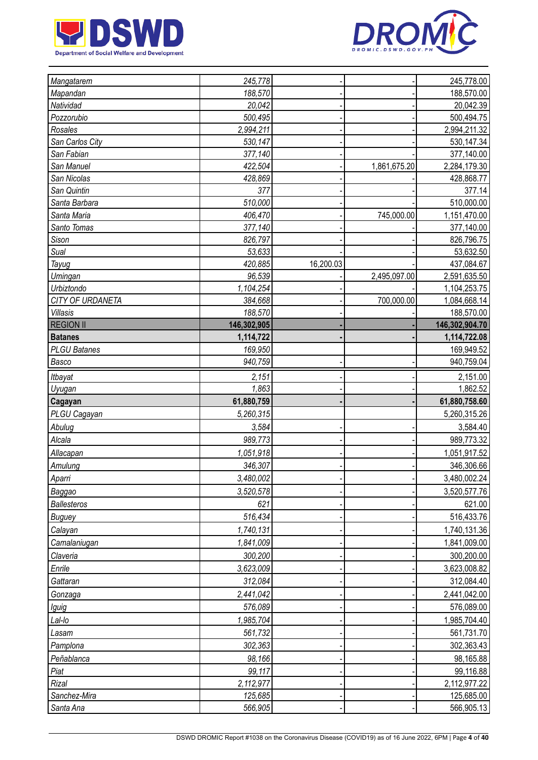



| Mangatarem                | 245,778            |           |              | 245,778.00               |
|---------------------------|--------------------|-----------|--------------|--------------------------|
| Mapandan                  | 188,570            |           |              | 188,570.00               |
| Natividad                 | 20,042             |           |              | 20,042.39                |
| Pozzorubio                | 500,495            |           |              | 500,494.75               |
| Rosales                   | 2,994,211          |           |              | 2,994,211.32             |
| San Carlos City           | 530,147            |           |              | 530,147.34               |
| San Fabian                | 377,140            |           |              | 377,140.00               |
| San Manuel                | 422,504            |           | 1,861,675.20 | 2,284,179.30             |
| San Nicolas               | 428,869            |           |              | 428,868.77               |
| San Quintin               | 377                |           |              | 377.14                   |
| Santa Barbara             | 510,000            |           |              | 510,000.00               |
| Santa Maria               | 406,470            |           | 745,000.00   | 1,151,470.00             |
| Santo Tomas               | 377,140            |           |              | 377,140.00               |
| Sison                     | 826,797            |           |              | 826,796.75               |
| Sual                      | 53,633             |           |              | 53,632.50                |
| Tayug                     | 420,885            | 16,200.03 |              | 437,084.67               |
| Umingan                   | 96,539             |           | 2,495,097.00 | 2,591,635.50             |
| Urbiztondo                | 1,104,254          |           |              | 1,104,253.75             |
| CITY OF URDANETA          | 384,668            |           | 700,000.00   | 1,084,668.14             |
| <b>Villasis</b>           | 188,570            |           |              | 188,570.00               |
| <b>REGION II</b>          | 146,302,905        |           |              | 146,302,904.70           |
| <b>Batanes</b>            | 1,114,722          |           |              | 1,114,722.08             |
| <b>PLGU Batanes</b>       | 169,950            |           |              | 169,949.52               |
| Basco                     | 940,759            |           |              | 940,759.04               |
| <b>Itbayat</b>            | 2,151              |           |              | 2,151.00                 |
| Uyugan                    | 1,863              |           |              | 1,862.52                 |
|                           |                    |           |              |                          |
| Cagayan                   | 61,880,759         |           |              | 61,880,758.60            |
| PLGU Cagayan              | 5,260,315          |           |              | 5,260,315.26             |
| Abulug                    | 3,584              |           |              | 3,584.40                 |
| Alcala                    | 989,773            |           |              | 989,773.32               |
|                           |                    |           |              |                          |
| Allacapan                 | 1,051,918          |           |              | 1,051,917.52             |
| Amulung                   | 346,307            |           |              | 346,306.66               |
| Aparri                    | 3,480,002          |           |              | 3,480,002.24             |
| Baggao                    | 3,520,578          |           |              | 3,520,577.76             |
| Ballesteros               | 621                |           |              | 621.00                   |
| <b>Buguey</b>             | 516,434            |           |              | 516,433.76               |
| Calayan                   | 1,740,131          |           |              | 1,740,131.36             |
| Camalaniugan              | 1,841,009          |           |              | 1,841,009.00             |
| Claveria                  | 300,200            |           |              | 300,200.00               |
| Enrile                    | 3,623,009          |           |              | 3,623,008.82             |
| Gattaran                  | 312,084            |           |              | 312,084.40               |
| Gonzaga                   | 2,441,042          |           |              | 2,441,042.00             |
| Iguig                     | 576,089            |           |              | 576,089.00               |
| Lal-lo                    | 1,985,704          |           |              | 1,985,704.40             |
| Lasam                     | 561,732            |           |              | 561,731.70               |
| Pamplona                  | 302,363            |           |              | 302,363.43               |
| Peñablanca                | 98,166             |           |              | 98,165.88                |
| Piat                      | 99,117             |           |              | 99,116.88                |
| Rizal                     | 2,112,977          |           |              | 2,112,977.22             |
| Sanchez-Mira<br>Santa Ana | 125,685<br>566,905 |           |              | 125,685.00<br>566,905.13 |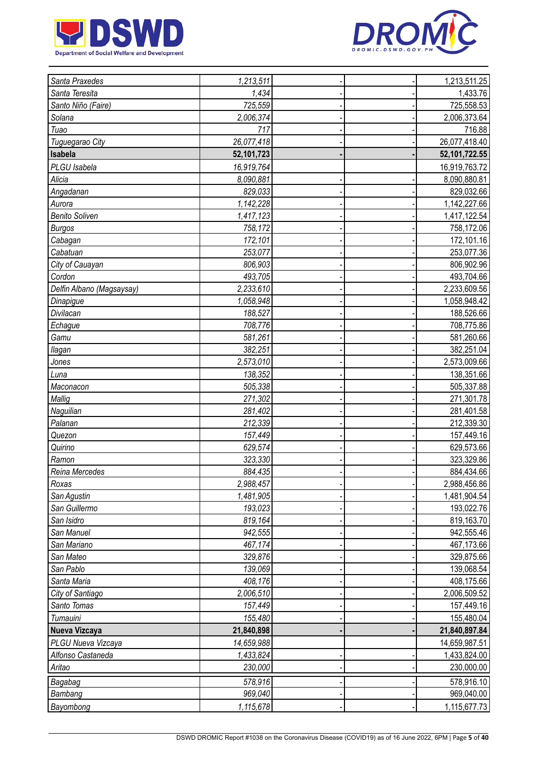



| Santa Praxedes            | 1,213,511  |  | 1,213,511.25  |
|---------------------------|------------|--|---------------|
| Santa Teresita            | 1,434      |  | 1,433.76      |
| Santo Niño (Faire)        | 725,559    |  | 725,558.53    |
| Solana                    | 2,006,374  |  | 2,006,373.64  |
| Tuao                      | 717        |  | 716.88        |
| Tuguegarao City           | 26,077,418 |  | 26,077,418.40 |
| Isabela                   | 52,101,723 |  | 52,101,722.55 |
| PLGU Isabela              | 16,919,764 |  | 16,919,763.72 |
| Alicia                    | 8,090,881  |  | 8,090,880.81  |
| Angadanan                 | 829,033    |  | 829,032.66    |
| Aurora                    | 1,142,228  |  | 1,142,227.66  |
| <b>Benito Soliven</b>     | 1,417,123  |  | 1,417,122.54  |
| <b>Burgos</b>             | 758,172    |  | 758,172.06    |
| Cabagan                   | 172,101    |  | 172,101.16    |
| Cabatuan                  | 253,077    |  | 253,077.36    |
| City of Cauayan           | 806,903    |  | 806,902.96    |
| Cordon                    | 493,705    |  | 493,704.66    |
| Delfin Albano (Magsaysay) | 2,233,610  |  | 2,233,609.56  |
| Dinapigue                 | 1,058,948  |  | 1,058,948.42  |
| Divilacan                 | 188,527    |  | 188,526.66    |
| Echague                   | 708,776    |  | 708,775.86    |
| Gamu                      | 581,261    |  | 581,260.66    |
| llagan                    | 382,251    |  | 382,251.04    |
| Jones                     | 2,573,010  |  | 2,573,009.66  |
| Luna                      | 138,352    |  | 138,351.66    |
| Maconacon                 | 505,338    |  | 505,337.88    |
| Mallig                    | 271,302    |  | 271,301.78    |
| Naguilian                 | 281,402    |  | 281,401.58    |
| Palanan                   | 212,339    |  | 212,339.30    |
| Quezon                    | 157,449    |  | 157,449.16    |
| Quirino                   | 629,574    |  | 629,573.66    |
| Ramon                     | 323,330    |  | 323,329.86    |
| Reina Mercedes            | 884,435    |  | 884,434.66    |
| Roxas                     | 2,988,457  |  | 2,988,456.86  |
| San Agustin               | 1,481,905  |  | 1,481,904.54  |
| San Guillermo             | 193,023    |  | 193,022.76    |
| San Isidro                | 819,164    |  | 819,163.70    |
| San Manuel                | 942,555    |  | 942,555.46    |
| San Mariano               | 467,174    |  | 467,173.66    |
| San Mateo                 | 329,876    |  | 329,875.66    |
| San Pablo                 | 139,069    |  | 139,068.54    |
| Santa Maria               | 408,176    |  | 408,175.66    |
| City of Santiago          | 2,006,510  |  | 2,006,509.52  |
| Santo Tomas               | 157,449    |  | 157,449.16    |
| Tumauini                  | 155,480    |  | 155,480.04    |
| Nueva Vizcaya             | 21,840,898 |  | 21,840,897.84 |
| PLGU Nueva Vizcaya        | 14,659,988 |  | 14,659,987.51 |
| Alfonso Castaneda         | 1,433,824  |  | 1,433,824.00  |
| Aritao                    | 230,000    |  | 230,000.00    |
| Bagabag                   | 578,916    |  | 578,916.10    |
| Bambang                   | 969,040    |  | 969,040.00    |
| Bayombong                 | 1,115,678  |  | 1,115,677.73  |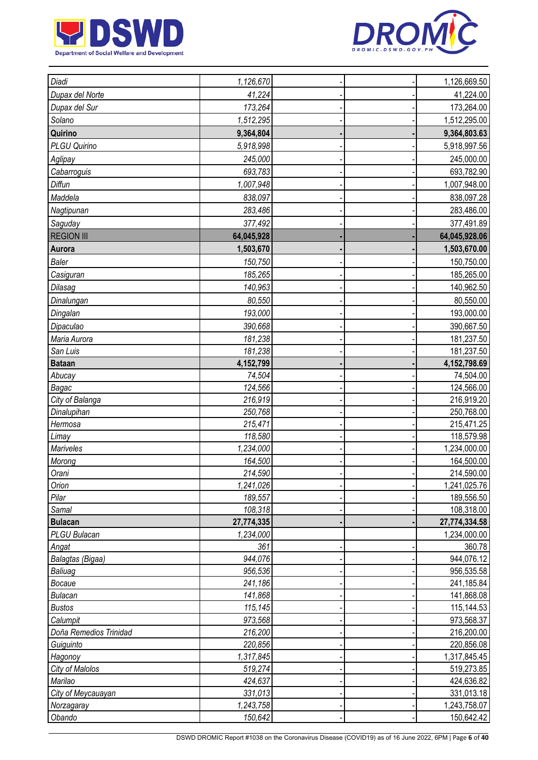



| Diadi                  | 1,126,670            |  | 1,126,669.50               |
|------------------------|----------------------|--|----------------------------|
| Dupax del Norte        | 41,224               |  | 41,224.00                  |
| Dupax del Sur          | 173,264              |  | 173,264.00                 |
| Solano                 | 1,512,295            |  | 1,512,295.00               |
| Quirino                | 9,364,804            |  | 9,364,803.63               |
| PLGU Quirino           | 5,918,998            |  | 5,918,997.56               |
| Aglipay                | 245,000              |  | 245,000.00                 |
| Cabarroguis            | 693,783              |  | 693,782.90                 |
| Diffun                 | 1,007,948            |  | 1,007,948.00               |
| Maddela                | 838,097              |  | 838,097.28                 |
| Nagtipunan             | 283,486              |  | 283,486.00                 |
| Saguday                | 377,492              |  | 377,491.89                 |
| <b>REGION III</b>      | 64,045,928           |  | 64,045,928.06              |
| Aurora                 | 1,503,670            |  | 1,503,670.00               |
| <b>Baler</b>           | 150,750              |  |                            |
|                        |                      |  | 150,750.00                 |
| Casiguran              | 185,265              |  | 185,265.00                 |
| Dilasag                | 140,963              |  | 140,962.50                 |
| Dinalungan             | 80,550               |  | 80,550.00                  |
| Dingalan               | 193,000              |  | 193,000.00                 |
| Dipaculao              | 390,668              |  | 390,667.50                 |
| Maria Aurora           | 181,238              |  | 181,237.50                 |
| San Luis               | 181,238              |  | 181,237.50                 |
| <b>Bataan</b>          | 4,152,799            |  | 4,152,798.69               |
| Abucay                 | 74,504               |  | 74,504.00                  |
| Bagac                  | 124,566              |  | 124,566.00                 |
| City of Balanga        | 216,919              |  | 216,919.20                 |
| Dinalupihan            | 250,768              |  | 250,768.00                 |
| Hermosa                | 215,471              |  | 215,471.25                 |
| Limay                  | 118,580              |  | 118,579.98                 |
| Mariveles              | 1,234,000            |  | 1,234,000.00               |
| Morong<br>Orani        | 164,500              |  | 164,500.00                 |
| Orion                  | 214,590              |  | 214,590.00                 |
| Pilar                  | 1,241,026<br>189,557 |  | 1,241,025.76<br>189,556.50 |
| Samal                  | 108,318              |  | 108,318.00                 |
| <b>Bulacan</b>         | 27,774,335           |  | 27,774,334.58              |
| PLGU Bulacan           | 1,234,000            |  | 1,234,000.00               |
| Angat                  | 361                  |  | 360.78                     |
| Balagtas (Bigaa)       | 944,076              |  | 944,076.12                 |
| Baliuag                | 956,536              |  | 956,535.58                 |
| Bocaue                 | 241,186              |  | 241,185.84                 |
| <b>Bulacan</b>         | 141,868              |  | 141,868.08                 |
| <b>Bustos</b>          | 115,145              |  | 115,144.53                 |
| Calumpit               | 973,568              |  | 973,568.37                 |
| Doña Remedios Trinidad | 216,200              |  | 216,200.00                 |
| Guiguinto              | 220,856              |  | 220,856.08                 |
| Hagonoy                | 1,317,845            |  | 1,317,845.45               |
| City of Malolos        | 519,274              |  | 519,273.85                 |
| Marilao                | 424,637              |  | 424,636.82                 |
| City of Meycauayan     | 331,013              |  | 331,013.18                 |
| Norzagaray             | 1,243,758            |  | 1,243,758.07               |
| Obando                 | 150,642              |  | 150,642.42                 |
|                        |                      |  |                            |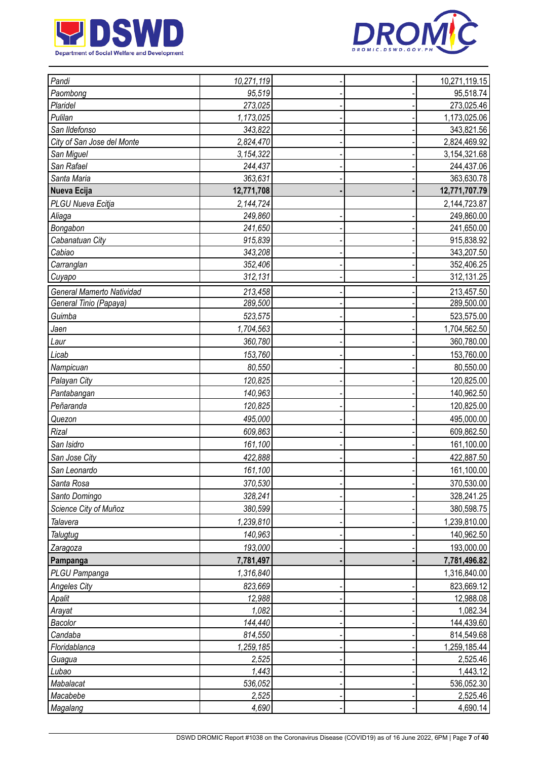



| Pandi                      | 10,271,119 |  | 10,271,119.15 |
|----------------------------|------------|--|---------------|
| Paombong                   | 95,519     |  | 95,518.74     |
| Plaridel                   | 273,025    |  | 273,025.46    |
| Pulilan                    | 1,173,025  |  | 1,173,025.06  |
| San Ildefonso              | 343,822    |  | 343,821.56    |
| City of San Jose del Monte | 2,824,470  |  | 2,824,469.92  |
| San Miguel                 | 3,154,322  |  | 3,154,321.68  |
| San Rafael                 | 244,437    |  | 244,437.06    |
| Santa Maria                | 363,631    |  | 363,630.78    |
| Nueva Ecija                | 12,771,708 |  | 12,771,707.79 |
| PLGU Nueva Ecitja          | 2,144,724  |  | 2,144,723.87  |
| Aliaga                     | 249,860    |  | 249,860.00    |
| Bongabon                   | 241,650    |  | 241,650.00    |
| Cabanatuan City            | 915,839    |  | 915,838.92    |
| Cabiao                     | 343,208    |  | 343,207.50    |
| Carranglan                 | 352,406    |  | 352,406.25    |
| Cuyapo                     | 312,131    |  | 312,131.25    |
| General Mamerto Natividad  | 213,458    |  | 213,457.50    |
| General Tinio (Papaya)     | 289,500    |  | 289,500.00    |
| Guimba                     | 523,575    |  | 523,575.00    |
| Jaen                       | 1,704,563  |  | 1,704,562.50  |
| Laur                       | 360,780    |  | 360,780.00    |
| Licab                      | 153,760    |  | 153,760.00    |
| Nampicuan                  | 80,550     |  | 80,550.00     |
| Palayan City               | 120,825    |  | 120,825.00    |
| Pantabangan                | 140,963    |  |               |
|                            |            |  | 140,962.50    |
| Peñaranda                  | 120,825    |  | 120,825.00    |
| Quezon                     | 495,000    |  | 495,000.00    |
| Rizal                      | 609,863    |  | 609,862.50    |
| San Isidro                 | 161,100    |  | 161,100.00    |
| San Jose City              | 422,888    |  | 422,887.50    |
| San Leonardo               | 161,100    |  | 161,100.00    |
| Santa Rosa                 | 370,530    |  | 370,530.00    |
| Santo Domingo              | 328,241    |  | 328,241.25    |
| Science City of Muñoz      | 380,599    |  | 380,598.75    |
| Talavera                   | 1,239,810  |  | 1,239,810.00  |
| Talugtug                   | 140,963    |  | 140,962.50    |
| Zaragoza                   | 193,000    |  | 193,000.00    |
| Pampanga                   | 7,781,497  |  | 7,781,496.82  |
| PLGU Pampanga              | 1,316,840  |  | 1,316,840.00  |
| <b>Angeles City</b>        | 823,669    |  | 823,669.12    |
| Apalit                     | 12,988     |  | 12,988.08     |
| Arayat                     | 1,082      |  | 1,082.34      |
| Bacolor                    | 144,440    |  | 144,439.60    |
| Candaba                    | 814,550    |  | 814,549.68    |
| Floridablanca              | 1,259,185  |  | 1,259,185.44  |
| Guagua                     | 2,525      |  | 2,525.46      |
| Lubao                      | 1,443      |  | 1,443.12      |
| Mabalacat                  | 536,052    |  | 536,052.30    |
| Macabebe                   | 2,525      |  | 2,525.46      |
| Magalang                   | 4,690      |  | 4,690.14      |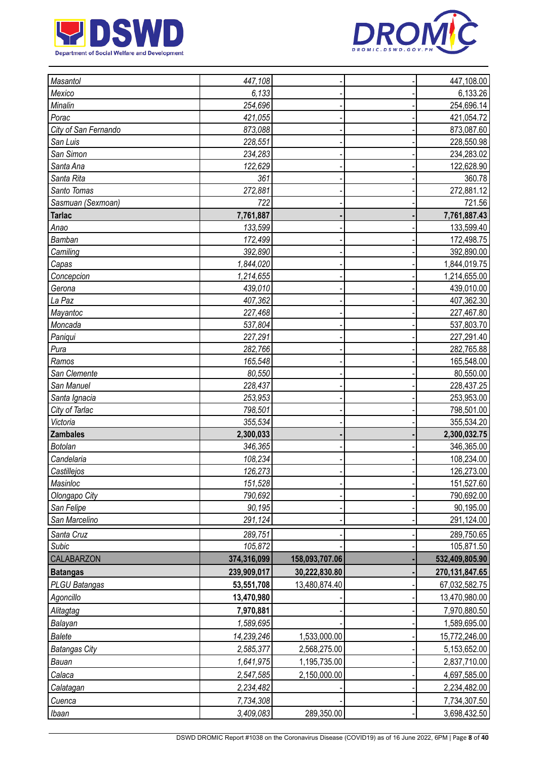



| <b>Masantol</b>      | 447,108     |                | 447,108.00     |
|----------------------|-------------|----------------|----------------|
| Mexico               | 6,133       |                | 6,133.26       |
| Minalin              | 254,696     |                | 254,696.14     |
| Porac                | 421,055     |                | 421,054.72     |
| City of San Fernando | 873,088     |                | 873,087.60     |
| San Luis             | 228,551     |                | 228,550.98     |
| San Simon            | 234,283     |                | 234,283.02     |
| Santa Ana            | 122,629     |                | 122,628.90     |
| Santa Rita           | 361         |                | 360.78         |
| Santo Tomas          | 272,881     |                | 272,881.12     |
| Sasmuan (Sexmoan)    | 722         |                | 721.56         |
| <b>Tarlac</b>        | 7,761,887   |                | 7,761,887.43   |
| Anao                 | 133,599     |                | 133,599.40     |
| Bamban               | 172,499     |                | 172,498.75     |
| Camiling             | 392,890     |                | 392,890.00     |
| Capas                | 1,844,020   |                | 1,844,019.75   |
| Concepcion           | 1,214,655   |                | 1,214,655.00   |
| Gerona               | 439,010     |                | 439,010.00     |
| La Paz               | 407,362     |                | 407,362.30     |
| Mayantoc             | 227,468     |                | 227,467.80     |
| Moncada              | 537,804     |                | 537,803.70     |
| Paniqui              | 227,291     |                | 227,291.40     |
| Pura                 | 282,766     |                | 282,765.88     |
| Ramos                | 165,548     |                | 165,548.00     |
| San Clemente         | 80,550      |                | 80,550.00      |
| San Manuel           | 228,437     |                | 228,437.25     |
| Santa Ignacia        | 253,953     |                | 253,953.00     |
| City of Tarlac       | 798,501     |                | 798,501.00     |
| Victoria             | 355,534     |                | 355,534.20     |
| <b>Zambales</b>      | 2,300,033   |                | 2,300,032.75   |
| <b>Botolan</b>       | 346,365     |                | 346,365.00     |
| Candelaria           | 108,234     |                | 108,234.00     |
| Castillejos          | 126,273     |                | 126,273.00     |
| Masinloc             | 151,528     |                | 151,527.60     |
| Olongapo City        | 790,692     |                | 790,692.00     |
| San Felipe           | 90,195      |                | 90,195.00      |
| San Marcelino        | 291,124     |                | 291,124.00     |
| Santa Cruz           | 289,751     |                | 289,750.65     |
| Subic                | 105,872     |                | 105,871.50     |
| CALABARZON           | 374,316,099 | 158,093,707.06 | 532,409,805.90 |
| <b>Batangas</b>      | 239,909,017 | 30,222,830.80  | 270,131,847.65 |
| PLGU Batangas        | 53,551,708  | 13,480,874.40  | 67,032,582.75  |
| Agoncillo            | 13,470,980  |                | 13,470,980.00  |
| Alitagtag            | 7,970,881   |                | 7,970,880.50   |
| Balayan              | 1,589,695   |                | 1,589,695.00   |
| <b>Balete</b>        | 14,239,246  | 1,533,000.00   | 15,772,246.00  |
| <b>Batangas City</b> | 2,585,377   | 2,568,275.00   | 5,153,652.00   |
| Bauan                | 1,641,975   | 1,195,735.00   | 2,837,710.00   |
| Calaca               | 2,547,585   | 2,150,000.00   | 4,697,585.00   |
| Calatagan            | 2,234,482   |                | 2,234,482.00   |
| Cuenca               | 7,734,308   |                | 7,734,307.50   |
| <i>Ibaan</i>         | 3,409,083   | 289,350.00     | 3,698,432.50   |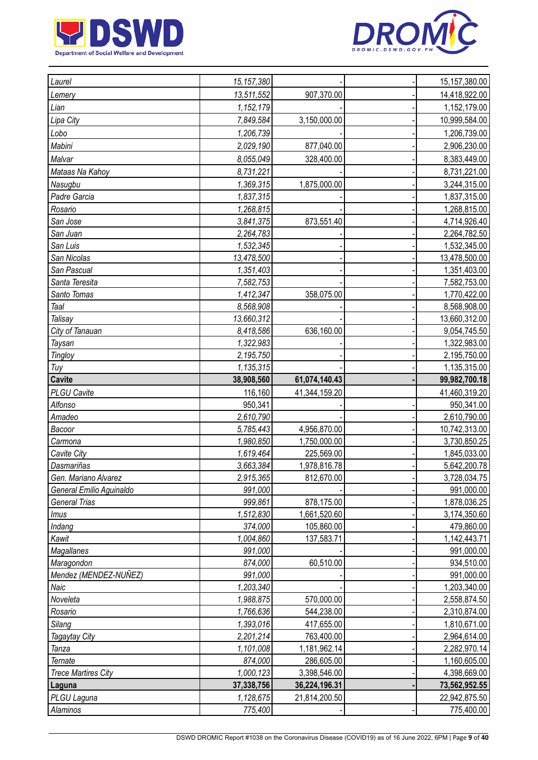



| Laurel                     | 15,157,380             |               | 15, 157, 380.00              |
|----------------------------|------------------------|---------------|------------------------------|
| Lemery                     | 13,511,552             | 907,370.00    | 14,418,922.00                |
| Lian                       | 1,152,179              |               | 1,152,179.00                 |
| Lipa City                  | 7,849,584              | 3,150,000.00  | 10,999,584.00                |
| Lobo                       | 1,206,739              |               | 1,206,739.00                 |
| Mabini                     | 2,029,190              | 877,040.00    | 2,906,230.00                 |
| Malvar                     | 8,055,049              | 328,400.00    | 8,383,449.00                 |
| Mataas Na Kahoy            | 8,731,221              |               | 8,731,221.00                 |
| Nasugbu                    | 1,369,315              | 1,875,000.00  | 3,244,315.00                 |
| Padre Garcia               | 1,837,315              |               | 1,837,315.00                 |
| Rosario                    | 1,268,815              |               | 1,268,815.00                 |
| San Jose                   | 3,841,375              | 873,551.40    | 4,714,926.40                 |
| San Juan                   | 2,264,783              |               | 2,264,782.50                 |
| San Luis                   | 1,532,345              |               | 1,532,345.00                 |
| San Nicolas                | 13,478,500             |               | 13,478,500.00                |
| San Pascual                | 1,351,403              |               | 1,351,403.00                 |
| Santa Teresita             | 7,582,753              |               | 7,582,753.00                 |
| Santo Tomas                | 1,412,347              | 358,075.00    | 1,770,422.00                 |
| Taal                       | 8,568,908              |               | 8,568,908.00                 |
| Talisay                    | 13,660,312             |               | 13,660,312.00                |
| City of Tanauan            | 8,418,586              | 636,160.00    | 9,054,745.50                 |
| Taysan                     | 1,322,983              |               | 1,322,983.00                 |
| <b>Tingloy</b>             | 2,195,750              |               | 2,195,750.00                 |
| Tuy                        | 1,135,315              |               | 1,135,315.00                 |
| <b>Cavite</b>              | 38,908,560             | 61,074,140.43 | 99,982,700.18                |
| <b>PLGU Cavite</b>         | 116,160                | 41,344,159.20 | 41,460,319.20                |
| Alfonso                    | 950,341                |               | 950,341.00                   |
| Amadeo                     | 2,610,790              |               | 2,610,790.00                 |
| Bacoor                     | 5,785,443              | 4,956,870.00  | 10,742,313.00                |
|                            |                        |               |                              |
|                            |                        |               |                              |
| Carmona<br>Cavite City     | 1,980,850              | 1,750,000.00  | 3,730,850.25                 |
| Dasmariñas                 | 1,619,464<br>3,663,384 | 225,569.00    | 1,845,033.00                 |
| Gen. Mariano Alvarez       |                        | 1,978,816.78  | 5,642,200.78                 |
| General Emilio Aguinaldo   | 2,915,365<br>991,000   | 812,670.00    | 991,000.00                   |
| <b>General Trias</b>       | 999,861                | 878,175.00    | 1,878,036.25                 |
| Imus                       | 1,512,830              | 1,661,520.60  | 3,174,350.60                 |
| Indang                     | 374,000                | 105,860.00    | 479,860.00                   |
| Kawit                      | 1,004,860              | 137,583.71    | 1,142,443.71                 |
| Magallanes                 | 991,000                |               | 991,000.00                   |
| Maragondon                 | 874,000                | 60,510.00     | 934,510.00                   |
| Mendez (MENDEZ-NUÑEZ)      | 991,000                |               | 991,000.00                   |
| Naic                       | 1,203,340              |               | 1,203,340.00                 |
| Noveleta                   | 1,988,875              | 570,000.00    | 3,728,034.75<br>2,558,874.50 |
| Rosario                    | 1,766,636              | 544,238.00    | 2,310,874.00                 |
| Silang                     | 1,393,016              | 417,655.00    | 1,810,671.00                 |
| Tagaytay City              | 2,201,214              | 763,400.00    | 2,964,614.00                 |
| Tanza                      | 1,101,008              | 1,181,962.14  | 2,282,970.14                 |
| Ternate                    | 874,000                | 286,605.00    | 1,160,605.00                 |
| <b>Trece Martires City</b> | 1,000,123              | 3,398,546.00  | 4,398,669.00                 |
| Laguna                     | 37,338,756             | 36,224,196.31 | 73,562,952.55                |
| PLGU Laguna<br>Alaminos    | 1,128,675<br>775,400   | 21,814,200.50 | 22,942,875.50<br>775,400.00  |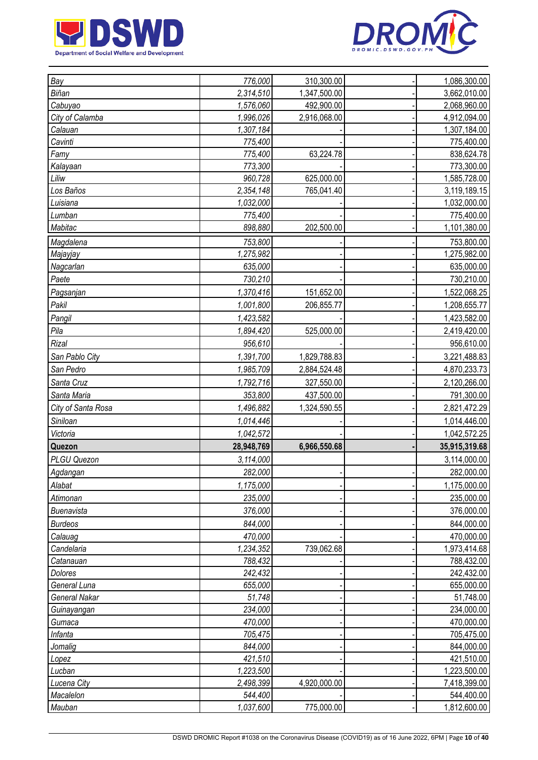



| Bay                | 776,000    | 310,300.00   | 1,086,300.00  |
|--------------------|------------|--------------|---------------|
| Biñan              | 2,314,510  | 1,347,500.00 | 3,662,010.00  |
| Cabuyao            | 1,576,060  | 492,900.00   | 2,068,960.00  |
| City of Calamba    | 1,996,026  | 2,916,068.00 | 4,912,094.00  |
| Calauan            | 1,307,184  |              | 1,307,184.00  |
| Cavinti            | 775,400    |              | 775,400.00    |
| Famy               | 775,400    | 63,224.78    | 838,624.78    |
| Kalayaan           | 773,300    |              | 773,300.00    |
| Liliw              | 960,728    | 625,000.00   | 1,585,728.00  |
| Los Baños          | 2,354,148  | 765,041.40   | 3,119,189.15  |
| Luisiana           | 1,032,000  |              | 1,032,000.00  |
| Lumban             | 775,400    |              | 775,400.00    |
| Mabitac            | 898,880    | 202,500.00   | 1,101,380.00  |
| Magdalena          | 753,800    |              | 753,800.00    |
| Majayjay           | 1,275,982  |              | 1,275,982.00  |
| Nagcarlan          | 635,000    |              | 635,000.00    |
| Paete              | 730,210    |              | 730,210.00    |
| Pagsanjan          | 1,370,416  | 151,652.00   | 1,522,068.25  |
| Pakil              | 1,001,800  | 206,855.77   | 1,208,655.77  |
| Pangil             | 1,423,582  |              | 1,423,582.00  |
| Pila               | 1,894,420  | 525,000.00   | 2,419,420.00  |
| Rizal              | 956,610    |              | 956,610.00    |
| San Pablo City     | 1,391,700  | 1,829,788.83 | 3,221,488.83  |
| San Pedro          | 1,985,709  | 2,884,524.48 | 4,870,233.73  |
| Santa Cruz         | 1,792,716  | 327,550.00   | 2,120,266.00  |
| Santa Maria        |            |              |               |
|                    | 353,800    | 437,500.00   | 791,300.00    |
| City of Santa Rosa | 1,496,882  | 1,324,590.55 | 2,821,472.29  |
| Siniloan           | 1,014,446  |              | 1,014,446.00  |
| Victoria           | 1,042,572  |              | 1,042,572.25  |
| Quezon             | 28,948,769 | 6,966,550.68 | 35,915,319.68 |
| PLGU Quezon        | 3,114,000  |              | 3,114,000.00  |
| Agdangan           | 282,000    |              | 282,000.00    |
| Alabat             | 1,175,000  |              | 1,175,000.00  |
| Atimonan           | 235,000    |              | 235,000.00    |
| <b>Buenavista</b>  | 376,000    |              | 376,000.00    |
| <b>Burdeos</b>     | 844,000    |              | 844,000.00    |
| Calauag            | 470,000    |              | 470,000.00    |
| Candelaria         | 1,234,352  | 739,062.68   | 1,973,414.68  |
| Catanauan          | 788,432    |              | 788,432.00    |
| Dolores            | 242,432    |              | 242,432.00    |
| General Luna       | 655,000    |              | 655,000.00    |
| General Nakar      | 51,748     |              | 51,748.00     |
| Guinayangan        | 234,000    |              | 234,000.00    |
| Gumaca             | 470,000    |              | 470,000.00    |
| Infanta            | 705,475    |              | 705,475.00    |
| Jomalig            | 844,000    |              | 844,000.00    |
| Lopez              | 421,510    |              | 421,510.00    |
| Lucban             | 1,223,500  |              | 1,223,500.00  |
| Lucena City        | 2,498,399  | 4,920,000.00 | 7,418,399.00  |
| Macalelon          | 544,400    |              | 544,400.00    |
| Mauban             | 1,037,600  | 775,000.00   | 1,812,600.00  |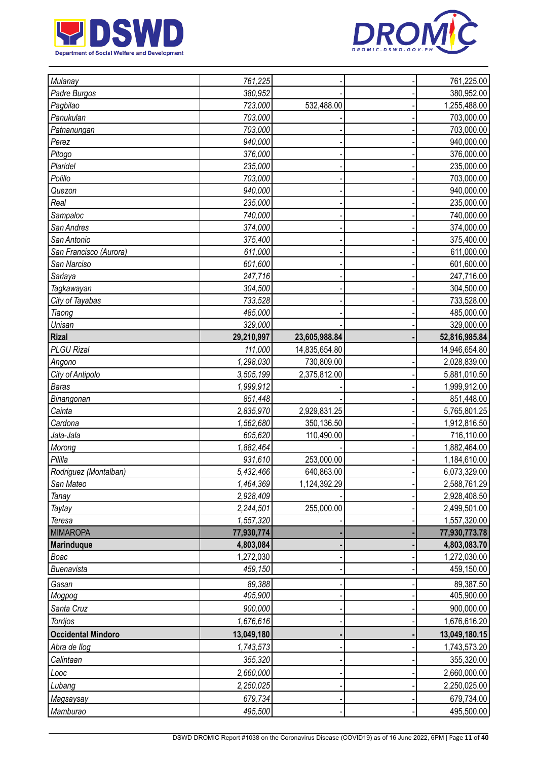



| Mulanay                   | 761,225    |               | 761,225.00    |
|---------------------------|------------|---------------|---------------|
| Padre Burgos              | 380,952    |               | 380,952.00    |
| Pagbilao                  | 723,000    | 532,488.00    | 1,255,488.00  |
| Panukulan                 | 703,000    |               | 703,000.00    |
| Patnanungan               | 703,000    |               | 703,000.00    |
| Perez                     | 940,000    |               | 940,000.00    |
| Pitogo                    | 376,000    |               | 376,000.00    |
| Plaridel                  | 235,000    |               | 235,000.00    |
| Polillo                   | 703,000    |               | 703,000.00    |
| Quezon                    | 940,000    |               | 940,000.00    |
| Real                      | 235,000    |               | 235,000.00    |
| Sampaloc                  | 740,000    |               | 740,000.00    |
| San Andres                | 374,000    |               | 374,000.00    |
| San Antonio               | 375,400    |               | 375,400.00    |
| San Francisco (Aurora)    | 611,000    |               | 611,000.00    |
| San Narciso               | 601,600    |               | 601,600.00    |
| Sariaya                   | 247,716    |               | 247,716.00    |
| Tagkawayan                | 304,500    |               | 304,500.00    |
| City of Tayabas           | 733,528    |               | 733,528.00    |
| Tiaong                    | 485,000    |               | 485,000.00    |
| Unisan                    | 329,000    |               | 329,000.00    |
| <b>Rizal</b>              | 29,210,997 | 23,605,988.84 | 52,816,985.84 |
| <b>PLGU Rizal</b>         | 111,000    | 14,835,654.80 | 14,946,654.80 |
| Angono                    | 1,298,030  | 730,809.00    | 2,028,839.00  |
| City of Antipolo          | 3,505,199  | 2,375,812.00  | 5,881,010.50  |
| <b>Baras</b>              | 1,999,912  |               | 1,999,912.00  |
| Binangonan                | 851,448    |               | 851,448.00    |
| Cainta                    | 2,835,970  | 2,929,831.25  | 5,765,801.25  |
| Cardona                   | 1,562,680  | 350,136.50    | 1,912,816.50  |
| Jala-Jala                 | 605,620    | 110,490.00    | 716,110.00    |
| Morong                    | 1,882,464  |               | 1,882,464.00  |
| Pililla                   | 931,610    | 253,000.00    | 1,184,610.00  |
| Rodriguez (Montalban)     | 5,432,466  | 640,863.00    | 6,073,329.00  |
| San Mateo                 | 1,464,369  | 1,124,392.29  | 2,588,761.29  |
| Tanay                     | 2,928,409  |               | 2,928,408.50  |
| Taytay                    | 2,244,501  | 255,000.00    | 2,499,501.00  |
| Teresa                    | 1,557,320  |               | 1,557,320.00  |
| <b>MIMAROPA</b>           | 77,930,774 |               | 77,930,773.78 |
| <b>Marinduque</b>         | 4,803,084  |               | 4,803,083.70  |
| Boac                      | 1,272,030  |               | 1,272,030.00  |
| Buenavista                | 459,150    |               | 459,150.00    |
| Gasan                     | 89,388     |               | 89,387.50     |
| Mogpog                    | 405,900    |               | 405,900.00    |
| Santa Cruz                | 900,000    |               | 900,000.00    |
| Torrijos                  | 1,676,616  |               | 1,676,616.20  |
|                           |            |               |               |
| <b>Occidental Mindoro</b> | 13,049,180 |               | 13,049,180.15 |
| Abra de llog              | 1,743,573  |               | 1,743,573.20  |
| Calintaan                 | 355,320    |               | 355,320.00    |
| Looc                      | 2,660,000  |               | 2,660,000.00  |
| Lubang                    | 2,250,025  |               | 2,250,025.00  |
| Magsaysay                 | 679,734    |               | 679,734.00    |
| Mamburao                  | 495,500    |               | 495,500.00    |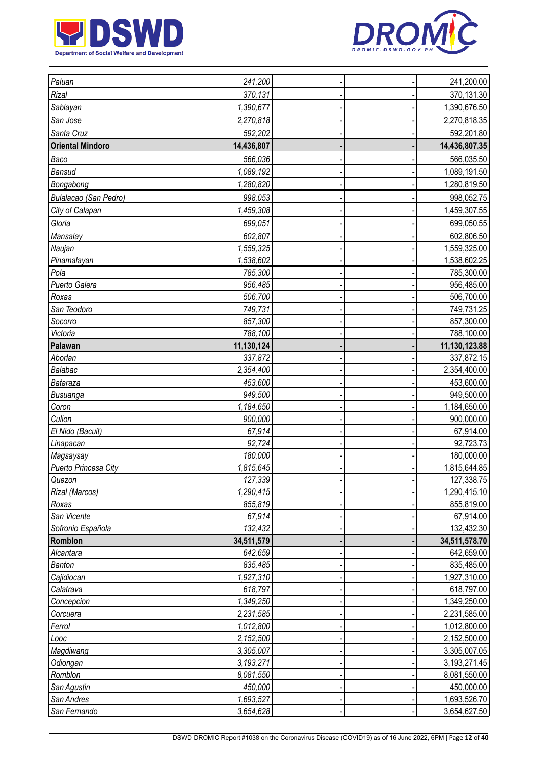



| Paluan                            | 241,200          |  | 241,200.00              |
|-----------------------------------|------------------|--|-------------------------|
| Rizal                             | 370,131          |  | 370,131.30              |
| Sablayan                          | 1,390,677        |  | 1,390,676.50            |
| San Jose                          | 2,270,818        |  | 2,270,818.35            |
| Santa Cruz                        | 592,202          |  | 592,201.80              |
| <b>Oriental Mindoro</b>           | 14,436,807       |  | 14,436,807.35           |
| Baco                              | 566,036          |  | 566,035.50              |
| <b>Bansud</b>                     | 1,089,192        |  | 1,089,191.50            |
| Bongabong                         | 1,280,820        |  | 1,280,819.50            |
| Bulalacao (San Pedro)             | 998,053          |  | 998,052.75              |
| City of Calapan                   | 1,459,308        |  | 1,459,307.55            |
| Gloria                            | 699,051          |  | 699,050.55              |
|                                   |                  |  |                         |
| Mansalay                          | 602,807          |  | 602,806.50              |
| Naujan                            | 1,559,325        |  | 1,559,325.00            |
| Pinamalayan<br>Pola               | 1,538,602        |  | 1,538,602.25            |
| Puerto Galera                     | 785,300          |  | 785,300.00              |
|                                   | 956,485          |  | 956,485.00              |
| Roxas                             | 506,700          |  | 506,700.00              |
| San Teodoro                       | 749,731          |  | 749,731.25              |
| Socorro                           | 857,300          |  | 857,300.00              |
| Victoria                          | 788,100          |  | 788,100.00              |
| Palawan                           | 11,130,124       |  | 11,130,123.88           |
| Aborlan                           | 337,872          |  | 337,872.15              |
| Balabac                           | 2,354,400        |  | 2,354,400.00            |
| Bataraza                          | 453,600          |  | 453,600.00              |
| Busuanga                          | 949,500          |  | 949,500.00              |
| Coron                             | 1,184,650        |  | 1,184,650.00            |
| Culion                            | 900,000          |  | 900,000.00              |
| El Nido (Bacuit)                  | 67,914<br>92,724 |  | 67,914.00               |
| Linapacan                         | 180,000          |  | 92,723.73<br>180,000.00 |
| Magsaysay<br>Puerto Princesa City | 1,815,645        |  | 1,815,644.85            |
|                                   | 127,339          |  | 127,338.75              |
| Quezon<br>Rizal (Marcos)          | 1,290,415        |  | 1,290,415.10            |
| Roxas                             | 855,819          |  | 855,819.00              |
| San Vicente                       | 67,914           |  | 67,914.00               |
| Sofronio Española                 | 132,432          |  | 132,432.30              |
| Romblon                           | 34,511,579       |  | 34,511,578.70           |
| Alcantara                         | 642,659          |  | 642,659.00              |
| <b>Banton</b>                     | 835,485          |  | 835,485.00              |
| Cajidiocan                        | 1,927,310        |  | 1,927,310.00            |
| Calatrava                         | 618,797          |  | 618,797.00              |
| Concepcion                        | 1,349,250        |  | 1,349,250.00            |
| Corcuera                          | 2,231,585        |  | 2,231,585.00            |
| Ferrol                            | 1,012,800        |  | 1,012,800.00            |
| Looc                              | 2,152,500        |  | 2,152,500.00            |
| Magdiwang                         | 3,305,007        |  | 3,305,007.05            |
| Odiongan                          | 3,193,271        |  | 3,193,271.45            |
| Romblon                           | 8,081,550        |  | 8,081,550.00            |
| San Agustin                       | 450,000          |  | 450,000.00              |
| San Andres                        | 1,693,527        |  | 1,693,526.70            |
| San Fernando                      | 3,654,628        |  | 3,654,627.50            |
|                                   |                  |  |                         |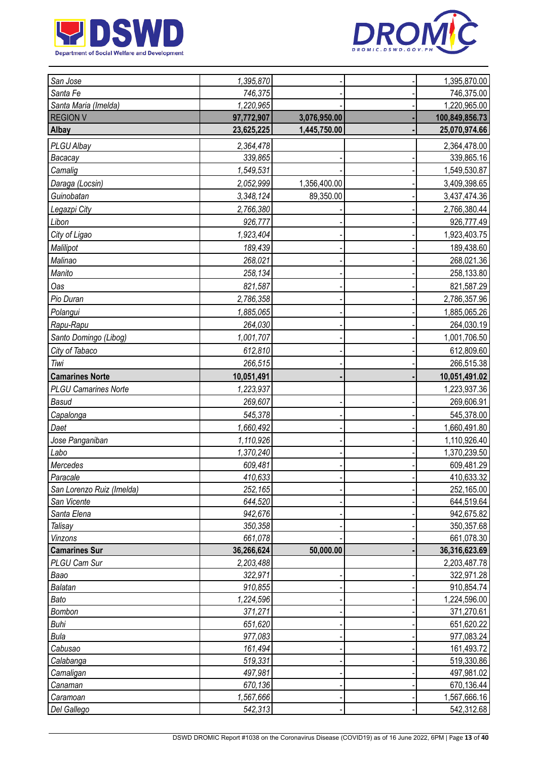



| San Jose                    | 1,395,870          |              | 1,395,870.00             |
|-----------------------------|--------------------|--------------|--------------------------|
| Santa Fe                    | 746,375            |              | 746,375.00               |
| Santa Maria (Imelda)        | 1,220,965          |              | 1,220,965.00             |
| <b>REGION V</b>             | 97,772,907         | 3,076,950.00 | 100,849,856.73           |
| Albay                       | 23,625,225         | 1,445,750.00 | 25,070,974.66            |
| PLGU Albay                  | 2,364,478          |              | 2,364,478.00             |
| Bacacay                     | 339,865            |              | 339,865.16               |
| Camalig                     | 1,549,531          |              | 1,549,530.87             |
| Daraga (Locsin)             | 2,052,999          | 1,356,400.00 | 3,409,398.65             |
| Guinobatan                  | 3,348,124          | 89,350.00    | 3,437,474.36             |
| Legazpi City                | 2,766,380          |              | 2,766,380.44             |
| Libon                       | 926,777            |              | 926,777.49               |
| City of Ligao               | 1,923,404          |              | 1,923,403.75             |
| Malilipot                   | 189,439            |              | 189,438.60               |
| Malinao                     | 268,021            |              | 268,021.36               |
| Manito                      | 258,134            |              | 258,133.80               |
| Oas                         | 821,587            |              | 821,587.29               |
| Pio Duran                   | 2,786,358          |              | 2,786,357.96             |
| Polangui                    | 1,885,065          |              | 1,885,065.26             |
| Rapu-Rapu                   | 264,030            |              | 264,030.19               |
| Santo Domingo (Libog)       | 1,001,707          |              | 1,001,706.50             |
| City of Tabaco              | 612,810            |              | 612,809.60               |
| Tiwi                        | 266,515            |              | 266,515.38               |
| <b>Camarines Norte</b>      | 10,051,491         |              | 10,051,491.02            |
| <b>PLGU Camarines Norte</b> | 1,223,937          |              | 1,223,937.36             |
| <b>Basud</b>                | 269,607            |              | 269,606.91               |
| Capalonga                   | 545,378            |              | 545,378.00               |
| Daet                        | 1,660,492          |              | 1,660,491.80             |
| Jose Panganiban             | 1,110,926          |              | 1,110,926.40             |
| Labo                        | 1,370,240          |              | 1,370,239.50             |
| Mercedes                    | 609,481            |              | 609,481.29               |
| Paracale                    | 410,633            |              | 410,633.32               |
| San Lorenzo Ruiz (Imelda)   | 252,165            |              | 252,165.00               |
| San Vicente                 | 644,520            |              | 644,519.64               |
| Santa Elena                 | 942,676            |              | 942,675.82               |
| Talisay                     | 350,358            |              | 350,357.68               |
| Vinzons                     | 661,078            |              | 661,078.30               |
| <b>Camarines Sur</b>        | 36,266,624         | 50,000.00    | 36,316,623.69            |
| PLGU Cam Sur                | 2,203,488          |              | 2,203,487.78             |
| Baao                        | 322,971            |              | 322,971.28               |
| Balatan                     | 910,855            |              | 910,854.74               |
| Bato                        | 1,224,596          |              | 1,224,596.00             |
| Bombon<br>Buhi              | 371,271<br>651,620 |              | 371,270.61               |
| Bula                        | 977,083            |              | 651,620.22<br>977,083.24 |
| Cabusao                     | 161,494            |              | 161,493.72               |
| Calabanga                   | 519,331            |              | 519,330.86               |
| Camaligan                   | 497,981            |              | 497,981.02               |
| Canaman                     | 670,136            |              | 670,136.44               |
| Caramoan                    | 1,567,666          |              | 1,567,666.16             |
| Del Gallego                 | 542,313            |              | 542,312.68               |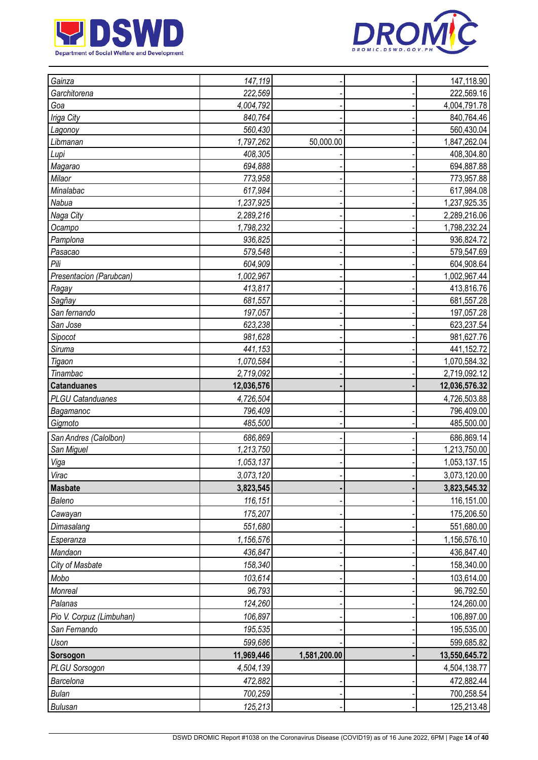



| Gainza<br>147,119                      | 147,118.90    |
|----------------------------------------|---------------|
| 222,569<br>Garchitorena                | 222,569.16    |
| 4,004,792<br>Goa                       | 4,004,791.78  |
| Iriga City<br>840,764                  | 840,764.46    |
| 560,430<br>Lagonoy                     | 560,430.04    |
| 1,797,262<br>50,000.00<br>Libmanan     | 1,847,262.04  |
| 408,305<br>Lupi                        | 408,304.80    |
| 694,888<br>Magarao                     | 694,887.88    |
| 773,958<br>Milaor                      | 773,957.88    |
| Minalabac<br>617,984                   | 617,984.08    |
| Nabua<br>1,237,925                     | 1,237,925.35  |
| Naga City<br>2,289,216                 | 2,289,216.06  |
| 1,798,232<br>Ocampo                    | 1,798,232.24  |
| 936,825<br>Pamplona                    | 936,824.72    |
| 579,548<br>Pasacao                     | 579,547.69    |
| Pili<br>604,909                        | 604,908.64    |
| Presentacion (Parubcan)<br>1,002,967   | 1,002,967.44  |
| 413,817<br>Ragay                       | 413,816.76    |
| 681,557<br>Sagñay                      | 681,557.28    |
| San fernando<br>197,057                | 197,057.28    |
| San Jose<br>623,238                    | 623,237.54    |
| 981,628<br>Sipocot                     | 981,627.76    |
| 441,153<br>Siruma                      | 441,152.72    |
| 1,070,584<br>Tigaon                    | 1,070,584.32  |
| 2,719,092<br>Tinambac                  | 2,719,092.12  |
| 12,036,576<br><b>Catanduanes</b>       | 12,036,576.32 |
| <b>PLGU Catanduanes</b><br>4,726,504   | 4,726,503.88  |
| Bagamanoc<br>796,409                   | 796,409.00    |
| 485,500<br>Gigmoto                     | 485,500.00    |
| 686,869<br>San Andres (Calolbon)       | 686,869.14    |
| San Miguel<br>1,213,750                | 1,213,750.00  |
| 1,053,137<br>Viga                      | 1,053,137.15  |
| 3,073,120<br>Virac                     | 3,073,120.00  |
| <b>Masbate</b><br>3,823,545            | 3,823,545.32  |
| 116,151<br>Baleno                      | 116,151.00    |
| 175,207<br>Cawayan                     | 175,206.50    |
| 551,680<br>Dimasalang                  | 551,680.00    |
| 1,156,576<br>Esperanza                 | 1,156,576.10  |
| Mandaon<br>436,847                     | 436,847.40    |
| 158,340<br>City of Masbate             | 158,340.00    |
| Mobo<br>103,614                        | 103,614.00    |
| 96,793<br>Monreal                      | 96,792.50     |
| 124,260<br>Palanas                     | 124,260.00    |
| Pio V. Corpuz (Limbuhan)<br>106,897    | 106,897.00    |
| 195,535<br>San Fernando                | 195,535.00    |
| 599,686<br>Uson                        | 599,685.82    |
| 11,969,446<br>1,581,200.00<br>Sorsogon | 13,550,645.72 |
| 4,504,139<br><b>PLGU Sorsogon</b>      | 4,504,138.77  |
| Barcelona<br>472,882                   | 472,882.44    |
| 700,259<br><b>Bulan</b>                | 700,258.54    |
| 125,213<br><b>Bulusan</b>              | 125,213.48    |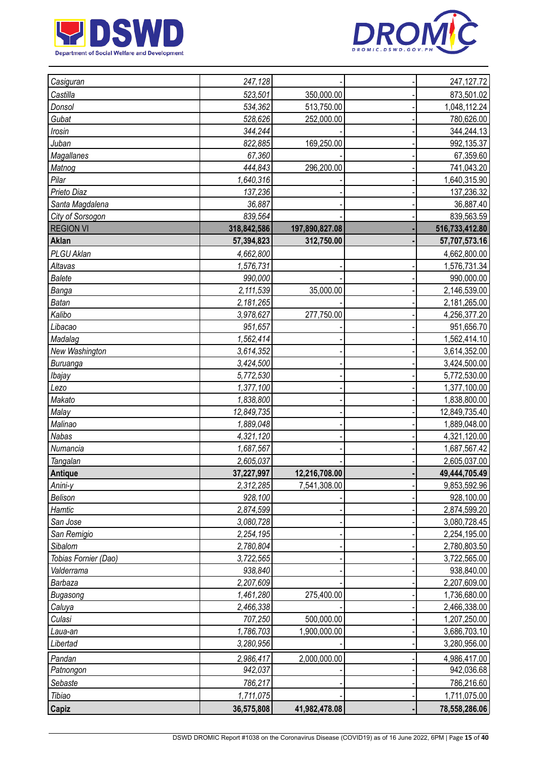



| Casiguran            | 247,128     |                | 247, 127. 72   |
|----------------------|-------------|----------------|----------------|
| Castilla             | 523,501     | 350,000.00     | 873,501.02     |
| Donsol               | 534,362     | 513,750.00     | 1,048,112.24   |
| Gubat                | 528,626     | 252,000.00     | 780,626.00     |
| Irosin               | 344.244     |                | 344,244.13     |
| Juban                | 822,885     | 169,250.00     | 992,135.37     |
| Magallanes           | 67,360      |                | 67,359.60      |
| Matnog               | 444,843     | 296,200.00     | 741,043.20     |
| Pilar                | 1,640,316   |                | 1,640,315.90   |
| Prieto Diaz          | 137,236     |                | 137,236.32     |
| Santa Magdalena      | 36,887      |                | 36,887.40      |
| City of Sorsogon     | 839,564     |                | 839,563.59     |
| <b>REGION VI</b>     | 318,842,586 | 197,890,827.08 | 516,733,412.80 |
| Aklan                | 57,394,823  | 312,750.00     | 57,707,573.16  |
| PLGU Aklan           | 4,662,800   |                | 4,662,800.00   |
| Altavas              | 1,576,731   |                | 1,576,731.34   |
| <b>Balete</b>        | 990,000     |                | 990,000.00     |
| Banga                | 2,111,539   | 35,000.00      | 2,146,539.00   |
| <b>Batan</b>         | 2,181,265   |                | 2,181,265.00   |
| Kalibo               | 3,978,627   | 277,750.00     | 4,256,377.20   |
| Libacao              | 951,657     |                | 951,656.70     |
| Madalag              | 1,562,414   |                | 1,562,414.10   |
| New Washington       | 3,614,352   |                | 3,614,352.00   |
| Buruanga             | 3,424,500   |                | 3,424,500.00   |
| Ibajay               | 5,772,530   |                | 5,772,530.00   |
| Lezo                 | 1,377,100   |                | 1,377,100.00   |
| Makato               | 1,838,800   |                | 1,838,800.00   |
| Malay                | 12,849,735  |                | 12,849,735.40  |
| Malinao              | 1,889,048   |                | 1,889,048.00   |
| Nabas                | 4,321,120   |                | 4,321,120.00   |
| Numancia             | 1,687,567   |                | 1,687,567.42   |
| Tangalan             | 2,605,037   |                | 2,605,037.00   |
| Antique              | 37,227,997  | 12,216,708.00  | 49,444,705.49  |
| Anini-y              | 2,312,285   | 7,541,308.00   | 9,853,592.96   |
| Belison              | 928,100     |                | 928,100.00     |
| Hamtic               | 2,874,599   |                | 2,874,599.20   |
| San Jose             | 3,080,728   |                | 3,080,728.45   |
| San Remigio          | 2,254,195   |                | 2,254,195.00   |
| Sibalom              | 2,780,804   |                | 2,780,803.50   |
| Tobias Fornier (Dao) | 3,722,565   |                | 3,722,565.00   |
| Valderrama           | 938,840     |                | 938,840.00     |
| Barbaza              | 2,207,609   |                | 2,207,609.00   |
| Bugasong             | 1,461,280   | 275,400.00     | 1,736,680.00   |
| Caluya               | 2,466,338   |                | 2,466,338.00   |
| Culasi               | 707,250     | 500,000.00     | 1,207,250.00   |
| Laua-an              | 1,786,703   | 1,900,000.00   | 3,686,703.10   |
| Libertad             | 3,280,956   |                | 3,280,956.00   |
| Pandan               | 2,986,417   | 2,000,000.00   | 4,986,417.00   |
| Patnongon            | 942,037     |                | 942,036.68     |
| Sebaste              | 786,217     |                | 786,216.60     |
| Tibiao               | 1,711,075   |                | 1,711,075.00   |
| Capiz                | 36,575,808  | 41,982,478.08  | 78,558,286.06  |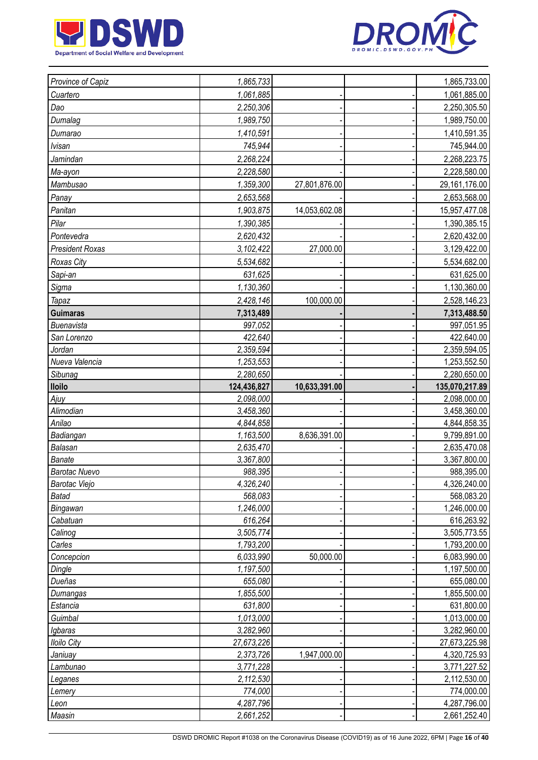



| 1,061,885<br>1,061,885.00<br>Cuartero<br>Dao<br>2,250,306<br>2,250,305.50<br>Dumalag<br>1,989,750<br>1,989,750.00<br>1,410,591<br>1,410,591.35<br>Dumarao<br><b>Ivisan</b><br>745,944<br>745,944.00<br>Jamindan<br>2,268,224<br>2,268,223.75<br>2,228,580<br>2,228,580.00<br>Ma-ayon<br>Mambusao<br>1,359,300<br>29,161,176.00<br>27,801,876.00<br>Panay<br>2,653,568<br>2,653,568.00<br>Panitan<br>1,903,875<br>14,053,602.08<br>15,957,477.08<br>1,390,385<br>Pilar<br>1,390,385.15<br>2,620,432<br>Pontevedra<br>2,620,432.00<br><b>President Roxas</b><br>27,000.00<br>3,102,422<br>3,129,422.00<br>Roxas City<br>5,534,682<br>5,534,682.00<br>631,625<br>Sapi-an<br>631,625.00<br>Sigma<br>1,130,360<br>1,130,360.00<br>2,428,146<br>100,000.00<br>2,528,146.23<br><b>Tapaz</b><br><b>Guimaras</b><br>7,313,489<br>7,313,488.50<br>997,052<br>Buenavista<br>997,051.95<br>422,640<br>422,640.00<br>San Lorenzo<br>2,359,594<br>2,359,594.05<br>Jordan<br>Nueva Valencia<br>1,253,553<br>1,253,552.50<br>Sibunag<br>2,280,650<br>2,280,650.00<br><b>Iloilo</b><br>124,436,827<br>10,633,391.00<br>135,070,217.89<br>2,098,000<br>2,098,000.00<br>Ajuy<br>Alimodian<br>3,458,360<br>3,458,360.00<br>Anilao<br>4,844,858<br>4,844,858.35<br>Badiangan<br>1,163,500<br>8,636,391.00<br>9,799,891.00<br>2,635,470<br>Balasan<br>2,635,470.08<br><b>Banate</b><br>3,367,800<br>3,367,800.00<br><b>Barotac Nuevo</b><br>988,395<br>988,395.00<br>4,326,240<br>4,326,240.00<br><b>Barotac Viejo</b><br>568,083<br>568,083.20<br><b>Batad</b><br>1,246,000<br>Bingawan<br>1,246,000.00<br>Cabatuan<br>616,264<br>616,263.92<br>Calinog<br>3,505,774<br>3,505,773.55<br>1,793,200<br>1,793,200.00<br>Carles<br>6,033,990<br>50,000.00<br>Concepcion<br>6,083,990.00<br>1,197,500<br>1,197,500.00<br>Dingle<br>Dueñas<br>655,080<br>655,080.00<br>1,855,500<br>1,855,500.00<br>Dumangas<br>631,800<br>Estancia<br>631,800.00<br>Guimbal<br>1,013,000<br>1,013,000.00<br>3,282,960<br>3,282,960.00<br>Igbaras<br>27,673,226<br>27,673,225.98<br><b>Iloilo City</b> | Province of Capiz | 1,865,733 |              | 1,865,733.00 |
|-------------------------------------------------------------------------------------------------------------------------------------------------------------------------------------------------------------------------------------------------------------------------------------------------------------------------------------------------------------------------------------------------------------------------------------------------------------------------------------------------------------------------------------------------------------------------------------------------------------------------------------------------------------------------------------------------------------------------------------------------------------------------------------------------------------------------------------------------------------------------------------------------------------------------------------------------------------------------------------------------------------------------------------------------------------------------------------------------------------------------------------------------------------------------------------------------------------------------------------------------------------------------------------------------------------------------------------------------------------------------------------------------------------------------------------------------------------------------------------------------------------------------------------------------------------------------------------------------------------------------------------------------------------------------------------------------------------------------------------------------------------------------------------------------------------------------------------------------------------------------------------------------------------------------------------------------------------------------------------------------------------------------------------------------------------|-------------------|-----------|--------------|--------------|
|                                                                                                                                                                                                                                                                                                                                                                                                                                                                                                                                                                                                                                                                                                                                                                                                                                                                                                                                                                                                                                                                                                                                                                                                                                                                                                                                                                                                                                                                                                                                                                                                                                                                                                                                                                                                                                                                                                                                                                                                                                                             |                   |           |              |              |
|                                                                                                                                                                                                                                                                                                                                                                                                                                                                                                                                                                                                                                                                                                                                                                                                                                                                                                                                                                                                                                                                                                                                                                                                                                                                                                                                                                                                                                                                                                                                                                                                                                                                                                                                                                                                                                                                                                                                                                                                                                                             |                   |           |              |              |
|                                                                                                                                                                                                                                                                                                                                                                                                                                                                                                                                                                                                                                                                                                                                                                                                                                                                                                                                                                                                                                                                                                                                                                                                                                                                                                                                                                                                                                                                                                                                                                                                                                                                                                                                                                                                                                                                                                                                                                                                                                                             |                   |           |              |              |
|                                                                                                                                                                                                                                                                                                                                                                                                                                                                                                                                                                                                                                                                                                                                                                                                                                                                                                                                                                                                                                                                                                                                                                                                                                                                                                                                                                                                                                                                                                                                                                                                                                                                                                                                                                                                                                                                                                                                                                                                                                                             |                   |           |              |              |
|                                                                                                                                                                                                                                                                                                                                                                                                                                                                                                                                                                                                                                                                                                                                                                                                                                                                                                                                                                                                                                                                                                                                                                                                                                                                                                                                                                                                                                                                                                                                                                                                                                                                                                                                                                                                                                                                                                                                                                                                                                                             |                   |           |              |              |
|                                                                                                                                                                                                                                                                                                                                                                                                                                                                                                                                                                                                                                                                                                                                                                                                                                                                                                                                                                                                                                                                                                                                                                                                                                                                                                                                                                                                                                                                                                                                                                                                                                                                                                                                                                                                                                                                                                                                                                                                                                                             |                   |           |              |              |
|                                                                                                                                                                                                                                                                                                                                                                                                                                                                                                                                                                                                                                                                                                                                                                                                                                                                                                                                                                                                                                                                                                                                                                                                                                                                                                                                                                                                                                                                                                                                                                                                                                                                                                                                                                                                                                                                                                                                                                                                                                                             |                   |           |              |              |
|                                                                                                                                                                                                                                                                                                                                                                                                                                                                                                                                                                                                                                                                                                                                                                                                                                                                                                                                                                                                                                                                                                                                                                                                                                                                                                                                                                                                                                                                                                                                                                                                                                                                                                                                                                                                                                                                                                                                                                                                                                                             |                   |           |              |              |
|                                                                                                                                                                                                                                                                                                                                                                                                                                                                                                                                                                                                                                                                                                                                                                                                                                                                                                                                                                                                                                                                                                                                                                                                                                                                                                                                                                                                                                                                                                                                                                                                                                                                                                                                                                                                                                                                                                                                                                                                                                                             |                   |           |              |              |
|                                                                                                                                                                                                                                                                                                                                                                                                                                                                                                                                                                                                                                                                                                                                                                                                                                                                                                                                                                                                                                                                                                                                                                                                                                                                                                                                                                                                                                                                                                                                                                                                                                                                                                                                                                                                                                                                                                                                                                                                                                                             |                   |           |              |              |
|                                                                                                                                                                                                                                                                                                                                                                                                                                                                                                                                                                                                                                                                                                                                                                                                                                                                                                                                                                                                                                                                                                                                                                                                                                                                                                                                                                                                                                                                                                                                                                                                                                                                                                                                                                                                                                                                                                                                                                                                                                                             |                   |           |              |              |
|                                                                                                                                                                                                                                                                                                                                                                                                                                                                                                                                                                                                                                                                                                                                                                                                                                                                                                                                                                                                                                                                                                                                                                                                                                                                                                                                                                                                                                                                                                                                                                                                                                                                                                                                                                                                                                                                                                                                                                                                                                                             |                   |           |              |              |
|                                                                                                                                                                                                                                                                                                                                                                                                                                                                                                                                                                                                                                                                                                                                                                                                                                                                                                                                                                                                                                                                                                                                                                                                                                                                                                                                                                                                                                                                                                                                                                                                                                                                                                                                                                                                                                                                                                                                                                                                                                                             |                   |           |              |              |
|                                                                                                                                                                                                                                                                                                                                                                                                                                                                                                                                                                                                                                                                                                                                                                                                                                                                                                                                                                                                                                                                                                                                                                                                                                                                                                                                                                                                                                                                                                                                                                                                                                                                                                                                                                                                                                                                                                                                                                                                                                                             |                   |           |              |              |
|                                                                                                                                                                                                                                                                                                                                                                                                                                                                                                                                                                                                                                                                                                                                                                                                                                                                                                                                                                                                                                                                                                                                                                                                                                                                                                                                                                                                                                                                                                                                                                                                                                                                                                                                                                                                                                                                                                                                                                                                                                                             |                   |           |              |              |
|                                                                                                                                                                                                                                                                                                                                                                                                                                                                                                                                                                                                                                                                                                                                                                                                                                                                                                                                                                                                                                                                                                                                                                                                                                                                                                                                                                                                                                                                                                                                                                                                                                                                                                                                                                                                                                                                                                                                                                                                                                                             |                   |           |              |              |
|                                                                                                                                                                                                                                                                                                                                                                                                                                                                                                                                                                                                                                                                                                                                                                                                                                                                                                                                                                                                                                                                                                                                                                                                                                                                                                                                                                                                                                                                                                                                                                                                                                                                                                                                                                                                                                                                                                                                                                                                                                                             |                   |           |              |              |
|                                                                                                                                                                                                                                                                                                                                                                                                                                                                                                                                                                                                                                                                                                                                                                                                                                                                                                                                                                                                                                                                                                                                                                                                                                                                                                                                                                                                                                                                                                                                                                                                                                                                                                                                                                                                                                                                                                                                                                                                                                                             |                   |           |              |              |
|                                                                                                                                                                                                                                                                                                                                                                                                                                                                                                                                                                                                                                                                                                                                                                                                                                                                                                                                                                                                                                                                                                                                                                                                                                                                                                                                                                                                                                                                                                                                                                                                                                                                                                                                                                                                                                                                                                                                                                                                                                                             |                   |           |              |              |
|                                                                                                                                                                                                                                                                                                                                                                                                                                                                                                                                                                                                                                                                                                                                                                                                                                                                                                                                                                                                                                                                                                                                                                                                                                                                                                                                                                                                                                                                                                                                                                                                                                                                                                                                                                                                                                                                                                                                                                                                                                                             |                   |           |              |              |
|                                                                                                                                                                                                                                                                                                                                                                                                                                                                                                                                                                                                                                                                                                                                                                                                                                                                                                                                                                                                                                                                                                                                                                                                                                                                                                                                                                                                                                                                                                                                                                                                                                                                                                                                                                                                                                                                                                                                                                                                                                                             |                   |           |              |              |
|                                                                                                                                                                                                                                                                                                                                                                                                                                                                                                                                                                                                                                                                                                                                                                                                                                                                                                                                                                                                                                                                                                                                                                                                                                                                                                                                                                                                                                                                                                                                                                                                                                                                                                                                                                                                                                                                                                                                                                                                                                                             |                   |           |              |              |
|                                                                                                                                                                                                                                                                                                                                                                                                                                                                                                                                                                                                                                                                                                                                                                                                                                                                                                                                                                                                                                                                                                                                                                                                                                                                                                                                                                                                                                                                                                                                                                                                                                                                                                                                                                                                                                                                                                                                                                                                                                                             |                   |           |              |              |
|                                                                                                                                                                                                                                                                                                                                                                                                                                                                                                                                                                                                                                                                                                                                                                                                                                                                                                                                                                                                                                                                                                                                                                                                                                                                                                                                                                                                                                                                                                                                                                                                                                                                                                                                                                                                                                                                                                                                                                                                                                                             |                   |           |              |              |
|                                                                                                                                                                                                                                                                                                                                                                                                                                                                                                                                                                                                                                                                                                                                                                                                                                                                                                                                                                                                                                                                                                                                                                                                                                                                                                                                                                                                                                                                                                                                                                                                                                                                                                                                                                                                                                                                                                                                                                                                                                                             |                   |           |              |              |
|                                                                                                                                                                                                                                                                                                                                                                                                                                                                                                                                                                                                                                                                                                                                                                                                                                                                                                                                                                                                                                                                                                                                                                                                                                                                                                                                                                                                                                                                                                                                                                                                                                                                                                                                                                                                                                                                                                                                                                                                                                                             |                   |           |              |              |
|                                                                                                                                                                                                                                                                                                                                                                                                                                                                                                                                                                                                                                                                                                                                                                                                                                                                                                                                                                                                                                                                                                                                                                                                                                                                                                                                                                                                                                                                                                                                                                                                                                                                                                                                                                                                                                                                                                                                                                                                                                                             |                   |           |              |              |
|                                                                                                                                                                                                                                                                                                                                                                                                                                                                                                                                                                                                                                                                                                                                                                                                                                                                                                                                                                                                                                                                                                                                                                                                                                                                                                                                                                                                                                                                                                                                                                                                                                                                                                                                                                                                                                                                                                                                                                                                                                                             |                   |           |              |              |
|                                                                                                                                                                                                                                                                                                                                                                                                                                                                                                                                                                                                                                                                                                                                                                                                                                                                                                                                                                                                                                                                                                                                                                                                                                                                                                                                                                                                                                                                                                                                                                                                                                                                                                                                                                                                                                                                                                                                                                                                                                                             |                   |           |              |              |
|                                                                                                                                                                                                                                                                                                                                                                                                                                                                                                                                                                                                                                                                                                                                                                                                                                                                                                                                                                                                                                                                                                                                                                                                                                                                                                                                                                                                                                                                                                                                                                                                                                                                                                                                                                                                                                                                                                                                                                                                                                                             |                   |           |              |              |
|                                                                                                                                                                                                                                                                                                                                                                                                                                                                                                                                                                                                                                                                                                                                                                                                                                                                                                                                                                                                                                                                                                                                                                                                                                                                                                                                                                                                                                                                                                                                                                                                                                                                                                                                                                                                                                                                                                                                                                                                                                                             |                   |           |              |              |
|                                                                                                                                                                                                                                                                                                                                                                                                                                                                                                                                                                                                                                                                                                                                                                                                                                                                                                                                                                                                                                                                                                                                                                                                                                                                                                                                                                                                                                                                                                                                                                                                                                                                                                                                                                                                                                                                                                                                                                                                                                                             |                   |           |              |              |
|                                                                                                                                                                                                                                                                                                                                                                                                                                                                                                                                                                                                                                                                                                                                                                                                                                                                                                                                                                                                                                                                                                                                                                                                                                                                                                                                                                                                                                                                                                                                                                                                                                                                                                                                                                                                                                                                                                                                                                                                                                                             |                   |           |              |              |
|                                                                                                                                                                                                                                                                                                                                                                                                                                                                                                                                                                                                                                                                                                                                                                                                                                                                                                                                                                                                                                                                                                                                                                                                                                                                                                                                                                                                                                                                                                                                                                                                                                                                                                                                                                                                                                                                                                                                                                                                                                                             |                   |           |              |              |
|                                                                                                                                                                                                                                                                                                                                                                                                                                                                                                                                                                                                                                                                                                                                                                                                                                                                                                                                                                                                                                                                                                                                                                                                                                                                                                                                                                                                                                                                                                                                                                                                                                                                                                                                                                                                                                                                                                                                                                                                                                                             |                   |           |              |              |
|                                                                                                                                                                                                                                                                                                                                                                                                                                                                                                                                                                                                                                                                                                                                                                                                                                                                                                                                                                                                                                                                                                                                                                                                                                                                                                                                                                                                                                                                                                                                                                                                                                                                                                                                                                                                                                                                                                                                                                                                                                                             |                   |           |              |              |
|                                                                                                                                                                                                                                                                                                                                                                                                                                                                                                                                                                                                                                                                                                                                                                                                                                                                                                                                                                                                                                                                                                                                                                                                                                                                                                                                                                                                                                                                                                                                                                                                                                                                                                                                                                                                                                                                                                                                                                                                                                                             |                   |           |              |              |
|                                                                                                                                                                                                                                                                                                                                                                                                                                                                                                                                                                                                                                                                                                                                                                                                                                                                                                                                                                                                                                                                                                                                                                                                                                                                                                                                                                                                                                                                                                                                                                                                                                                                                                                                                                                                                                                                                                                                                                                                                                                             |                   |           |              |              |
|                                                                                                                                                                                                                                                                                                                                                                                                                                                                                                                                                                                                                                                                                                                                                                                                                                                                                                                                                                                                                                                                                                                                                                                                                                                                                                                                                                                                                                                                                                                                                                                                                                                                                                                                                                                                                                                                                                                                                                                                                                                             |                   |           |              |              |
|                                                                                                                                                                                                                                                                                                                                                                                                                                                                                                                                                                                                                                                                                                                                                                                                                                                                                                                                                                                                                                                                                                                                                                                                                                                                                                                                                                                                                                                                                                                                                                                                                                                                                                                                                                                                                                                                                                                                                                                                                                                             |                   |           |              |              |
|                                                                                                                                                                                                                                                                                                                                                                                                                                                                                                                                                                                                                                                                                                                                                                                                                                                                                                                                                                                                                                                                                                                                                                                                                                                                                                                                                                                                                                                                                                                                                                                                                                                                                                                                                                                                                                                                                                                                                                                                                                                             |                   |           |              |              |
|                                                                                                                                                                                                                                                                                                                                                                                                                                                                                                                                                                                                                                                                                                                                                                                                                                                                                                                                                                                                                                                                                                                                                                                                                                                                                                                                                                                                                                                                                                                                                                                                                                                                                                                                                                                                                                                                                                                                                                                                                                                             |                   |           |              |              |
|                                                                                                                                                                                                                                                                                                                                                                                                                                                                                                                                                                                                                                                                                                                                                                                                                                                                                                                                                                                                                                                                                                                                                                                                                                                                                                                                                                                                                                                                                                                                                                                                                                                                                                                                                                                                                                                                                                                                                                                                                                                             |                   |           |              |              |
|                                                                                                                                                                                                                                                                                                                                                                                                                                                                                                                                                                                                                                                                                                                                                                                                                                                                                                                                                                                                                                                                                                                                                                                                                                                                                                                                                                                                                                                                                                                                                                                                                                                                                                                                                                                                                                                                                                                                                                                                                                                             |                   |           |              |              |
|                                                                                                                                                                                                                                                                                                                                                                                                                                                                                                                                                                                                                                                                                                                                                                                                                                                                                                                                                                                                                                                                                                                                                                                                                                                                                                                                                                                                                                                                                                                                                                                                                                                                                                                                                                                                                                                                                                                                                                                                                                                             |                   |           |              |              |
|                                                                                                                                                                                                                                                                                                                                                                                                                                                                                                                                                                                                                                                                                                                                                                                                                                                                                                                                                                                                                                                                                                                                                                                                                                                                                                                                                                                                                                                                                                                                                                                                                                                                                                                                                                                                                                                                                                                                                                                                                                                             | Janiuay           | 2,373,726 | 1,947,000.00 | 4,320,725.93 |
| 3,771,228<br>3,771,227.52<br>Lambunao                                                                                                                                                                                                                                                                                                                                                                                                                                                                                                                                                                                                                                                                                                                                                                                                                                                                                                                                                                                                                                                                                                                                                                                                                                                                                                                                                                                                                                                                                                                                                                                                                                                                                                                                                                                                                                                                                                                                                                                                                       |                   |           |              |              |
| 2,112,530<br>2,112,530.00<br>Leganes                                                                                                                                                                                                                                                                                                                                                                                                                                                                                                                                                                                                                                                                                                                                                                                                                                                                                                                                                                                                                                                                                                                                                                                                                                                                                                                                                                                                                                                                                                                                                                                                                                                                                                                                                                                                                                                                                                                                                                                                                        |                   |           |              |              |
| 774,000<br>774,000.00<br>Lemery                                                                                                                                                                                                                                                                                                                                                                                                                                                                                                                                                                                                                                                                                                                                                                                                                                                                                                                                                                                                                                                                                                                                                                                                                                                                                                                                                                                                                                                                                                                                                                                                                                                                                                                                                                                                                                                                                                                                                                                                                             |                   |           |              |              |
| 4,287,796<br>4,287,796.00<br>Leon                                                                                                                                                                                                                                                                                                                                                                                                                                                                                                                                                                                                                                                                                                                                                                                                                                                                                                                                                                                                                                                                                                                                                                                                                                                                                                                                                                                                                                                                                                                                                                                                                                                                                                                                                                                                                                                                                                                                                                                                                           |                   |           |              |              |
| Maasin<br>2,661,252<br>2,661,252.40                                                                                                                                                                                                                                                                                                                                                                                                                                                                                                                                                                                                                                                                                                                                                                                                                                                                                                                                                                                                                                                                                                                                                                                                                                                                                                                                                                                                                                                                                                                                                                                                                                                                                                                                                                                                                                                                                                                                                                                                                         |                   |           |              |              |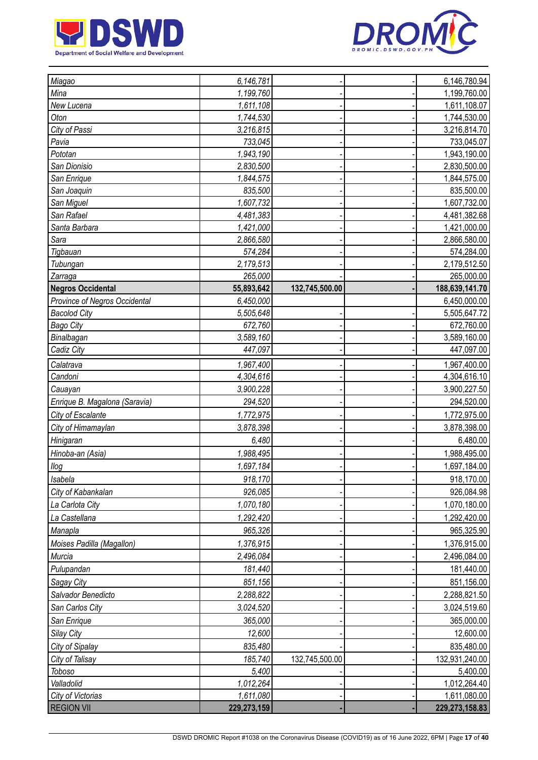



| Miagao                             | 6,146,781   |                | 6,146,780.94   |
|------------------------------------|-------------|----------------|----------------|
| Mina                               | 1,199,760   |                | 1,199,760.00   |
| New Lucena                         | 1,611,108   |                | 1,611,108.07   |
| Oton                               | 1,744,530   |                | 1,744,530.00   |
| City of Passi                      | 3,216,815   |                | 3,216,814.70   |
| Pavia                              | 733,045     |                | 733,045.07     |
| Pototan                            | 1,943,190   |                | 1,943,190.00   |
| San Dionisio                       | 2,830,500   |                | 2,830,500.00   |
| San Enrique                        | 1,844,575   |                | 1,844,575.00   |
| San Joaquin                        | 835,500     |                | 835,500.00     |
| San Miguel                         | 1,607,732   |                | 1,607,732.00   |
| San Rafael                         | 4,481,383   |                | 4,481,382.68   |
| Santa Barbara                      | 1,421,000   |                | 1,421,000.00   |
| Sara                               | 2,866,580   |                | 2,866,580.00   |
| Tigbauan                           | 574,284     |                | 574,284.00     |
| Tubungan                           | 2,179,513   |                | 2,179,512.50   |
| Zarraga                            | 265,000     |                | 265,000.00     |
| <b>Negros Occidental</b>           | 55,893,642  | 132,745,500.00 | 188,639,141.70 |
| Province of Negros Occidental      | 6,450,000   |                | 6,450,000.00   |
| <b>Bacolod City</b>                | 5,505,648   |                | 5,505,647.72   |
| <b>Bago City</b>                   | 672,760     |                | 672,760.00     |
| Binalbagan                         | 3,589,160   |                | 3,589,160.00   |
| Cadiz City                         | 447,097     |                | 447,097.00     |
| Calatrava                          | 1,967,400   |                | 1,967,400.00   |
| Candoni                            | 4,304,616   |                | 4,304,616.10   |
| Cauayan                            | 3,900,228   |                | 3,900,227.50   |
| Enrique B. Magalona (Saravia)      | 294,520     |                | 294,520.00     |
| City of Escalante                  | 1,772,975   |                | 1,772,975.00   |
| City of Himamaylan                 | 3,878,398   |                | 3,878,398.00   |
| Hinigaran                          | 6,480       |                | 6,480.00       |
| Hinoba-an (Asia)                   | 1,988,495   |                | 1,988,495.00   |
| $I\log$                            | 1,697,184   |                | 1,697,184.00   |
| <b>Isabela</b>                     | 918,170     |                | 918,170.00     |
| City of Kabankalan                 | 926,085     |                | 926,084.98     |
| La Carlota City                    | 1,070,180   |                | 1,070,180.00   |
| La Castellana                      | 1,292,420   |                | 1,292,420.00   |
| Manapla                            | 965,326     |                | 965,325.90     |
| Moises Padilla (Magallon)          | 1,376,915   |                | 1,376,915.00   |
| Murcia                             | 2,496,084   |                | 2,496,084.00   |
| Pulupandan                         | 181,440     |                | 181,440.00     |
| <b>Sagay City</b>                  | 851,156     |                | 851,156.00     |
| Salvador Benedicto                 | 2,288,822   |                | 2,288,821.50   |
| San Carlos City                    | 3,024,520   |                | 3,024,519.60   |
| San Enrique                        | 365,000     |                | 365,000.00     |
| Silay City                         | 12,600      |                | 12,600.00      |
|                                    | 835,480     |                | 835,480.00     |
| City of Sipalay<br>City of Talisay | 185,740     | 132,745,500.00 | 132,931,240.00 |
| Toboso                             | 5,400       |                | 5,400.00       |
| Valladolid                         | 1,012,264   |                | 1,012,264.40   |
| City of Victorias                  | 1,611,080   |                | 1,611,080.00   |
| <b>REGION VII</b>                  | 229,273,159 |                | 229,273,158.83 |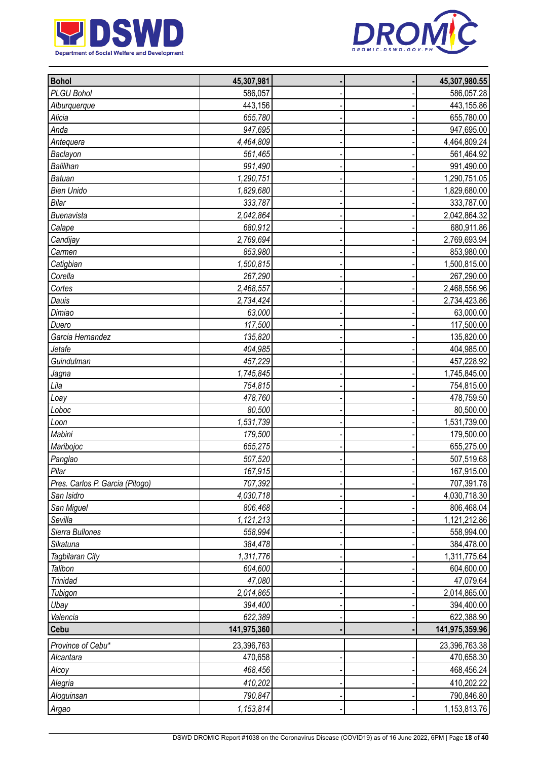



| <b>Bohol</b>                    | 45,307,981  |  | 45,307,980.55  |
|---------------------------------|-------------|--|----------------|
| PLGU Bohol                      | 586,057     |  | 586,057.28     |
| Alburquerque                    | 443,156     |  | 443,155.86     |
| Alicia                          | 655,780     |  | 655,780.00     |
| Anda                            | 947,695     |  | 947,695.00     |
| Antequera                       | 4,464,809   |  | 4,464,809.24   |
| Baclayon                        | 561,465     |  | 561,464.92     |
| <b>Balilihan</b>                | 991,490     |  | 991,490.00     |
| <b>Batuan</b>                   | 1,290,751   |  | 1,290,751.05   |
| <b>Bien Unido</b>               | 1,829,680   |  | 1,829,680.00   |
| Bilar                           | 333,787     |  | 333,787.00     |
| Buenavista                      | 2,042,864   |  | 2,042,864.32   |
| Calape                          | 680,912     |  | 680,911.86     |
| Candijay                        | 2,769,694   |  | 2,769,693.94   |
| Carmen                          | 853,980     |  | 853,980.00     |
| Catigbian                       | 1,500,815   |  | 1,500,815.00   |
| Corella                         | 267,290     |  | 267,290.00     |
| Cortes                          | 2,468,557   |  | 2,468,556.96   |
| Dauis                           | 2,734,424   |  | 2,734,423.86   |
| Dimiao                          | 63,000      |  | 63,000.00      |
| Duero                           | 117,500     |  | 117,500.00     |
| Garcia Hernandez                | 135,820     |  | 135,820.00     |
| Jetafe                          | 404,985     |  | 404,985.00     |
| Guindulman                      | 457,229     |  | 457,228.92     |
| Jagna                           | 1,745,845   |  | 1,745,845.00   |
| Lila                            | 754,815     |  | 754,815.00     |
| Loay                            | 478,760     |  | 478,759.50     |
| Loboc                           | 80,500      |  | 80,500.00      |
| Loon                            | 1,531,739   |  | 1,531,739.00   |
| Mabini                          | 179,500     |  | 179,500.00     |
| Maribojoc                       | 655,275     |  | 655,275.00     |
| Panglao                         | 507,520     |  | 507,519.68     |
| Pilar                           | 167,915     |  | 167,915.00     |
| Pres. Carlos P. Garcia (Pitogo) | 707,392     |  | 707,391.78     |
| San Isidro                      | 4,030,718   |  | 4,030,718.30   |
| San Miguel                      | 806,468     |  | 806,468.04     |
| Sevilla                         | 1,121,213   |  | 1,121,212.86   |
| Sierra Bullones                 | 558,994     |  | 558,994.00     |
| Sikatuna                        | 384,478     |  | 384,478.00     |
| Tagbilaran City                 | 1,311,776   |  | 1,311,775.64   |
| Talibon                         | 604,600     |  | 604,600.00     |
| <b>Trinidad</b>                 | 47,080      |  | 47,079.64      |
|                                 | 2,014,865   |  | 2,014,865.00   |
| Tubigon                         | 394,400     |  | 394,400.00     |
| Ubay                            | 622,389     |  |                |
| Valencia<br>Cebu                | 141,975,360 |  | 622,388.90     |
|                                 |             |  | 141,975,359.96 |
| Province of Cebu*               | 23,396,763  |  | 23,396,763.38  |
| Alcantara                       | 470,658     |  | 470,658.30     |
| Alcoy                           | 468,456     |  | 468,456.24     |
| Alegria                         | 410,202     |  | 410,202.22     |
| Aloguinsan                      | 790,847     |  | 790,846.80     |
| Argao                           | 1,153,814   |  | 1,153,813.76   |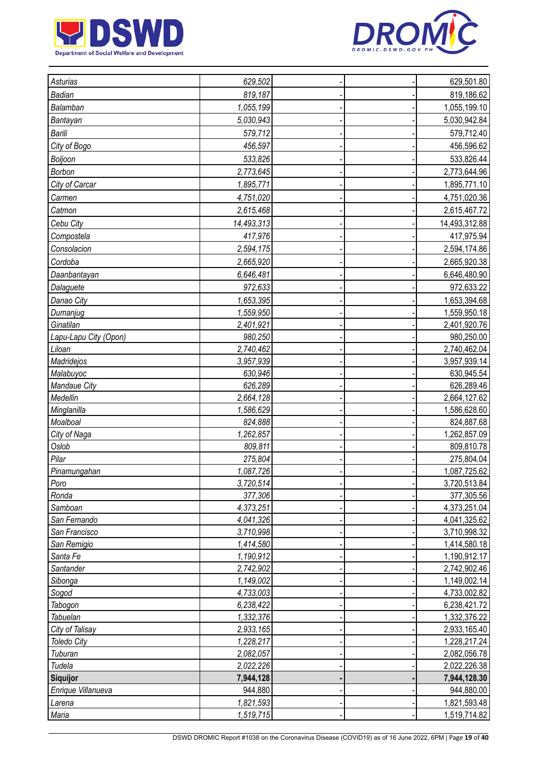



| Asturias              | 629,502    |  | 629,501.80    |
|-----------------------|------------|--|---------------|
| Badian                | 819,187    |  | 819,186.62    |
| Balamban              | 1,055,199  |  | 1,055,199.10  |
| Bantayan              | 5,030,943  |  | 5,030,942.84  |
| Barili                | 579,712    |  | 579,712.40    |
| City of Bogo          | 456,597    |  | 456,596.62    |
|                       |            |  |               |
| Boljoon               | 533,826    |  | 533,826.44    |
| Borbon                | 2,773,645  |  | 2,773,644.96  |
| City of Carcar        | 1,895,771  |  | 1,895,771.10  |
| Carmen                | 4,751,020  |  | 4,751,020.36  |
| Catmon                | 2,615,468  |  | 2,615,467.72  |
| Cebu City             | 14,493,313 |  | 14,493,312.88 |
| Compostela            | 417,976    |  | 417,975.94    |
| Consolacion           | 2,594,175  |  | 2,594,174.86  |
| Cordoba               | 2,665,920  |  | 2,665,920.38  |
| Daanbantayan          | 6,646,481  |  | 6,646,480.90  |
| Dalaguete             | 972,633    |  | 972,633.22    |
| Danao City            | 1,653,395  |  | 1,653,394.68  |
| Dumanjug              | 1,559,950  |  | 1,559,950.18  |
| Ginatilan             | 2,401,921  |  | 2,401,920.76  |
| Lapu-Lapu City (Opon) | 980,250    |  | 980,250.00    |
| Liloan                | 2,740,462  |  | 2,740,462.04  |
| Madridejos            | 3,957,939  |  | 3,957,939.14  |
| Malabuyoc             | 630,946    |  | 630,945.54    |
| Mandaue City          | 626,289    |  | 626,289.46    |
| Medellin              | 2,664,128  |  | 2,664,127.62  |
| Minglanilla           | 1,586,629  |  | 1,586,628.60  |
| Moalboal              | 824,888    |  | 824,887.68    |
| City of Naga          | 1,262,857  |  | 1,262,857.09  |
| Oslob                 | 809,811    |  | 809,810.78    |
| Pilar                 | 275,804    |  | 275,804.04    |
| Pinamungahan          | 1,087,726  |  | 1,087,725.62  |
| Poro                  | 3,720,514  |  | 3,720,513.84  |
| Ronda                 | 377,306    |  | 377,305.56    |
| Samboan               | 4,373,251  |  | 4,373,251.04  |
| San Fernando          | 4,041,326  |  | 4,041,325.62  |
| San Francisco         | 3,710,998  |  | 3,710,998.32  |
| San Remigio           | 1,414,580  |  | 1,414,580.18  |
| Santa Fe              | 1,190,912  |  | 1,190,912.17  |
| Santander             | 2,742,902  |  | 2,742,902.46  |
| Sibonga               | 1,149,002  |  | 1,149,002.14  |
| Sogod                 | 4,733,003  |  | 4,733,002.82  |
| Tabogon               | 6,238,422  |  | 6,238,421.72  |
| Tabuelan              | 1,332,376  |  | 1,332,376.22  |
| City of Talisay       | 2,933,165  |  | 2,933,165.40  |
| <b>Toledo City</b>    | 1,228,217  |  | 1,228,217.24  |
| Tuburan               | 2,082,057  |  | 2,082,056.78  |
| Tudela                | 2,022,226  |  | 2,022,226.38  |
| Siquijor              | 7,944,128  |  | 7,944,128.30  |
| Enrique Villanueva    | 944,880    |  | 944,880.00    |
| Larena                | 1,821,593  |  | 1,821,593.48  |
| Maria                 | 1,519,715  |  | 1,519,714.82  |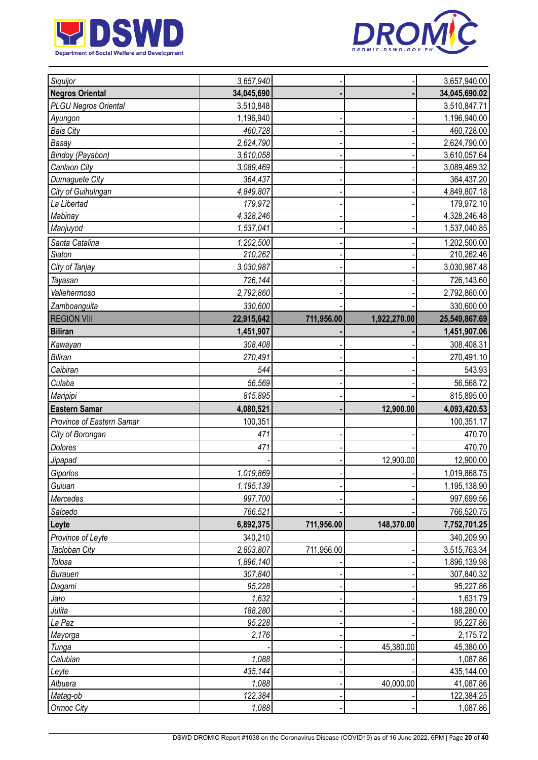



| Siquijor                                          | 3,657,940        |            |              | 3,657,940.00           |
|---------------------------------------------------|------------------|------------|--------------|------------------------|
| <b>Negros Oriental</b>                            | 34,045,690       |            |              | 34,045,690.02          |
| <b>PLGU Negros Oriental</b>                       | 3,510,848        |            |              | 3,510,847.71           |
| Ayungon                                           | 1,196,940        |            |              | 1,196,940.00           |
| <b>Bais City</b>                                  | 460,728          |            |              | 460,728.00             |
| Basay                                             | 2,624,790        |            |              | 2,624,790.00           |
| Bindoy (Payabon)                                  | 3,610,058        |            |              | 3,610,057.64           |
| Canlaon City                                      | 3,089,469        |            |              | 3,089,469.32           |
| Dumaguete City                                    | 364,437          |            |              | 364,437.20             |
| City of Guihulngan                                | 4,849,807        |            |              | 4,849,807.18           |
| La Libertad                                       | 179,972          |            |              | 179,972.10             |
| Mabinay                                           | 4,328,246        |            |              | 4,328,246.48           |
| Manjuyod                                          | 1,537,041        |            |              | 1,537,040.85           |
| Santa Catalina                                    | 1,202,500        |            |              | 1,202,500.00           |
| <b>Siaton</b>                                     | 210,262          |            |              | 210,262.46             |
| City of Tanjay                                    | 3,030,987        |            |              | 3,030,987.48           |
| Tayasan                                           | 726,144          |            |              | 726,143.60             |
| Vallehermoso                                      | 2,792,860        |            |              | 2,792,860.00           |
| Zamboanguita                                      | 330,600          |            |              | 330,600.00             |
| <b>REGION VIII</b>                                | 22,915,642       | 711,956.00 | 1,922,270.00 | 25,549,867.69          |
| <b>Biliran</b>                                    | 1,451,907        |            |              | 1,451,907.06           |
| Kawayan                                           | 308,408          |            |              | 308,408.31             |
| <b>Biliran</b>                                    | 270,491          |            |              | 270,491.10             |
| Caibiran                                          | 544              |            |              | 543.93                 |
|                                                   |                  |            |              |                        |
| Culaba                                            | 56,569           |            |              | 56,568.72              |
| Maripipi                                          | 815,895          |            |              | 815,895.00             |
| <b>Eastern Samar</b><br>Province of Eastern Samar | 4,080,521        |            | 12,900.00    | 4,093,420.53           |
|                                                   | 100,351          |            |              | 100,351.17             |
| City of Borongan                                  | 471              |            |              | 470.70                 |
| Dolores                                           | 471              |            |              | 470.70                 |
| Jipapad                                           |                  |            | 12,900.00    | 12,900.00              |
| Giporlos                                          | 1,019,869        |            |              | 1,019,868.75           |
| Guiuan                                            | 1,195,139        |            |              | 1,195,138.90           |
| Mercedes                                          | 997,700          |            |              | 997,699.56             |
| Salcedo                                           | 766,521          |            |              | 766,520.75             |
| Leyte                                             | 6,892,375        | 711,956.00 | 148,370.00   | 7,752,701.25           |
| Province of Leyte                                 | 340,210          |            |              | 340,209.90             |
| Tacloban City                                     | 2,803,807        | 711,956.00 |              | 3,515,763.34           |
| Tolosa                                            | 1,896,140        |            |              | 1,896,139.98           |
| <b>Burauen</b>                                    | 307,840          |            |              | 307,840.32             |
| Dagami                                            |                  |            |              |                        |
|                                                   | 95,228           |            |              | 95,227.86              |
| Jaro                                              | 1,632            |            |              | 1,631.79               |
| Julita                                            | 188,280          |            |              | 188,280.00             |
| La Paz                                            | 95,228           |            |              | 95,227.86              |
| Mayorga                                           | 2,176            |            |              | 2,175.72               |
| Tunga                                             |                  |            | 45,380.00    | 45,380.00              |
| Calubian                                          | 1,088            |            |              | 1,087.86               |
| Leyte                                             | 435,144          |            |              | 435,144.00             |
| Albuera                                           | 1,088            |            | 40,000.00    | 41,087.86              |
| Matag-ob<br>Ormoc City                            | 122,384<br>1,088 |            |              | 122,384.25<br>1,087.86 |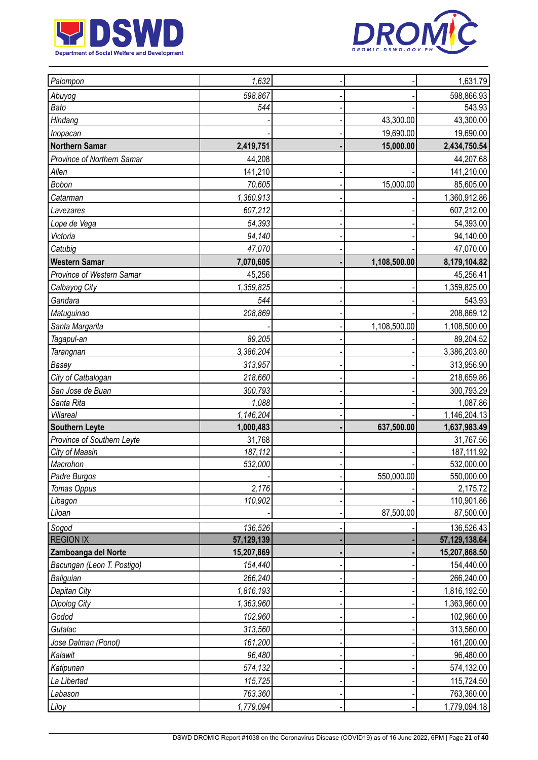



| Palompon                   | 1,632      |              | 1,631.79        |
|----------------------------|------------|--------------|-----------------|
| Abuyog                     | 598,867    |              | 598,866.93      |
| Bato                       | 544        |              | 543.93          |
| Hindang                    |            | 43,300.00    | 43,300.00       |
| Inopacan                   |            | 19,690.00    | 19,690.00       |
| <b>Northern Samar</b>      | 2,419,751  | 15,000.00    | 2,434,750.54    |
| Province of Northern Samar | 44,208     |              | 44,207.68       |
| Allen                      | 141,210    |              | 141,210.00      |
| Bobon                      | 70,605     | 15,000.00    | 85,605.00       |
| Catarman                   | 1,360,913  |              | 1,360,912.86    |
| Lavezares                  | 607,212    |              | 607,212.00      |
| Lope de Vega               | 54,393     |              | 54,393.00       |
| Victoria                   | 94,140     |              | 94,140.00       |
| Catubig                    | 47,070     |              | 47,070.00       |
| <b>Western Samar</b>       | 7,070,605  | 1,108,500.00 | 8,179,104.82    |
| Province of Western Samar  | 45,256     |              | 45,256.41       |
| Calbayog City              | 1,359,825  |              | 1,359,825.00    |
| Gandara                    | 544        |              | 543.93          |
| Matuguinao                 | 208,869    |              | 208,869.12      |
| Santa Margarita            |            | 1,108,500.00 | 1,108,500.00    |
| Tagapul-an                 | 89,205     |              | 89,204.52       |
| <b>Tarangnan</b>           | 3,386,204  |              | 3,386,203.80    |
| Basey                      | 313,957    |              | 313,956.90      |
| City of Catbalogan         | 218,660    |              | 218,659.86      |
| San Jose de Buan           | 300,793    |              | 300,793.29      |
| Santa Rita                 | 1,088      |              | 1,087.86        |
| Villareal                  | 1,146,204  |              | 1,146,204.13    |
| <b>Southern Leyte</b>      | 1,000,483  | 637,500.00   | 1,637,983.49    |
| Province of Southern Leyte | 31,768     |              | 31,767.56       |
| City of Maasin             | 187,112    |              | 187,111.92      |
| Macrohon                   | 532,000    |              | 532,000.00      |
| Padre Burgos               |            | 550,000.00   | 550,000.00      |
| Tomas Oppus                | 2,176      |              | 2,175.72        |
| Libagon                    | 110,902    |              | 110,901.86      |
| Liloan                     |            | 87,500.00    | 87,500.00       |
| Sogod                      | 136,526    |              | 136,526.43      |
| <b>REGION IX</b>           | 57,129,139 |              | 57, 129, 138.64 |
| Zamboanga del Norte        | 15,207,869 |              | 15,207,868.50   |
| Bacungan (Leon T. Postigo) | 154,440    |              | 154,440.00      |
| Baliguian                  | 266,240    |              | 266,240.00      |
| Dapitan City               | 1,816,193  |              | 1,816,192.50    |
| Dipolog City               | 1,363,960  |              | 1,363,960.00    |
| Godod                      | 102,960    |              | 102,960.00      |
| Gutalac                    | 313,560    |              | 313,560.00      |
| Jose Dalman (Ponot)        | 161,200    |              | 161,200.00      |
| Kalawit                    | 96,480     |              | 96,480.00       |
| Katipunan                  | 574,132    |              | 574,132.00      |
| La Libertad                | 115,725    |              | 115,724.50      |
| Labason                    | 763,360    |              | 763,360.00      |
| Liloy                      | 1,779,094  |              | 1,779,094.18    |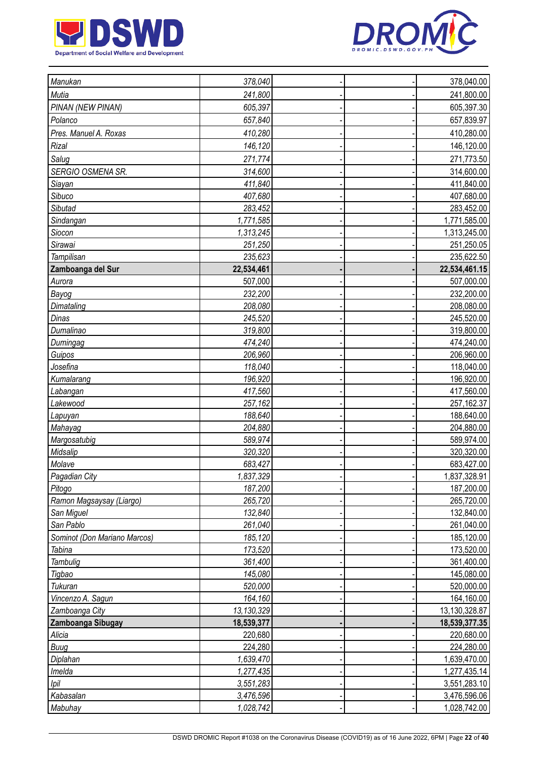



| Manukan                      | 378,040    |  | 378,040.00    |
|------------------------------|------------|--|---------------|
| Mutia                        | 241,800    |  | 241,800.00    |
| PINAN (NEW PINAN)            | 605,397    |  | 605,397.30    |
| Polanco                      | 657,840    |  | 657,839.97    |
| Pres. Manuel A. Roxas        | 410,280    |  | 410,280.00    |
| Rizal                        | 146,120    |  | 146,120.00    |
| Salug                        | 271,774    |  | 271,773.50    |
| SERGIO OSMENA SR.            | 314,600    |  | 314,600.00    |
| Siayan                       | 411,840    |  | 411,840.00    |
| Sibuco                       | 407,680    |  | 407,680.00    |
| Sibutad                      | 283,452    |  | 283,452.00    |
| Sindangan                    | 1,771,585  |  | 1,771,585.00  |
| Siocon                       | 1,313,245  |  | 1,313,245.00  |
| Sirawai                      | 251,250    |  | 251,250.05    |
| Tampilisan                   | 235,623    |  | 235,622.50    |
| Zamboanga del Sur            | 22,534,461 |  | 22,534,461.15 |
| Aurora                       | 507,000    |  | 507,000.00    |
| Bayog                        | 232,200    |  | 232,200.00    |
| Dimataling                   | 208,080    |  | 208,080.00    |
| Dinas                        | 245,520    |  | 245,520.00    |
| Dumalinao                    | 319,800    |  | 319,800.00    |
| Dumingag                     | 474,240    |  | 474,240.00    |
| Guipos                       | 206,960    |  | 206,960.00    |
| Josefina                     | 118,040    |  | 118,040.00    |
| Kumalarang                   | 196,920    |  | 196,920.00    |
| Labangan                     | 417,560    |  | 417,560.00    |
| Lakewood                     | 257,162    |  | 257,162.37    |
| Lapuyan                      | 188,640    |  | 188,640.00    |
| Mahayag                      | 204,880    |  | 204,880.00    |
| Margosatubig                 | 589,974    |  | 589,974.00    |
| Midsalip                     | 320,320    |  | 320,320.00    |
| Molave                       | 683,427    |  | 683,427.00    |
| Pagadian City                | 1,837,329  |  | 1,837,328.91  |
| Pitogo                       | 187,200    |  | 187,200.00    |
| Ramon Magsaysay (Liargo)     | 265,720    |  | 265,720.00    |
| San Miguel                   | 132,840    |  | 132,840.00    |
| San Pablo                    | 261,040    |  | 261,040.00    |
| Sominot (Don Mariano Marcos) | 185,120    |  | 185,120.00    |
| Tabina                       | 173,520    |  | 173,520.00    |
| <b>Tambulig</b>              | 361,400    |  | 361,400.00    |
| Tigbao                       | 145,080    |  | 145,080.00    |
| Tukuran                      | 520,000    |  | 520,000.00    |
| Vincenzo A. Sagun            | 164,160    |  | 164,160.00    |
| Zamboanga City               | 13,130,329 |  | 13,130,328.87 |
| Zamboanga Sibugay            | 18,539,377 |  | 18,539,377.35 |
| Alicia                       | 220,680    |  | 220,680.00    |
| Buug                         | 224,280    |  | 224,280.00    |
| Diplahan                     | 1,639,470  |  | 1,639,470.00  |
| Imelda                       | 1,277,435  |  | 1,277,435.14  |
| Ipil                         | 3,551,283  |  | 3,551,283.10  |
| Kabasalan                    | 3,476,596  |  | 3,476,596.06  |
| Mabuhay                      | 1,028,742  |  | 1,028,742.00  |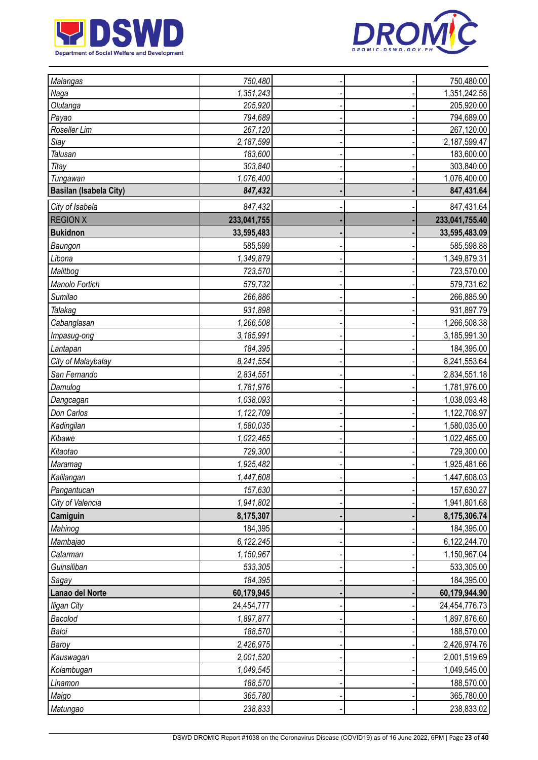



| <b>Malangas</b>               | 750,480     |  | 750,480.00     |
|-------------------------------|-------------|--|----------------|
| Naga                          | 1,351,243   |  | 1,351,242.58   |
| Olutanga                      | 205,920     |  | 205,920.00     |
| Payao                         | 794,689     |  | 794,689.00     |
| Roseller Lim                  | 267,120     |  | 267,120.00     |
| Siay                          | 2,187,599   |  | 2,187,599.47   |
| Talusan                       | 183,600     |  | 183,600.00     |
| Titay                         | 303,840     |  | 303,840.00     |
| Tungawan                      | 1,076,400   |  | 1,076,400.00   |
| <b>Basilan (Isabela City)</b> | 847,432     |  | 847,431.64     |
| City of Isabela               | 847,432     |  | 847,431.64     |
| <b>REGION X</b>               | 233,041,755 |  | 233,041,755.40 |
| <b>Bukidnon</b>               | 33,595,483  |  | 33,595,483.09  |
| Baungon                       | 585,599     |  | 585,598.88     |
| Libona                        | 1,349,879   |  | 1,349,879.31   |
| Malitbog                      | 723,570     |  | 723,570.00     |
| Manolo Fortich                | 579,732     |  | 579,731.62     |
| Sumilao                       | 266,886     |  | 266,885.90     |
| Talakag                       | 931,898     |  | 931,897.79     |
| Cabanglasan                   | 1,266,508   |  | 1,266,508.38   |
| Impasug-ong                   | 3,185,991   |  | 3,185,991.30   |
| Lantapan                      | 184,395     |  | 184,395.00     |
| City of Malaybalay            | 8,241,554   |  | 8,241,553.64   |
| San Fernando                  | 2,834,551   |  | 2,834,551.18   |
| Damulog                       | 1,781,976   |  | 1,781,976.00   |
| Dangcagan                     | 1,038,093   |  | 1,038,093.48   |
| Don Carlos                    | 1,122,709   |  | 1,122,708.97   |
| Kadingilan                    | 1,580,035   |  | 1,580,035.00   |
| Kibawe                        | 1,022,465   |  | 1,022,465.00   |
| Kitaotao                      | 729,300     |  | 729,300.00     |
| Maramag                       | 1,925,482   |  | 1,925,481.66   |
| Kalilangan                    | 1,447,608   |  | 1,447,608.03   |
| Pangantucan                   | 157,630     |  | 157,630.27     |
| City of Valencia              | 1,941,802   |  | 1,941,801.68   |
| Camiguin                      | 8,175,307   |  | 8,175,306.74   |
| Mahinog                       | 184,395     |  | 184,395.00     |
| Mambajao                      | 6,122,245   |  | 6,122,244.70   |
| Catarman                      | 1,150,967   |  | 1,150,967.04   |
| Guinsiliban                   | 533,305     |  | 533,305.00     |
| Sagay                         | 184,395     |  | 184,395.00     |
| Lanao del Norte               | 60,179,945  |  | 60,179,944.90  |
| <b>Iligan City</b>            | 24,454,777  |  | 24,454,776.73  |
| Bacolod                       | 1,897,877   |  | 1,897,876.60   |
| Baloi                         | 188,570     |  | 188,570.00     |
| Baroy                         | 2,426,975   |  | 2,426,974.76   |
| Kauswagan                     | 2,001,520   |  | 2,001,519.69   |
| Kolambugan                    | 1,049,545   |  | 1,049,545.00   |
| Linamon                       | 188,570     |  | 188,570.00     |
| Maigo                         | 365,780     |  | 365,780.00     |
| Matungao                      | 238,833     |  | 238,833.02     |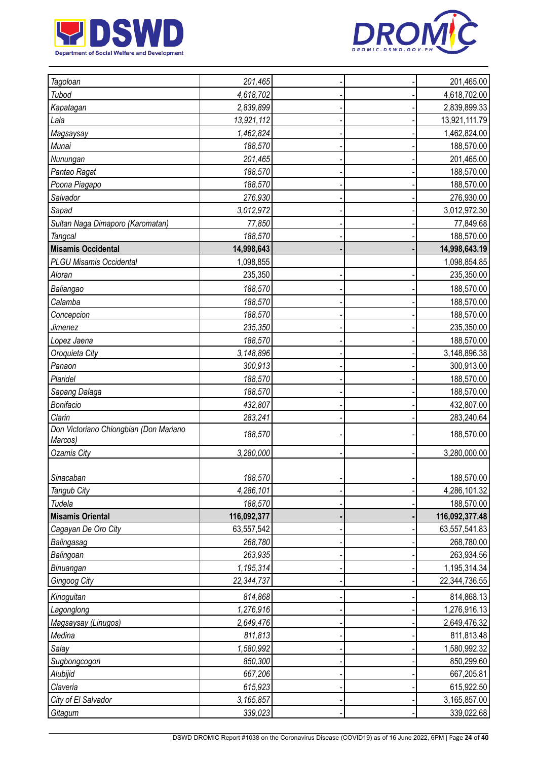



| Tagoloan                                          | 201,465     |  | 201,465.00     |
|---------------------------------------------------|-------------|--|----------------|
| Tubod                                             | 4,618,702   |  | 4,618,702.00   |
| Kapatagan                                         | 2,839,899   |  | 2,839,899.33   |
| Lala                                              | 13,921,112  |  | 13,921,111.79  |
| Magsaysay                                         | 1,462,824   |  | 1,462,824.00   |
| Munai                                             | 188,570     |  | 188,570.00     |
| Nunungan                                          | 201,465     |  | 201,465.00     |
| Pantao Ragat                                      | 188,570     |  | 188,570.00     |
| Poona Piagapo                                     | 188,570     |  | 188,570.00     |
| Salvador                                          | 276,930     |  | 276,930.00     |
| Sapad                                             | 3,012,972   |  | 3,012,972.30   |
| Sultan Naga Dimaporo (Karomatan)                  | 77,850      |  | 77,849.68      |
| <b>Tangcal</b>                                    | 188,570     |  | 188,570.00     |
| <b>Misamis Occidental</b>                         | 14,998,643  |  | 14,998,643.19  |
| <b>PLGU Misamis Occidental</b>                    | 1,098,855   |  | 1,098,854.85   |
| Aloran                                            | 235,350     |  | 235,350.00     |
| Baliangao                                         | 188,570     |  | 188,570.00     |
| Calamba                                           | 188,570     |  | 188,570.00     |
| Concepcion                                        | 188,570     |  | 188,570.00     |
| Jimenez                                           | 235,350     |  | 235,350.00     |
| Lopez Jaena                                       | 188,570     |  | 188,570.00     |
| Oroquieta City                                    | 3,148,896   |  | 3,148,896.38   |
| Panaon                                            | 300,913     |  | 300,913.00     |
| Plaridel                                          | 188,570     |  | 188,570.00     |
| Sapang Dalaga                                     | 188,570     |  | 188,570.00     |
| Bonifacio                                         | 432,807     |  | 432,807.00     |
| Clarin                                            | 283,241     |  | 283,240.64     |
| Don Victoriano Chiongbian (Don Mariano<br>Marcos) | 188,570     |  | 188,570.00     |
| <b>Ozamis City</b>                                | 3,280,000   |  | 3,280,000.00   |
| Sinacaban                                         | 188,570     |  | 188,570.00     |
| Tangub City                                       | 4,286,101   |  | 4,286,101.32   |
| Tudela                                            | 188,570     |  | 188,570.00     |
| <b>Misamis Oriental</b>                           | 116,092,377 |  | 116,092,377.48 |
| Cagayan De Oro City                               | 63,557,542  |  | 63,557,541.83  |
| Balingasag                                        | 268,780     |  | 268,780.00     |
| Balingoan                                         | 263,935     |  | 263,934.56     |
| Binuangan                                         | 1,195,314   |  | 1,195,314.34   |
| Gingoog City                                      | 22,344,737  |  | 22,344,736.55  |
| Kinoguitan                                        | 814,868     |  | 814,868.13     |
| Lagonglong                                        | 1,276,916   |  | 1,276,916.13   |
| Magsaysay (Linugos)                               | 2,649,476   |  | 2,649,476.32   |
| Medina                                            | 811,813     |  | 811,813.48     |
| Salay                                             | 1,580,992   |  | 1,580,992.32   |
| Sugbongcogon                                      | 850,300     |  | 850,299.60     |
| Alubijid                                          | 667,206     |  | 667,205.81     |
| Claveria                                          | 615,923     |  | 615,922.50     |
| City of El Salvador                               | 3,165,857   |  | 3,165,857.00   |
| Gitagum                                           | 339,023     |  | 339,022.68     |
|                                                   |             |  |                |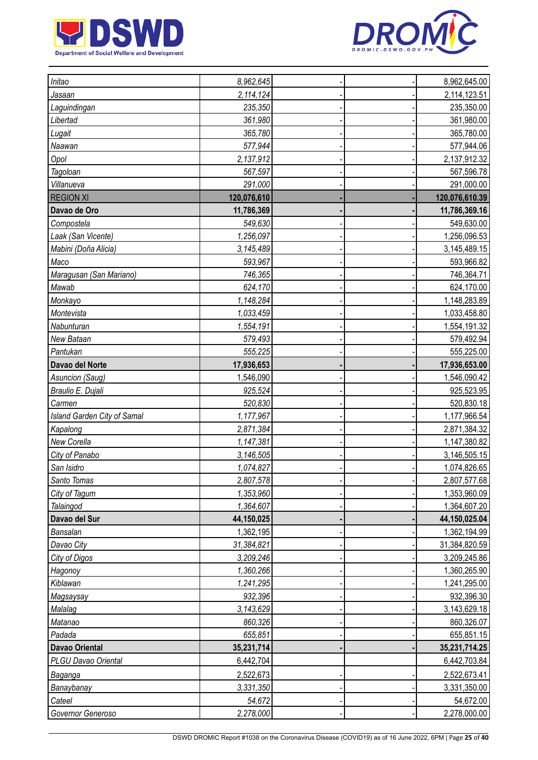



| Initao                      | 8,962,645   |  | 8,962,645.00   |
|-----------------------------|-------------|--|----------------|
| Jasaan                      | 2,114,124   |  | 2,114,123.51   |
| Laguindingan                | 235,350     |  | 235,350.00     |
| Libertad                    | 361,980     |  | 361,980.00     |
| Lugait                      | 365,780     |  | 365,780.00     |
| Naawan                      | 577,944     |  | 577,944.06     |
| Opol                        | 2,137,912   |  | 2,137,912.32   |
| Tagoloan                    | 567,597     |  | 567,596.78     |
| Villanueva                  | 291,000     |  | 291,000.00     |
| <b>REGION XI</b>            | 120,076,610 |  | 120,076,610.39 |
| Davao de Oro                | 11,786,369  |  | 11,786,369.16  |
| Compostela                  | 549,630     |  | 549,630.00     |
| Laak (San Vicente)          | 1,256,097   |  | 1,256,096.53   |
| Mabini (Doña Alicia)        | 3,145,489   |  | 3,145,489.15   |
| Maco                        | 593,967     |  | 593,966.82     |
| Maragusan (San Mariano)     | 746,365     |  | 746,364.71     |
| Mawab                       | 624,170     |  | 624,170.00     |
| Monkayo                     | 1,148,284   |  | 1,148,283.89   |
| Montevista                  | 1,033,459   |  | 1,033,458.80   |
| Nabunturan                  | 1,554,191   |  | 1,554,191.32   |
| New Bataan                  | 579,493     |  | 579,492.94     |
| Pantukan                    | 555,225     |  | 555,225.00     |
| Davao del Norte             | 17,936,653  |  | 17,936,653.00  |
| Asuncion (Saug)             | 1,546,090   |  | 1,546,090.42   |
| Braulio E. Dujali           | 925,524     |  | 925,523.95     |
| Carmen                      | 520,830     |  | 520,830.18     |
| Island Garden City of Samal | 1,177,967   |  | 1,177,966.54   |
| Kapalong                    | 2,871,384   |  | 2,871,384.32   |
| New Corella                 | 1,147,381   |  | 1,147,380.82   |
| City of Panabo              | 3,146,505   |  | 3,146,505.15   |
| San Isidro                  | 1,074,827   |  | 1,074,826.65   |
| Santo Tomas                 | 2,807,578   |  | 2,807,577.68   |
| City of Tagum               | 1,353,960   |  | 1,353,960.09   |
| Talaingod                   | 1,364,607   |  | 1,364,607.20   |
| Davao del Sur               | 44,150,025  |  | 44,150,025.04  |
| Bansalan                    | 1,362,195   |  | 1,362,194.99   |
| Davao City                  | 31,384,821  |  | 31,384,820.59  |
| City of Digos               | 3,209,246   |  | 3,209,245.86   |
| Hagonoy                     | 1,360,266   |  | 1,360,265.90   |
| Kiblawan                    | 1,241,295   |  | 1,241,295.00   |
| Magsaysay                   | 932,396     |  | 932,396.30     |
| Malalag                     | 3,143,629   |  | 3,143,629.18   |
| Matanao                     | 860,326     |  | 860,326.07     |
| Padada                      | 655,851     |  | 655,851.15     |
| <b>Davao Oriental</b>       | 35,231,714  |  | 35,231,714.25  |
| PLGU Davao Oriental         | 6,442,704   |  | 6,442,703.84   |
| Baganga                     | 2,522,673   |  | 2,522,673.41   |
| Banaybanay                  | 3,331,350   |  | 3,331,350.00   |
| Cateel                      | 54,672      |  | 54,672.00      |
| Governor Generoso           | 2,278,000   |  | 2,278,000.00   |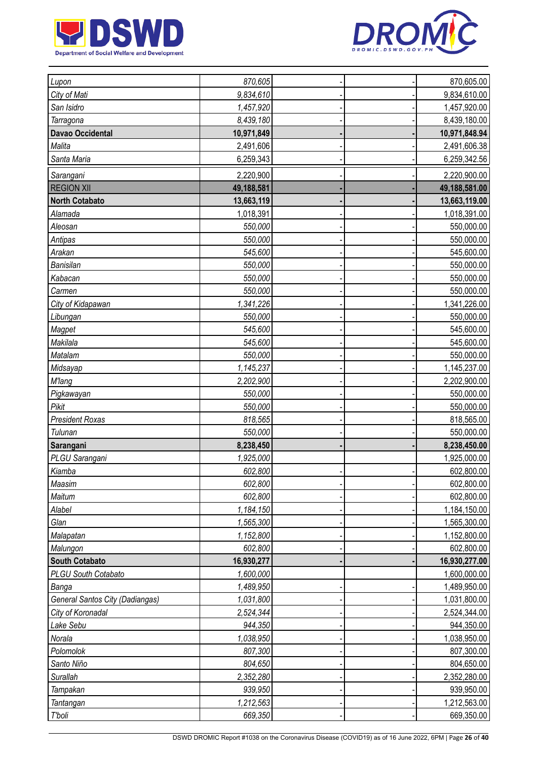



| Lupon                                  | 870,605    |  | 870,605.00    |
|----------------------------------------|------------|--|---------------|
| City of Mati                           | 9,834,610  |  | 9,834,610.00  |
| San Isidro                             | 1,457,920  |  | 1,457,920.00  |
| Tarragona                              | 8,439,180  |  | 8,439,180.00  |
| Davao Occidental                       | 10,971,849 |  | 10,971,848.94 |
| Malita                                 | 2,491,606  |  | 2,491,606.38  |
| Santa Maria                            | 6,259,343  |  | 6,259,342.56  |
| Sarangani                              | 2,220,900  |  | 2,220,900.00  |
| <b>REGION XII</b>                      | 49,188,581 |  | 49,188,581.00 |
| <b>North Cotabato</b>                  | 13,663,119 |  | 13,663,119.00 |
| Alamada                                | 1,018,391  |  | 1,018,391.00  |
| Aleosan                                | 550,000    |  | 550,000.00    |
| Antipas                                | 550,000    |  | 550,000.00    |
| Arakan                                 | 545,600    |  | 545,600.00    |
| Banisilan                              | 550,000    |  | 550,000.00    |
| Kabacan                                | 550,000    |  | 550,000.00    |
| Carmen                                 | 550,000    |  | 550,000.00    |
| City of Kidapawan                      | 1,341,226  |  | 1,341,226.00  |
| Libungan                               | 550,000    |  | 550,000.00    |
| Magpet                                 | 545,600    |  | 545,600.00    |
| Makilala                               | 545,600    |  | 545,600.00    |
| Matalam                                | 550,000    |  | 550,000.00    |
| Midsayap                               | 1,145,237  |  | 1,145,237.00  |
| <b>M'lang</b>                          | 2,202,900  |  | 2,202,900.00  |
| Pigkawayan                             | 550,000    |  | 550,000.00    |
| Pikit                                  | 550,000    |  | 550,000.00    |
| <b>President Roxas</b>                 | 818,565    |  | 818,565.00    |
| Tulunan                                | 550,000    |  | 550,000.00    |
| Sarangani                              | 8,238,450  |  | 8,238,450.00  |
| PLGU Sarangani                         | 1,925,000  |  | 1,925,000.00  |
| Kiamba                                 | 602,800    |  | 602,800.00    |
| Maasim                                 | 602,800    |  | 602,800.00    |
| Maitum                                 | 602,800    |  | 602,800.00    |
| Alabel                                 | 1,184,150  |  | 1,184,150.00  |
| Glan                                   | 1,565,300  |  | 1,565,300.00  |
| Malapatan                              | 1,152,800  |  | 1,152,800.00  |
| Malungon                               | 602,800    |  | 602,800.00    |
| <b>South Cotabato</b>                  | 16,930,277 |  | 16,930,277.00 |
| PLGU South Cotabato                    | 1,600,000  |  | 1,600,000.00  |
| Banga                                  | 1,489,950  |  | 1,489,950.00  |
| <b>General Santos City (Dadiangas)</b> | 1,031,800  |  | 1,031,800.00  |
| City of Koronadal                      | 2,524,344  |  | 2,524,344.00  |
| Lake Sebu                              | 944,350    |  | 944,350.00    |
| Norala                                 | 1,038,950  |  | 1,038,950.00  |
| Polomolok                              | 807,300    |  | 807,300.00    |
| Santo Niño                             | 804,650    |  | 804,650.00    |
| Surallah                               | 2,352,280  |  | 2,352,280.00  |
| Tampakan                               | 939,950    |  | 939,950.00    |
| Tantangan                              | 1,212,563  |  | 1,212,563.00  |
| T'boli                                 | 669,350    |  | 669,350.00    |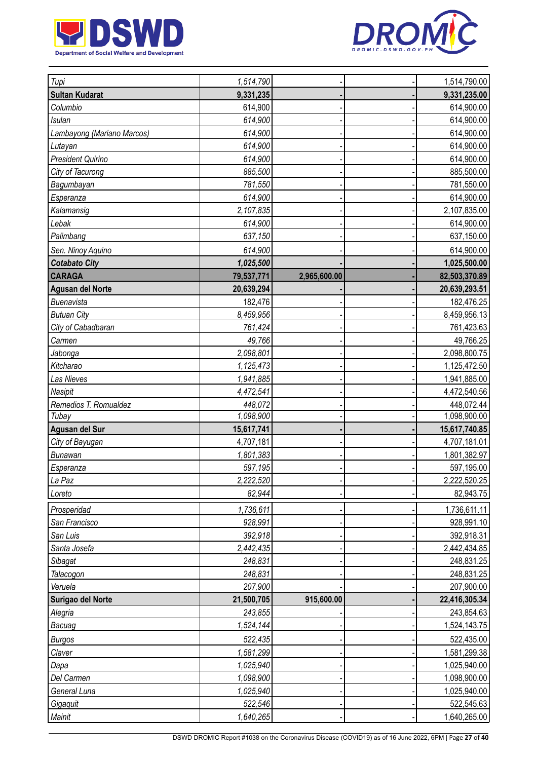



| Tupi                       | 1,514,790  |              | 1,514,790.00  |
|----------------------------|------------|--------------|---------------|
| <b>Sultan Kudarat</b>      | 9,331,235  |              | 9,331,235.00  |
| Columbio                   | 614,900    |              | 614,900.00    |
| <b>Isulan</b>              | 614,900    |              | 614,900.00    |
| Lambayong (Mariano Marcos) | 614,900    |              | 614,900.00    |
| Lutayan                    | 614,900    |              | 614,900.00    |
| President Quirino          | 614,900    |              | 614,900.00    |
| City of Tacurong           | 885,500    |              | 885,500.00    |
| Bagumbayan                 | 781,550    |              | 781,550.00    |
| Esperanza                  | 614,900    |              | 614,900.00    |
| Kalamansig                 | 2,107,835  |              | 2,107,835.00  |
| Lebak                      | 614,900    |              | 614,900.00    |
| Palimbang                  | 637,150    |              | 637,150.00    |
| Sen. Ninoy Aquino          | 614,900    |              | 614,900.00    |
| <b>Cotabato City</b>       | 1,025,500  |              | 1,025,500.00  |
| <b>CARAGA</b>              | 79,537,771 | 2,965,600.00 | 82,503,370.89 |
| <b>Agusan del Norte</b>    | 20,639,294 |              | 20,639,293.51 |
| Buenavista                 | 182,476    |              | 182,476.25    |
| <b>Butuan City</b>         | 8,459,956  |              | 8,459,956.13  |
| City of Cabadbaran         | 761,424    |              | 761,423.63    |
| Carmen                     | 49,766     |              | 49,766.25     |
| <b>Jabonga</b>             | 2,098,801  |              | 2,098,800.75  |
| Kitcharao                  | 1,125,473  |              | 1,125,472.50  |
| Las Nieves                 | 1,941,885  |              | 1,941,885.00  |
| Nasipit                    | 4,472,541  |              | 4,472,540.56  |
| Remedios T. Romualdez      | 448,072    |              | 448,072.44    |
| Tubay                      | 1,098,900  |              | 1,098,900.00  |
| Agusan del Sur             | 15,617,741 |              | 15,617,740.85 |
| City of Bayugan            | 4,707,181  |              | 4,707,181.01  |
| <b>Bunawan</b>             | 1,801,383  |              | 1,801,382.97  |
| Esperanza                  | 597,195    |              | 597,195.00    |
| La Paz                     | 2,222,520  |              | 2,222,520.25  |
| Loreto                     | 82,944     |              | 82,943.75     |
| Prosperidad                | 1,736,611  |              | 1,736,611.11  |
| San Francisco              | 928,991    |              | 928,991.10    |
| San Luis                   | 392,918    |              | 392,918.31    |
| Santa Josefa               | 2,442,435  |              | 2,442,434.85  |
| Sibagat                    | 248,831    |              | 248,831.25    |
| Talacogon                  | 248,831    |              | 248,831.25    |
| Veruela                    | 207,900    |              | 207,900.00    |
| Surigao del Norte          | 21,500,705 | 915,600.00   | 22,416,305.34 |
| Alegria                    | 243,855    |              | 243,854.63    |
| Bacuag                     | 1,524,144  |              | 1,524,143.75  |
| <b>Burgos</b>              | 522,435    |              | 522,435.00    |
| Claver                     | 1,581,299  |              | 1,581,299.38  |
| Dapa                       | 1,025,940  |              | 1,025,940.00  |
| Del Carmen                 | 1,098,900  |              | 1,098,900.00  |
| General Luna               | 1,025,940  |              | 1,025,940.00  |
| Gigaquit                   | 522,546    |              | 522,545.63    |
| Mainit                     | 1,640,265  |              | 1,640,265.00  |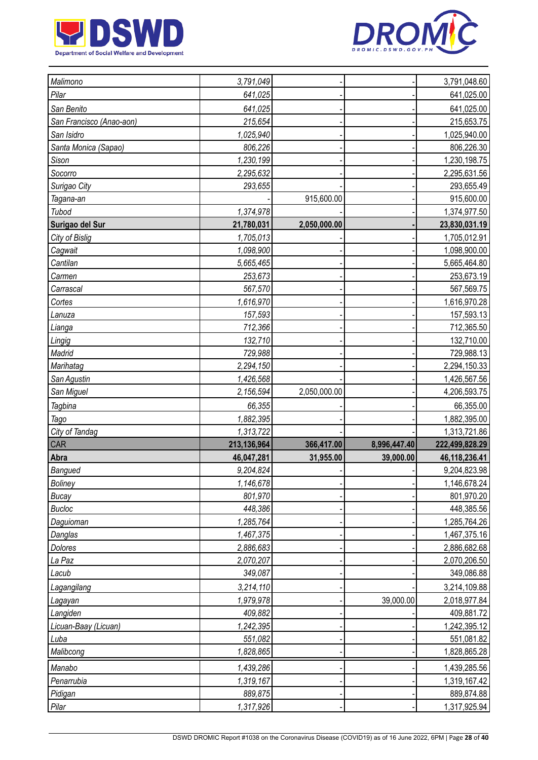



| Malimono                 | 3,791,049            |              |              | 3,791,048.60               |
|--------------------------|----------------------|--------------|--------------|----------------------------|
| Pilar                    | 641,025              |              |              | 641,025.00                 |
| San Benito               | 641,025              |              |              | 641,025.00                 |
| San Francisco (Anao-aon) | 215,654              |              |              | 215,653.75                 |
| San Isidro               | 1,025,940            |              |              | 1,025,940.00               |
| Santa Monica (Sapao)     | 806,226              |              |              | 806,226.30                 |
| Sison                    | 1,230,199            |              |              | 1,230,198.75               |
| Socorro                  | 2,295,632            |              |              | 2,295,631.56               |
| Surigao City             | 293,655              |              |              | 293,655.49                 |
| Tagana-an                |                      | 915,600.00   |              | 915,600.00                 |
| Tubod                    | 1,374,978            |              |              | 1,374,977.50               |
| Surigao del Sur          | 21,780,031           | 2,050,000.00 |              | 23,830,031.19              |
| City of Bislig           | 1,705,013            |              |              | 1,705,012.91               |
| Cagwait                  | 1,098,900            |              |              | 1,098,900.00               |
| Cantilan                 | 5,665,465            |              |              | 5,665,464.80               |
| Carmen                   | 253,673              |              |              | 253,673.19                 |
| Carrascal                | 567,570              |              |              | 567,569.75                 |
| Cortes                   | 1,616,970            |              |              | 1,616,970.28               |
| Lanuza                   | 157,593              |              |              | 157,593.13                 |
| Lianga                   | 712,366              |              |              | 712,365.50                 |
| Lingig                   | 132,710              |              |              | 132,710.00                 |
| Madrid                   | 729,988              |              |              | 729,988.13                 |
| Marihatag                | 2,294,150            |              |              | 2,294,150.33               |
| San Agustin              | 1,426,568            |              |              | 1,426,567.56               |
| San Miguel               | 2,156,594            | 2,050,000.00 |              | 4,206,593.75               |
| <b>Tagbina</b>           | 66,355               |              |              | 66,355.00                  |
| Tago                     | 1,882,395            |              |              | 1,882,395.00               |
| City of Tandag           | 1,313,722            |              |              | 1,313,721.86               |
| CAR                      | 213,136,964          | 366,417.00   | 8,996,447.40 | 222,499,828.29             |
| Abra                     | 46,047,281           | 31,955.00    | 39,000.00    | 46,118,236.41              |
| Bangued                  | 9,204,824            |              |              | 9,204,823.98               |
| <b>Boliney</b>           | 1,146,678            |              |              | 1,146,678.24               |
| <b>Bucay</b>             | 801,970              |              |              | 801,970.20                 |
| <b>Bucloc</b>            | 448,386              |              |              | 448,385.56                 |
| Daguioman                | 1,285,764            |              |              | 1,285,764.26               |
| Danglas                  |                      |              |              |                            |
|                          | 1,467,375            |              |              | 1,467,375.16               |
| Dolores                  | 2,886,683            |              |              | 2,886,682.68               |
| La Paz                   | 2,070,207            |              |              | 2,070,206.50               |
| Lacub                    | 349,087              |              |              | 349,086.88                 |
| Lagangilang              | 3,214,110            |              |              | 3,214,109.88               |
| Lagayan                  | 1,979,978            |              | 39,000.00    | 2,018,977.84               |
| Langiden                 | 409,882              |              |              | 409,881.72                 |
| Licuan-Baay (Licuan)     | 1,242,395            |              |              | 1,242,395.12               |
| Luba                     | 551,082              |              |              | 551,081.82                 |
| Malibcong                | 1,828,865            |              |              | 1,828,865.28               |
| Manabo                   | 1,439,286            |              |              | 1,439,285.56               |
| Penarrubia               | 1,319,167            |              |              | 1,319,167.42               |
| Pidigan<br>Pilar         | 889,875<br>1,317,926 |              |              | 889,874.88<br>1,317,925.94 |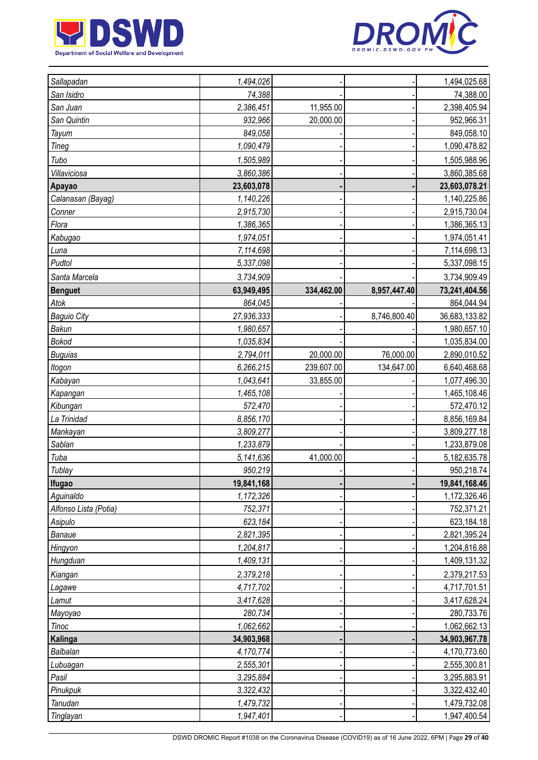



| Sallapadan            | 1,494,026  |            |              | 1,494,025.68  |
|-----------------------|------------|------------|--------------|---------------|
| San Isidro            | 74,388     |            |              | 74,388.00     |
| San Juan              | 2,386,451  | 11,955.00  |              | 2,398,405.94  |
| San Quintin           | 932,966    | 20,000.00  |              | 952,966.31    |
| Tayum                 | 849,058    |            |              | 849,058.10    |
| Tineg                 | 1,090,479  |            |              | 1,090,478.82  |
| Tubo                  | 1,505,989  |            |              | 1,505,988.96  |
| Villaviciosa          | 3,860,386  |            |              | 3,860,385.68  |
| Apayao                | 23,603,078 |            |              | 23,603,078.21 |
| Calanasan (Bayag)     | 1,140,226  |            |              | 1,140,225.86  |
| Conner                | 2,915,730  |            |              | 2,915,730.04  |
| Flora                 | 1,386,365  |            |              | 1,386,365.13  |
| Kabugao               | 1,974,051  |            |              | 1,974,051.41  |
| Luna                  | 7,114,698  |            |              | 7,114,698.13  |
| Pudtol                | 5,337,098  |            |              | 5,337,098.15  |
| Santa Marcela         | 3,734,909  |            |              | 3,734,909.49  |
| <b>Benguet</b>        | 63,949,495 | 334,462.00 | 8,957,447.40 | 73,241,404.56 |
| Atok                  | 864,045    |            |              | 864,044.94    |
| <b>Baguio City</b>    | 27,936,333 |            | 8,746,800.40 | 36,683,133.82 |
| Bakun                 | 1,980,657  |            |              | 1,980,657.10  |
| <b>Bokod</b>          | 1,035,834  |            |              | 1,035,834.00  |
| <b>Buguias</b>        | 2,794,011  | 20,000.00  | 76,000.00    | 2,890,010.52  |
| Itogon                | 6,266,215  | 239,607.00 | 134,647.00   | 6,640,468.68  |
| Kabayan               | 1,043,641  | 33,855.00  |              | 1,077,496.30  |
| Kapangan              | 1,465,108  |            |              | 1,465,108.46  |
| Kibungan              | 572,470    |            |              | 572,470.12    |
| La Trinidad           | 8,856,170  |            |              | 8,856,169.84  |
| Mankayan              | 3,809,277  |            |              | 3,809,277.18  |
| Sablan                | 1,233,879  |            |              | 1,233,879.08  |
| Tuba                  | 5,141,636  | 41,000.00  |              | 5,182,635.78  |
| Tublay                | 950,219    |            |              | 950,218.74    |
| <b>Ifugao</b>         | 19,841,168 |            |              | 19,841,168.46 |
| Aguinaldo             | 1,172,326  |            |              | 1,172,326.46  |
| Alfonso Lista (Potia) | 752,371    |            |              | 752,371.21    |
| Asipulo               | 623,184    |            |              | 623,184.18    |
| Banaue                | 2,821,395  |            |              | 2,821,395.24  |
| Hingyon               | 1,204,817  |            |              | 1,204,816.88  |
| Hungduan              | 1,409,131  |            |              | 1,409,131.32  |
| Kiangan               | 2,379,218  |            |              | 2,379,217.53  |
| Lagawe                | 4,717,702  |            |              | 4,717,701.51  |
| Lamut                 | 3,417,628  |            |              | 3,417,628.24  |
| Mayoyao               | 280,734    |            |              | 280,733.76    |
| <b>Tinoc</b>          | 1,062,662  |            |              | 1,062,662.13  |
| Kalinga               | 34,903,968 |            |              | 34,903,967.78 |
| Balbalan              | 4,170,774  |            |              | 4,170,773.60  |
| Lubuagan              | 2,555,301  |            |              | 2,555,300.81  |
| Pasil                 | 3,295,884  |            |              | 3,295,883.91  |
| Pinukpuk              | 3,322,432  |            |              | 3,322,432.40  |
| Tanudan               | 1,479,732  |            |              | 1,479,732.08  |
| Tinglayan             | 1,947,401  |            |              | 1,947,400.54  |
|                       |            |            |              |               |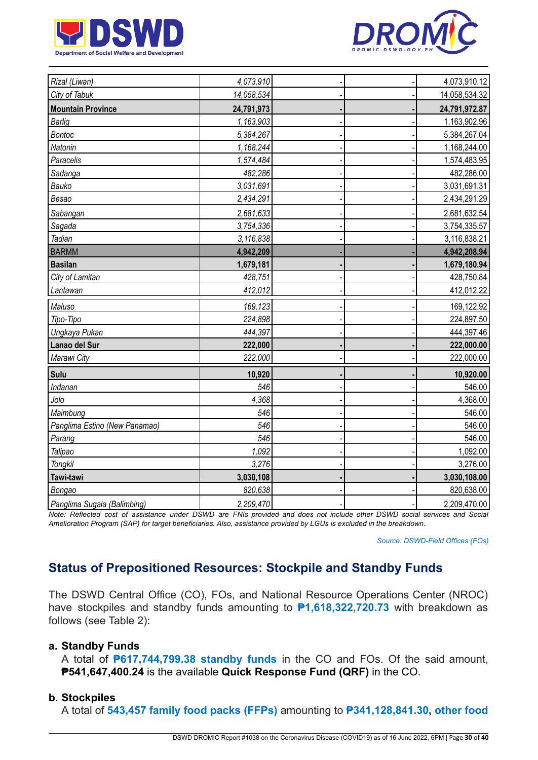



| Rizal (Liwan)                 | 4,073,910  |  | 4,073,910.12  |
|-------------------------------|------------|--|---------------|
| City of Tabuk                 | 14,058,534 |  | 14,058,534.32 |
| <b>Mountain Province</b>      | 24,791,973 |  | 24,791,972.87 |
| <b>Barlig</b>                 | 1,163,903  |  | 1,163,902.96  |
| <b>Bontoc</b>                 | 5,384,267  |  | 5,384,267.04  |
| Natonin                       | 1,168,244  |  | 1,168,244.00  |
| Paracelis                     | 1,574,484  |  | 1,574,483.95  |
| Sadanga                       | 482,286    |  | 482,286.00    |
| Bauko                         | 3,031,691  |  | 3,031,691.31  |
| Besao                         | 2,434,291  |  | 2,434,291.29  |
| Sabangan                      | 2,681,633  |  | 2,681,632.54  |
| Sagada                        | 3,754,336  |  | 3,754,335.57  |
| Tadian                        | 3,116,838  |  | 3,116,838.21  |
| <b>BARMM</b>                  | 4,942,209  |  | 4,942,208.94  |
| <b>Basilan</b>                | 1,679,181  |  | 1,679,180.94  |
| City of Lamitan               | 428,751    |  | 428,750.84    |
| Lantawan                      | 412,012    |  | 412,012.22    |
| Maluso                        | 169,123    |  | 169,122.92    |
| Tipo-Tipo                     | 224,898    |  | 224,897.50    |
| Ungkaya Pukan                 | 444,397    |  | 444,397.46    |
| Lanao del Sur                 | 222,000    |  | 222,000.00    |
| Marawi City                   | 222,000    |  | 222,000.00    |
| Sulu                          | 10,920     |  | 10,920.00     |
| Indanan                       | 546        |  | 546.00        |
| Jolo                          | 4,368      |  | 4,368.00      |
| Maimbung                      | 546        |  | 546.00        |
| Panglima Estino (New Panamao) | 546        |  | 546.00        |
| Parang                        | 546        |  | 546.00        |
| Talipao                       | 1,092      |  | 1,092.00      |
| Tongkil                       | 3,276      |  | 3,276.00      |
| Tawi-tawi                     | 3,030,108  |  | 3,030,108.00  |
| Bongao                        | 820,638    |  | 820,638.00    |
| Panglima Sugala (Balimbing)   | 2,209,470  |  | 2,209,470.00  |

Note: Reflected cost of assistance under DSWD are FNIs provided and does not include other DSWD social services and Social Amelioration Program (SAP) for target beneficiaries. Also, assistance provided by LGUs is excluded in the breakdown.

*Source: DSWD-Field Offices (FOs)*

# **Status of Prepositioned Resources: Stockpile and Standby Funds**

The DSWD Central Office (CO), FOs, and National Resource Operations Center (NROC) have stockpiles and standby funds amounting to **₱1,618,322,720.73** with breakdown as follows (see Table 2):

#### **a. Standby Funds**

A total of **₱617,744,799.38 standby funds** in the CO and FOs. Of the said amount, **₱541,647,400.24** is the available **Quick Response Fund (QRF)** in the CO.

### **b. Stockpiles**

A total of **543,457 family food packs (FFPs)** amounting to **₱341,128,841.30, other food**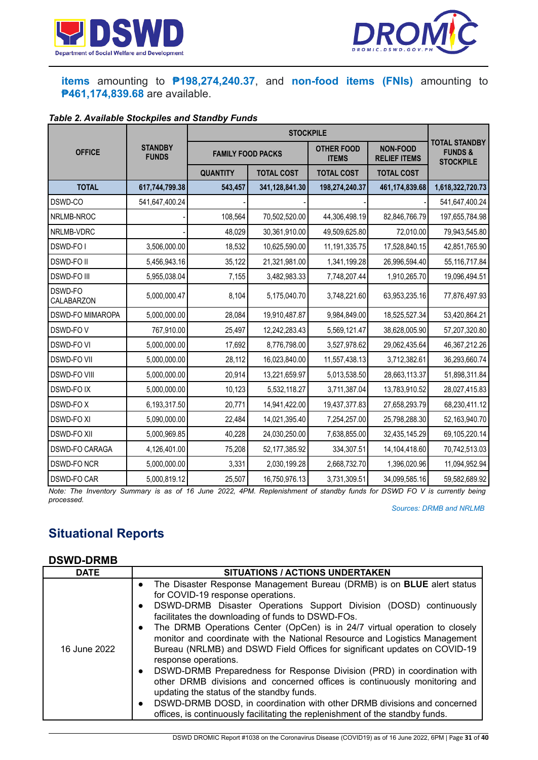



### **items** amounting to **₱198,274,240.37**, and **non-food items (FNIs)** amounting to **₱461,174,839.68** are available.

#### *Table 2. Available Stockpiles and Standby Funds*

| <b>OFFICE</b>           | <b>STANDBY</b><br><b>FUNDS</b> | <b>FAMILY FOOD PACKS</b> |                   | <b>OTHER FOOD</b><br><b>ITEMS</b> | <b>NON-FOOD</b><br><b>RELIEF ITEMS</b> | <b>TOTAL STANDBY</b><br><b>FUNDS&amp;</b><br><b>STOCKPILE</b> |
|-------------------------|--------------------------------|--------------------------|-------------------|-----------------------------------|----------------------------------------|---------------------------------------------------------------|
|                         |                                | <b>QUANTITY</b>          | <b>TOTAL COST</b> | <b>TOTAL COST</b>                 | <b>TOTAL COST</b>                      |                                                               |
| <b>TOTAL</b>            | 617,744,799.38                 | 543,457                  | 341,128,841.30    | 198,274,240.37                    | 461,174,839.68                         | 1,618,322,720.73                                              |
| DSWD-CO                 | 541,647,400.24                 |                          |                   |                                   |                                        | 541,647,400.24                                                |
| NRLMB-NROC              |                                | 108,564                  | 70,502,520.00     | 44,306,498.19                     | 82,846,766.79                          | 197,655,784.98                                                |
| NRLMB-VDRC              |                                | 48,029                   | 30,361,910.00     | 49,509,625.80                     | 72,010.00                              | 79,943,545.80                                                 |
| DSWD-FO I               | 3,506,000.00                   | 18,532                   | 10,625,590.00     | 11, 191, 335. 75                  | 17,528,840.15                          | 42,851,765.90                                                 |
| <b>DSWD-FOII</b>        | 5,456,943.16                   | 35,122                   | 21,321,981.00     | 1,341,199.28                      | 26,996,594.40                          | 55, 116, 717.84                                               |
| <b>DSWD-FO III</b>      | 5,955,038.04                   | 7,155                    | 3,482,983.33      | 7,748,207.44                      | 1,910,265.70                           | 19,096,494.51                                                 |
| DSWD-FO<br>CALABARZON   | 5,000,000.47                   | 8,104                    | 5,175,040.70      | 3,748,221.60                      | 63,953,235.16                          | 77,876,497.93                                                 |
| <b>DSWD-FO MIMAROPA</b> | 5,000,000.00                   | 28,084                   | 19,910,487.87     | 9,984,849.00                      | 18,525,527.34                          | 53,420,864.21                                                 |
| DSWD-FOV                | 767,910.00                     | 25,497                   | 12,242,283.43     | 5,569,121.47                      | 38,628,005.90                          | 57,207,320.80                                                 |
| <b>DSWD-FO VI</b>       | 5,000,000.00                   | 17,692                   | 8,776,798.00      | 3,527,978.62                      | 29,062,435.64                          | 46,367,212.26                                                 |
| <b>DSWD-FO VII</b>      | 5,000,000.00                   | 28,112                   | 16,023,840.00     | 11,557,438.13                     | 3,712,382.61                           | 36,293,660.74                                                 |
| <b>DSWD-FO VIII</b>     | 5,000,000.00                   | 20,914                   | 13,221,659.97     | 5,013,538.50                      | 28,663,113.37                          | 51,898,311.84                                                 |
| <b>DSWD-FOIX</b>        | 5,000,000.00                   | 10,123                   | 5,532,118.27      | 3,711,387.04                      | 13,783,910.52                          | 28,027,415.83                                                 |
| <b>DSWD-FOX</b>         | 6,193,317.50                   | 20,771                   | 14,941,422.00     | 19,437,377.83                     | 27,658,293.79                          | 68,230,411.12                                                 |
| <b>DSWD-FO XI</b>       | 5,090,000.00                   | 22,484                   | 14,021,395.40     | 7,254,257.00                      | 25,798,288.30                          | 52,163,940.70                                                 |
| <b>DSWD-FO XII</b>      | 5,000,969.85                   | 40,228                   | 24,030,250.00     | 7,638,855.00                      | 32,435,145.29                          | 69,105,220.14                                                 |
| DSWD-FO CARAGA          | 4,126,401.00                   | 75,208                   | 52, 177, 385. 92  | 334,307.51                        | 14,104,418.60                          | 70,742,513.03                                                 |
| <b>DSWD-FO NCR</b>      | 5,000,000.00                   | 3,331                    | 2,030,199.28      | 2,668,732.70                      | 1,396,020.96                           | 11,094,952.94                                                 |
| <b>DSWD-FO CAR</b>      | 5,000,819.12                   | 25,507                   | 16,750,976.13     | 3,731,309.51                      | 34,099,585.16                          | 59,582,689.92                                                 |

Note: The Inventory Summary is as of 16 June 2022, 4PM. Replenishment of standby funds for DSWD FO V is currently being *processed.*

*Sources: DRMB and NRLMB*

# **Situational Reports**

#### **DSWD-DRMB**

| The Disaster Response Management Bureau (DRMB) is on <b>BLUE</b> alert status<br>$\bullet$<br>for COVID-19 response operations.<br>DSWD-DRMB Disaster Operations Support Division (DOSD) continuously                                                                                                                                                                                                                                                                                                                                                                                                                                                                                                                                                   | <b>DATE</b> |
|---------------------------------------------------------------------------------------------------------------------------------------------------------------------------------------------------------------------------------------------------------------------------------------------------------------------------------------------------------------------------------------------------------------------------------------------------------------------------------------------------------------------------------------------------------------------------------------------------------------------------------------------------------------------------------------------------------------------------------------------------------|-------------|
| $\bullet$<br>facilitates the downloading of funds to DSWD-FOs.<br>The DRMB Operations Center (OpCen) is in 24/7 virtual operation to closely<br>$\bullet$<br>monitor and coordinate with the National Resource and Logistics Management<br>Bureau (NRLMB) and DSWD Field Offices for significant updates on COVID-19<br>16 June 2022<br>response operations.<br>DSWD-DRMB Preparedness for Response Division (PRD) in coordination with<br>$\bullet$<br>other DRMB divisions and concerned offices is continuously monitoring and<br>updating the status of the standby funds.<br>DSWD-DRMB DOSD, in coordination with other DRMB divisions and concerned<br>$\bullet$<br>offices, is continuously facilitating the replenishment of the standby funds. |             |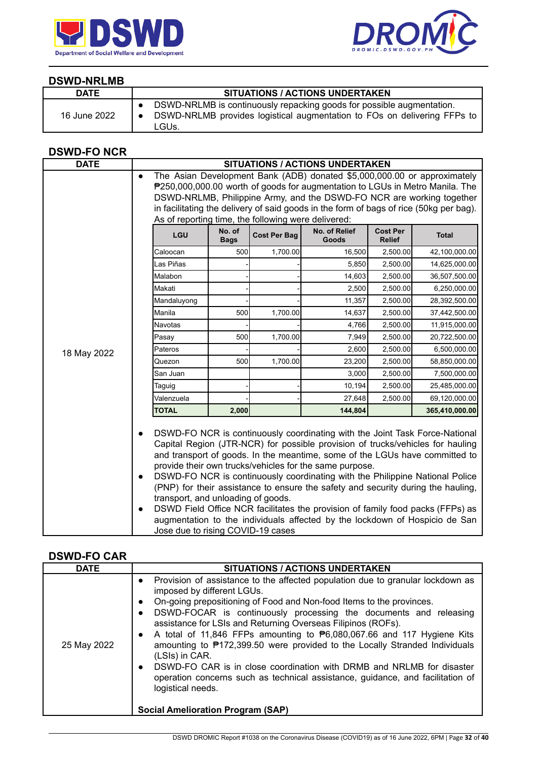



### **DSWD-NRLMB**

| <b>DATE</b>  | <b>SITUATIONS / ACTIONS UNDERTAKEN</b>                                                                                                                     |
|--------------|------------------------------------------------------------------------------------------------------------------------------------------------------------|
| 16 June 2022 | DSWD-NRLMB is continuously repacking goods for possible augmentation.<br>DSWD-NRLMB provides logistical augmentation to FOs on delivering FFPs to<br>LGUs. |

## **DSWD-FO NCR**

| <b>DATE</b> |                                                                                                                                                                                                                                                |                                                                                                                                                                                                                                                                                                                                                                                                                                                                                                                                                                                                                                                                                                                         |                     | <b>SITUATIONS / ACTIONS UNDERTAKEN</b>                                                 |                                  |                |  |
|-------------|------------------------------------------------------------------------------------------------------------------------------------------------------------------------------------------------------------------------------------------------|-------------------------------------------------------------------------------------------------------------------------------------------------------------------------------------------------------------------------------------------------------------------------------------------------------------------------------------------------------------------------------------------------------------------------------------------------------------------------------------------------------------------------------------------------------------------------------------------------------------------------------------------------------------------------------------------------------------------------|---------------------|----------------------------------------------------------------------------------------|----------------------------------|----------------|--|
|             | The Asian Development Bank (ADB) donated \$5,000,000.00 or approximately<br>$\bullet$<br>P250,000,000.00 worth of goods for augmentation to LGUs in Metro Manila. The<br>DSWD-NRLMB, Philippine Army, and the DSWD-FO NCR are working together |                                                                                                                                                                                                                                                                                                                                                                                                                                                                                                                                                                                                                                                                                                                         |                     |                                                                                        |                                  |                |  |
|             |                                                                                                                                                                                                                                                |                                                                                                                                                                                                                                                                                                                                                                                                                                                                                                                                                                                                                                                                                                                         |                     | in facilitating the delivery of said goods in the form of bags of rice (50kg per bag). |                                  |                |  |
|             | As of reporting time, the following were delivered:                                                                                                                                                                                            |                                                                                                                                                                                                                                                                                                                                                                                                                                                                                                                                                                                                                                                                                                                         |                     |                                                                                        |                                  |                |  |
|             | LGU                                                                                                                                                                                                                                            | No. of<br><b>Bags</b>                                                                                                                                                                                                                                                                                                                                                                                                                                                                                                                                                                                                                                                                                                   | <b>Cost Per Bag</b> | No. of Relief<br>Goods                                                                 | <b>Cost Per</b><br><b>Relief</b> | <b>Total</b>   |  |
|             | Caloocan                                                                                                                                                                                                                                       | 500                                                                                                                                                                                                                                                                                                                                                                                                                                                                                                                                                                                                                                                                                                                     | 1,700.00            | 16,500                                                                                 | 2,500.00                         | 42,100,000.00  |  |
|             | Las Piñas                                                                                                                                                                                                                                      |                                                                                                                                                                                                                                                                                                                                                                                                                                                                                                                                                                                                                                                                                                                         |                     | 5,850                                                                                  | 2,500.00                         | 14,625,000.00  |  |
|             | Malabon                                                                                                                                                                                                                                        |                                                                                                                                                                                                                                                                                                                                                                                                                                                                                                                                                                                                                                                                                                                         |                     | 14,603                                                                                 | 2,500.00                         | 36,507,500.00  |  |
|             | Makati                                                                                                                                                                                                                                         |                                                                                                                                                                                                                                                                                                                                                                                                                                                                                                                                                                                                                                                                                                                         |                     | 2,500                                                                                  | 2,500.00                         | 6,250,000.00   |  |
|             | Mandaluyong                                                                                                                                                                                                                                    |                                                                                                                                                                                                                                                                                                                                                                                                                                                                                                                                                                                                                                                                                                                         |                     | 11,357                                                                                 | 2,500.00                         | 28,392,500.00  |  |
|             | Manila                                                                                                                                                                                                                                         | 500                                                                                                                                                                                                                                                                                                                                                                                                                                                                                                                                                                                                                                                                                                                     | 1,700.00            | 14,637                                                                                 | 2,500.00                         | 37,442,500.00  |  |
|             | <b>Navotas</b>                                                                                                                                                                                                                                 |                                                                                                                                                                                                                                                                                                                                                                                                                                                                                                                                                                                                                                                                                                                         |                     | 4,766                                                                                  | 2,500.00                         | 11,915,000.00  |  |
|             | Pasay                                                                                                                                                                                                                                          | 500                                                                                                                                                                                                                                                                                                                                                                                                                                                                                                                                                                                                                                                                                                                     | 1,700.00            | 7,949                                                                                  | 2,500.00                         | 20,722,500.00  |  |
| 18 May 2022 | Pateros                                                                                                                                                                                                                                        |                                                                                                                                                                                                                                                                                                                                                                                                                                                                                                                                                                                                                                                                                                                         |                     | 2,600                                                                                  | 2,500.00                         | 6,500,000.00   |  |
|             | Quezon                                                                                                                                                                                                                                         | 500                                                                                                                                                                                                                                                                                                                                                                                                                                                                                                                                                                                                                                                                                                                     | 1,700.00            | 23,200                                                                                 | 2,500.00                         | 58,850,000.00  |  |
|             | San Juan                                                                                                                                                                                                                                       |                                                                                                                                                                                                                                                                                                                                                                                                                                                                                                                                                                                                                                                                                                                         |                     | 3,000                                                                                  | 2,500.00                         | 7,500,000.00   |  |
|             | Taguig                                                                                                                                                                                                                                         |                                                                                                                                                                                                                                                                                                                                                                                                                                                                                                                                                                                                                                                                                                                         |                     | 10,194                                                                                 | 2,500.00                         | 25,485,000.00  |  |
|             | Valenzuela                                                                                                                                                                                                                                     |                                                                                                                                                                                                                                                                                                                                                                                                                                                                                                                                                                                                                                                                                                                         |                     | 27,648                                                                                 | 2,500.00                         | 69,120,000.00  |  |
|             | <b>TOTAL</b>                                                                                                                                                                                                                                   | 2,000                                                                                                                                                                                                                                                                                                                                                                                                                                                                                                                                                                                                                                                                                                                   |                     | 144,804                                                                                |                                  | 365,410,000.00 |  |
|             | $\bullet$<br>$\bullet$<br>$\bullet$                                                                                                                                                                                                            | DSWD-FO NCR is continuously coordinating with the Joint Task Force-National<br>Capital Region (JTR-NCR) for possible provision of trucks/vehicles for hauling<br>and transport of goods. In the meantime, some of the LGUs have committed to<br>provide their own trucks/vehicles for the same purpose.<br>DSWD-FO NCR is continuously coordinating with the Philippine National Police<br>(PNP) for their assistance to ensure the safety and security during the hauling,<br>transport, and unloading of goods.<br>DSWD Field Office NCR facilitates the provision of family food packs (FFPs) as<br>augmentation to the individuals affected by the lockdown of Hospicio de San<br>Jose due to rising COVID-19 cases |                     |                                                                                        |                                  |                |  |

### **DSWD-FO CAR**

| <b>DATE</b> | <b>SITUATIONS / ACTIONS UNDERTAKEN</b>                                                                                                                                                                                                                                                                                                                                                                                                                                                                                                                                                                                                                                                                                                                                                                      |  |  |  |  |
|-------------|-------------------------------------------------------------------------------------------------------------------------------------------------------------------------------------------------------------------------------------------------------------------------------------------------------------------------------------------------------------------------------------------------------------------------------------------------------------------------------------------------------------------------------------------------------------------------------------------------------------------------------------------------------------------------------------------------------------------------------------------------------------------------------------------------------------|--|--|--|--|
| 25 May 2022 | Provision of assistance to the affected population due to granular lockdown as<br>$\bullet$<br>imposed by different LGUs.<br>On-going prepositioning of Food and Non-food Items to the provinces.<br>$\bullet$<br>DSWD-FOCAR is continuously processing the documents and releasing<br>$\bullet$<br>assistance for LSIs and Returning Overseas Filipinos (ROFs).<br>A total of 11,846 FFPs amounting to $\mathbf{P}6,080,067.66$ and 117 Hygiene Kits<br>$\bullet$<br>amounting to ₱172,399.50 were provided to the Locally Stranded Individuals<br>(LSIs) in CAR.<br>DSWD-FO CAR is in close coordination with DRMB and NRLMB for disaster<br>$\bullet$<br>operation concerns such as technical assistance, guidance, and facilitation of<br>logistical needs.<br><b>Social Amelioration Program (SAP)</b> |  |  |  |  |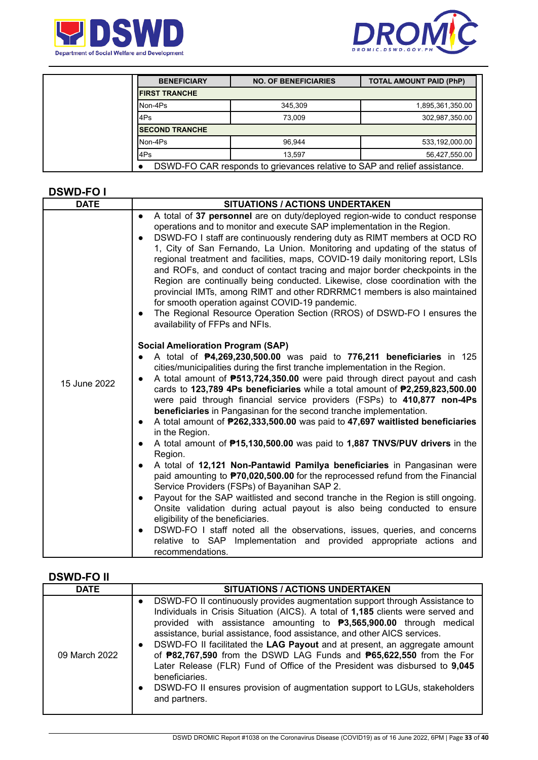



| <b>BENEFICIARY</b>     | <b>NO. OF BENEFICIARIES</b>                                               | <b>TOTAL AMOUNT PAID (PhP)</b> |  |  |  |  |  |
|------------------------|---------------------------------------------------------------------------|--------------------------------|--|--|--|--|--|
| <b>IFIRST TRANCHE</b>  |                                                                           |                                |  |  |  |  |  |
| Non-4Ps                | 345.309                                                                   | 1,895,361,350.00               |  |  |  |  |  |
| 4Ps                    | 73.009                                                                    | 302,987,350.00                 |  |  |  |  |  |
| <b>ISECOND TRANCHE</b> |                                                                           |                                |  |  |  |  |  |
| Non-4Ps                | 96.944                                                                    | 533,192,000.00                 |  |  |  |  |  |
| 4Ps                    | 13.597                                                                    | 56,427,550.00                  |  |  |  |  |  |
|                        | DSWD-FO CAR responds to grievances relative to SAP and relief assistance. |                                |  |  |  |  |  |

#### **DSWD-FO I**

| <b>DATE</b>  | <b>SITUATIONS / ACTIONS UNDERTAKEN</b>                                                                                                                                                                                                                                                                                                                                                                                                                                                                                                                                                                                                                                                                                                                                                                                                                                                                                                                                                                                                                                                                                                                                                                                                                                                                                                                                                                 |  |  |  |
|--------------|--------------------------------------------------------------------------------------------------------------------------------------------------------------------------------------------------------------------------------------------------------------------------------------------------------------------------------------------------------------------------------------------------------------------------------------------------------------------------------------------------------------------------------------------------------------------------------------------------------------------------------------------------------------------------------------------------------------------------------------------------------------------------------------------------------------------------------------------------------------------------------------------------------------------------------------------------------------------------------------------------------------------------------------------------------------------------------------------------------------------------------------------------------------------------------------------------------------------------------------------------------------------------------------------------------------------------------------------------------------------------------------------------------|--|--|--|
|              | A total of 37 personnel are on duty/deployed region-wide to conduct response<br>$\bullet$<br>operations and to monitor and execute SAP implementation in the Region.<br>DSWD-FO I staff are continuously rendering duty as RIMT members at OCD RO<br>$\bullet$<br>1, City of San Fernando, La Union. Monitoring and updating of the status of<br>regional treatment and facilities, maps, COVID-19 daily monitoring report, LSIs<br>and ROFs, and conduct of contact tracing and major border checkpoints in the<br>Region are continually being conducted. Likewise, close coordination with the<br>provincial IMTs, among RIMT and other RDRRMC1 members is also maintained<br>for smooth operation against COVID-19 pandemic.<br>The Regional Resource Operation Section (RROS) of DSWD-FO I ensures the<br>$\bullet$<br>availability of FFPs and NFIs.                                                                                                                                                                                                                                                                                                                                                                                                                                                                                                                                             |  |  |  |
| 15 June 2022 | <b>Social Amelioration Program (SAP)</b><br>A total of P4,269,230,500.00 was paid to 776,211 beneficiaries in 125<br>cities/municipalities during the first tranche implementation in the Region.<br>A total amount of <b>P513,724,350.00</b> were paid through direct payout and cash<br>$\bullet$<br>cards to 123,789 4Ps beneficiaries while a total amount of P2,259,823,500.00<br>were paid through financial service providers (FSPs) to 410,877 non-4Ps<br>beneficiaries in Pangasinan for the second tranche implementation.<br>A total amount of P262,333,500.00 was paid to 47,697 waitlisted beneficiaries<br>$\bullet$<br>in the Region.<br>A total amount of <b>P15,130,500.00</b> was paid to <b>1,887 TNVS/PUV drivers</b> in the<br>Region.<br>A total of 12,121 Non-Pantawid Pamilya beneficiaries in Pangasinan were<br>$\bullet$<br>paid amounting to <b>P70,020,500.00</b> for the reprocessed refund from the Financial<br>Service Providers (FSPs) of Bayanihan SAP 2.<br>Payout for the SAP waitlisted and second tranche in the Region is still ongoing.<br>$\bullet$<br>Onsite validation during actual payout is also being conducted to ensure<br>eligibility of the beneficiaries.<br>DSWD-FO I staff noted all the observations, issues, queries, and concerns<br>$\bullet$<br>Implementation and provided appropriate actions and<br>relative to SAP<br>recommendations. |  |  |  |

#### **DSWD-FO II**

| <b>DATE</b>   | <b>SITUATIONS / ACTIONS UNDERTAKEN</b>                                                                                                                                                                                                                                                                                                                                                                                                                                                                                                                                                                                                                                                                                       |
|---------------|------------------------------------------------------------------------------------------------------------------------------------------------------------------------------------------------------------------------------------------------------------------------------------------------------------------------------------------------------------------------------------------------------------------------------------------------------------------------------------------------------------------------------------------------------------------------------------------------------------------------------------------------------------------------------------------------------------------------------|
| 09 March 2022 | DSWD-FO II continuously provides augmentation support through Assistance to<br>$\bullet$<br>Individuals in Crisis Situation (AICS). A total of 1,185 clients were served and<br>provided with assistance amounting to $P3,565,900.00$ through medical<br>assistance, burial assistance, food assistance, and other AICS services.<br>DSWD-FO II facilitated the LAG Payout and at present, an aggregate amount<br>$\bullet$<br>of <b>P82,767,590</b> from the DSWD LAG Funds and <b>P65,622,550</b> from the For<br>Later Release (FLR) Fund of Office of the President was disbursed to 9,045<br>beneficiaries.<br>DSWD-FO II ensures provision of augmentation support to LGUs, stakeholders<br>$\bullet$<br>and partners. |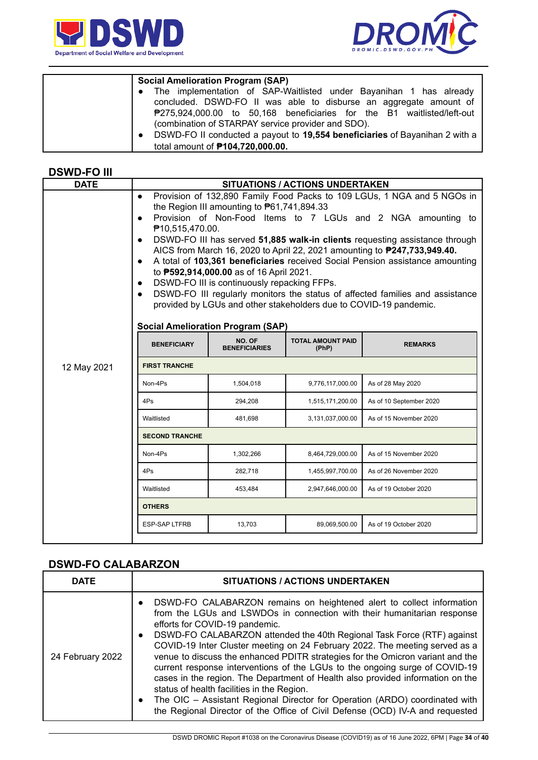



| <b>Social Amelioration Program (SAP)</b>                                                 |
|------------------------------------------------------------------------------------------|
| • The implementation of SAP-Waitlisted under Bayanihan 1 has already                     |
| concluded. DSWD-FO II was able to disburse an aggregate amount of                        |
| ₱275,924,000.00 to 50,168 beneficiaries for the B1 waitlisted/left-out                   |
| (combination of STARPAY service provider and SDO).                                       |
| DSWD-FO II conducted a payout to 19,554 beneficiaries of Bayanihan 2 with a<br>$\bullet$ |
| total amount of <b>P104,720,000.00.</b>                                                  |

#### **DSWD-FO III**

| <b>SITUATIONS / ACTIONS UNDERTAKEN</b>                                                                                                                                                                                                                                                                                                                                                                                                                                                                                                                                                                                                                                                                                                                                                                                                           |           |                  |                         |  |  |  |
|--------------------------------------------------------------------------------------------------------------------------------------------------------------------------------------------------------------------------------------------------------------------------------------------------------------------------------------------------------------------------------------------------------------------------------------------------------------------------------------------------------------------------------------------------------------------------------------------------------------------------------------------------------------------------------------------------------------------------------------------------------------------------------------------------------------------------------------------------|-----------|------------------|-------------------------|--|--|--|
| Provision of 132,890 Family Food Packs to 109 LGUs, 1 NGA and 5 NGOs in<br>$\bullet$<br>the Region III amounting to $P61,741,894.33$<br>Provision of Non-Food Items to 7 LGUs and 2 NGA amounting to<br>$\bullet$<br>₱10,515,470.00.<br>DSWD-FO III has served 51,885 walk-in clients requesting assistance through<br>$\bullet$<br>AICS from March 16, 2020 to April 22, 2021 amounting to <b>P247, 733, 949.40.</b><br>A total of 103,361 beneficiaries received Social Pension assistance amounting<br>$\bullet$<br>to <b>P592,914,000.00</b> as of 16 April 2021.<br>DSWD-FO III is continuously repacking FFPs.<br>$\bullet$<br>DSWD-FO III regularly monitors the status of affected families and assistance<br>$\bullet$<br>provided by LGUs and other stakeholders due to COVID-19 pandemic.<br><b>Social Amelioration Program (SAP)</b> |           |                  |                         |  |  |  |
| NO. OF<br><b>TOTAL AMOUNT PAID</b><br><b>BENEFICIARY</b><br><b>REMARKS</b><br><b>BENEFICIARIES</b><br>(PhP)                                                                                                                                                                                                                                                                                                                                                                                                                                                                                                                                                                                                                                                                                                                                      |           |                  |                         |  |  |  |
| <b>FIRST TRANCHE</b><br>12 May 2021                                                                                                                                                                                                                                                                                                                                                                                                                                                                                                                                                                                                                                                                                                                                                                                                              |           |                  |                         |  |  |  |
| Non-4Ps                                                                                                                                                                                                                                                                                                                                                                                                                                                                                                                                                                                                                                                                                                                                                                                                                                          | 1,504,018 | 9,776,117,000.00 | As of 28 May 2020       |  |  |  |
| 4Ps                                                                                                                                                                                                                                                                                                                                                                                                                                                                                                                                                                                                                                                                                                                                                                                                                                              | 294,208   | 1,515,171,200.00 | As of 10 September 2020 |  |  |  |
| Waitlisted<br>481,698<br>3,131,037,000.00<br>As of 15 November 2020                                                                                                                                                                                                                                                                                                                                                                                                                                                                                                                                                                                                                                                                                                                                                                              |           |                  |                         |  |  |  |
| <b>SECOND TRANCHE</b>                                                                                                                                                                                                                                                                                                                                                                                                                                                                                                                                                                                                                                                                                                                                                                                                                            |           |                  |                         |  |  |  |
| Non-4Ps                                                                                                                                                                                                                                                                                                                                                                                                                                                                                                                                                                                                                                                                                                                                                                                                                                          | 1,302,266 | 8,464,729,000.00 | As of 15 November 2020  |  |  |  |
| 4Ps                                                                                                                                                                                                                                                                                                                                                                                                                                                                                                                                                                                                                                                                                                                                                                                                                                              | 282,718   | 1,455,997,700.00 | As of 26 November 2020  |  |  |  |
| Waitlisted                                                                                                                                                                                                                                                                                                                                                                                                                                                                                                                                                                                                                                                                                                                                                                                                                                       | 453,484   | 2,947,646,000.00 | As of 19 October 2020   |  |  |  |
| <b>OTHERS</b>                                                                                                                                                                                                                                                                                                                                                                                                                                                                                                                                                                                                                                                                                                                                                                                                                                    |           |                  |                         |  |  |  |
| <b>ESP-SAP LTFRB</b>                                                                                                                                                                                                                                                                                                                                                                                                                                                                                                                                                                                                                                                                                                                                                                                                                             | 13,703    | 89,069,500.00    | As of 19 October 2020   |  |  |  |
|                                                                                                                                                                                                                                                                                                                                                                                                                                                                                                                                                                                                                                                                                                                                                                                                                                                  |           |                  |                         |  |  |  |

# **DSWD-FO CALABARZON**

| <b>DATE</b>      | <b>SITUATIONS / ACTIONS UNDERTAKEN</b>                                                                                                                                                                                                                                                                                                                                                                                                                                                                                                                                                                                                                                                                                                                                                                                                              |
|------------------|-----------------------------------------------------------------------------------------------------------------------------------------------------------------------------------------------------------------------------------------------------------------------------------------------------------------------------------------------------------------------------------------------------------------------------------------------------------------------------------------------------------------------------------------------------------------------------------------------------------------------------------------------------------------------------------------------------------------------------------------------------------------------------------------------------------------------------------------------------|
| 24 February 2022 | DSWD-FO CALABARZON remains on heightened alert to collect information<br>$\bullet$<br>from the LGUs and LSWDOs in connection with their humanitarian response<br>efforts for COVID-19 pandemic.<br>DSWD-FO CALABARZON attended the 40th Regional Task Force (RTF) against<br>$\bullet$<br>COVID-19 Inter Cluster meeting on 24 February 2022. The meeting served as a<br>venue to discuss the enhanced PDITR strategies for the Omicron variant and the<br>current response interventions of the LGUs to the ongoing surge of COVID-19<br>cases in the region. The Department of Health also provided information on the<br>status of health facilities in the Region.<br>The OIC - Assistant Regional Director for Operation (ARDO) coordinated with<br>$\bullet$<br>the Regional Director of the Office of Civil Defense (OCD) IV-A and requested |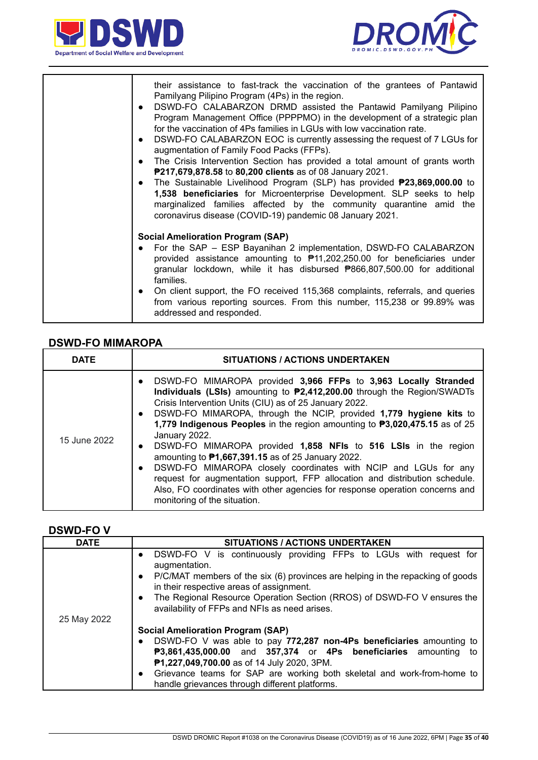



| their assistance to fast-track the vaccination of the grantees of Pantawid<br>Pamilyang Pilipino Program (4Ps) in the region.<br>DSWD-FO CALABARZON DRMD assisted the Pantawid Pamilyang Pilipino<br>$\bullet$<br>Program Management Office (PPPPMO) in the development of a strategic plan<br>for the vaccination of 4Ps families in LGUs with low vaccination rate.<br>DSWD-FO CALABARZON EOC is currently assessing the request of 7 LGUs for<br>$\bullet$<br>augmentation of Family Food Packs (FFPs).<br>The Crisis Intervention Section has provided a total amount of grants worth<br>$\bullet$<br>P217,679,878.58 to 80,200 clients as of 08 January 2021.<br>The Sustainable Livelihood Program (SLP) has provided <b>P23,869,000.00</b> to<br>$\bullet$<br>1,538 beneficiaries for Microenterprise Development. SLP seeks to help<br>marginalized families affected by the community quarantine amid the<br>coronavirus disease (COVID-19) pandemic 08 January 2021. |
|--------------------------------------------------------------------------------------------------------------------------------------------------------------------------------------------------------------------------------------------------------------------------------------------------------------------------------------------------------------------------------------------------------------------------------------------------------------------------------------------------------------------------------------------------------------------------------------------------------------------------------------------------------------------------------------------------------------------------------------------------------------------------------------------------------------------------------------------------------------------------------------------------------------------------------------------------------------------------------|
| <b>Social Amelioration Program (SAP)</b>                                                                                                                                                                                                                                                                                                                                                                                                                                                                                                                                                                                                                                                                                                                                                                                                                                                                                                                                       |
| For the SAP - ESP Bayanihan 2 implementation, DSWD-FO CALABARZON<br>provided assistance amounting to $\overline{P}$ 11,202,250.00 for beneficiaries under<br>granular lockdown, while it has disbursed P866,807,500.00 for additional<br>families.                                                                                                                                                                                                                                                                                                                                                                                                                                                                                                                                                                                                                                                                                                                             |
| On client support, the FO received 115,368 complaints, referrals, and queries<br>$\bullet$<br>from various reporting sources. From this number, 115,238 or 99.89% was<br>addressed and responded.                                                                                                                                                                                                                                                                                                                                                                                                                                                                                                                                                                                                                                                                                                                                                                              |

#### **DSWD-FO MIMAROPA**

| <b>DATE</b>  | <b>SITUATIONS / ACTIONS UNDERTAKEN</b>                                                                                                                                                                                                                                                                                                                                                                                                                                                                                                                                                                                                                                                                                                                                                                                       |
|--------------|------------------------------------------------------------------------------------------------------------------------------------------------------------------------------------------------------------------------------------------------------------------------------------------------------------------------------------------------------------------------------------------------------------------------------------------------------------------------------------------------------------------------------------------------------------------------------------------------------------------------------------------------------------------------------------------------------------------------------------------------------------------------------------------------------------------------------|
| 15 June 2022 | DSWD-FO MIMAROPA provided 3,966 FFPs to 3,963 Locally Stranded<br>$\bullet$<br>Individuals (LSIs) amounting to <b>P2,412,200.00</b> through the Region/SWADTs<br>Crisis Intervention Units (CIU) as of 25 January 2022.<br>DSWD-FO MIMAROPA, through the NCIP, provided 1,779 hygiene kits to<br>$\bullet$<br>1,779 Indigenous Peoples in the region amounting to P3,020,475.15 as of 25<br>January 2022.<br>DSWD-FO MIMAROPA provided 1,858 NFIs to 516 LSIs in the region<br>$\bullet$<br>amounting to P1,667,391.15 as of 25 January 2022.<br>DSWD-FO MIMAROPA closely coordinates with NCIP and LGUs for any<br>$\bullet$<br>request for augmentation support, FFP allocation and distribution schedule.<br>Also, FO coordinates with other agencies for response operation concerns and<br>monitoring of the situation. |

#### **DSWD-FO V**

| <b>DATE</b> | SITUATIONS / ACTIONS UNDERTAKEN                                                                                                         |  |  |  |
|-------------|-----------------------------------------------------------------------------------------------------------------------------------------|--|--|--|
|             | DSWD-FO V is continuously providing FFPs to LGUs with request for<br>$\bullet$<br>augmentation.                                         |  |  |  |
|             | P/C/MAT members of the six (6) provinces are helping in the repacking of goods<br>$\bullet$<br>in their respective areas of assignment. |  |  |  |
|             | The Regional Resource Operation Section (RROS) of DSWD-FO V ensures the<br>$\bullet$<br>availability of FFPs and NFIs as need arises.   |  |  |  |
| 25 May 2022 | <b>Social Amelioration Program (SAP)</b>                                                                                                |  |  |  |
|             | DSWD-FO V was able to pay 772,287 non-4Ps beneficiaries amounting to<br>$\bullet$                                                       |  |  |  |
|             | P3,861,435,000.00 and 357,374 or 4Ps beneficiaries amounting<br>to                                                                      |  |  |  |
|             | P1,227,049,700.00 as of 14 July 2020, 3PM.                                                                                              |  |  |  |
|             | Grievance teams for SAP are working both skeletal and work-from-home to<br>$\bullet$<br>handle grievances through different platforms.  |  |  |  |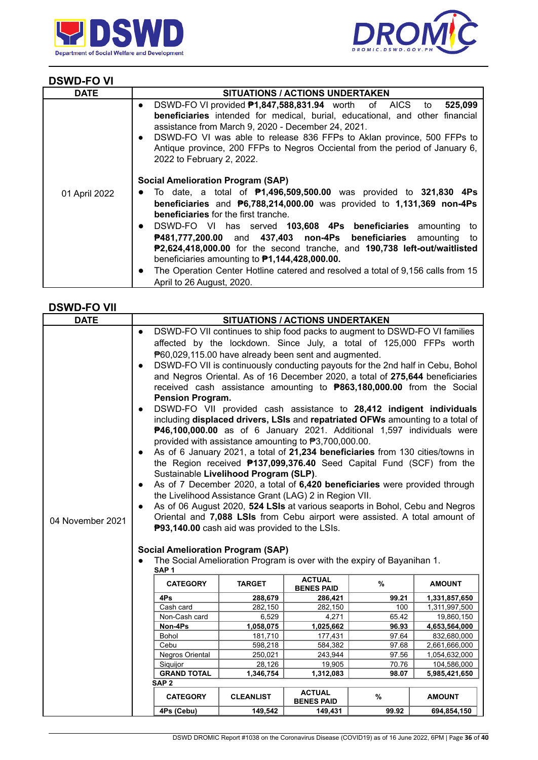



# **DSWD-FO VI**

| <b>DATE</b>   | <b>SITUATIONS / ACTIONS UNDERTAKEN</b>                                                                                                                                                                                                                                                                                                                                                                                          |
|---------------|---------------------------------------------------------------------------------------------------------------------------------------------------------------------------------------------------------------------------------------------------------------------------------------------------------------------------------------------------------------------------------------------------------------------------------|
|               | DSWD-FO VI provided <b>P1,847,588,831.94</b> worth of AICS to<br>525,099<br>$\bullet$<br>beneficiaries intended for medical, burial, educational, and other financial<br>assistance from March 9, 2020 - December 24, 2021.<br>DSWD-FO VI was able to release 836 FFPs to Aklan province, 500 FFPs to<br>$\bullet$<br>Antique province, 200 FFPs to Negros Occiental from the period of January 6,<br>2022 to February 2, 2022. |
| 01 April 2022 | <b>Social Amelioration Program (SAP)</b><br>To date, a total of $P1,496,509,500.00$ was provided to 321,830 4Ps<br>$\bullet$<br><b>beneficiaries</b> and $\overline{P}6,788,214,000.00$ was provided to 1,131,369 non-4Ps<br><b>beneficiaries</b> for the first tranche.<br>DSWD-FO VI has served 103,608 4Ps beneficiaries amounting to<br>$\bullet$<br>P481,777,200.00 and 437,403 non-4Ps beneficiaries amounting<br>to      |
|               | P2,624,418,000.00 for the second tranche, and 190,738 left-out/waitlisted<br>beneficiaries amounting to $P1,144,428,000.00$ .<br>The Operation Center Hotline catered and resolved a total of 9,156 calls from 15<br>$\bullet$<br>April to 26 August, 2020.                                                                                                                                                                     |

#### **DSWD-FO VII**

| <b>DATE</b>      |                                          | <b>SITUATIONS / ACTIONS UNDERTAKEN</b>                                         |                                       |                                    |                                                                                |                             |
|------------------|------------------------------------------|--------------------------------------------------------------------------------|---------------------------------------|------------------------------------|--------------------------------------------------------------------------------|-----------------------------|
|                  | $\bullet$                                |                                                                                |                                       |                                    | DSWD-FO VII continues to ship food packs to augment to DSWD-FO VI families     |                             |
|                  |                                          |                                                                                |                                       |                                    | affected by the lockdown. Since July, a total of 125,000 FFPs worth            |                             |
|                  |                                          | P60,029,115.00 have already been sent and augmented.                           |                                       |                                    |                                                                                |                             |
|                  | $\bullet$                                | DSWD-FO VII is continuously conducting payouts for the 2nd half in Cebu, Bohol |                                       |                                    |                                                                                |                             |
|                  |                                          |                                                                                |                                       |                                    | and Negros Oriental. As of 16 December 2020, a total of 275,644 beneficiaries  |                             |
|                  |                                          |                                                                                |                                       |                                    | received cash assistance amounting to <b>P863,180,000.00</b> from the Social   |                             |
|                  |                                          | <b>Pension Program.</b>                                                        |                                       |                                    |                                                                                |                             |
|                  | $\bullet$                                |                                                                                |                                       |                                    | DSWD-FO VII provided cash assistance to 28,412 indigent individuals            |                             |
|                  |                                          |                                                                                |                                       |                                    | including displaced drivers, LSIs and repatriated OFWs amounting to a total of |                             |
|                  |                                          |                                                                                |                                       |                                    | P46,100,000.00 as of 6 January 2021. Additional 1,597 individuals were         |                             |
|                  |                                          | provided with assistance amounting to ₱3,700,000.00.                           |                                       |                                    |                                                                                |                             |
|                  | $\bullet$                                |                                                                                |                                       |                                    | As of 6 January 2021, a total of 21,234 beneficiaries from 130 cities/towns in |                             |
|                  |                                          |                                                                                |                                       |                                    | the Region received <b>P137,099,376.40</b> Seed Capital Fund (SCF) from the    |                             |
|                  |                                          |                                                                                | Sustainable Livelihood Program (SLP). |                                    |                                                                                |                             |
|                  | $\bullet$                                |                                                                                |                                       |                                    | As of 7 December 2020, a total of 6,420 beneficiaries were provided through    |                             |
|                  |                                          | the Livelihood Assistance Grant (LAG) 2 in Region VII.                         |                                       |                                    |                                                                                |                             |
|                  | $\bullet$                                |                                                                                |                                       |                                    | As of 06 August 2020, 524 LSIs at various seaports in Bohol, Cebu and Negros   |                             |
| 04 November 2021 |                                          |                                                                                |                                       |                                    | Oriental and 7,088 LSIs from Cebu airport were assisted. A total amount of     |                             |
|                  |                                          | P93,140.00 cash aid was provided to the LSIs.                                  |                                       |                                    |                                                                                |                             |
|                  |                                          |                                                                                |                                       |                                    |                                                                                |                             |
|                  | <b>Social Amelioration Program (SAP)</b> |                                                                                |                                       |                                    |                                                                                |                             |
|                  |                                          | SAP <sub>1</sub>                                                               |                                       |                                    | The Social Amelioration Program is over with the expiry of Bayanihan 1.        |                             |
|                  |                                          |                                                                                |                                       | <b>ACTUAL</b>                      |                                                                                |                             |
|                  |                                          | <b>CATEGORY</b>                                                                | <b>TARGET</b>                         | <b>BENES PAID</b>                  | %                                                                              | <b>AMOUNT</b>               |
|                  |                                          | 4Ps                                                                            | 288,679                               | 286,421                            | 99.21                                                                          | 1,331,857,650               |
|                  |                                          | Cash card                                                                      | 282,150                               | 282,150                            | 100                                                                            | 1,311,997,500               |
|                  |                                          | Non-Cash card<br>Non-4Ps                                                       | 6,529<br>1,058,075                    | 4,271<br>1,025,662                 | 65.42<br>96.93                                                                 | 19,860,150<br>4,653,564,000 |
|                  |                                          | Bohol                                                                          | 181,710                               | 177,431                            | 97.64                                                                          | 832,680,000                 |
|                  |                                          | Cebu                                                                           | 598,218                               | 584,382                            | 97.68                                                                          | 2,661,666,000               |
|                  |                                          | Negros Oriental                                                                | 250,021                               | 243,944                            | 97.56                                                                          | 1,054,632,000               |
|                  |                                          | Siquijor                                                                       | 28,126                                | 19,905                             | 70.76                                                                          | 104,586,000                 |
|                  |                                          | <b>GRAND TOTAL</b>                                                             | 1,346,754                             | 1,312,083                          | 98.07                                                                          | 5,985,421,650               |
|                  |                                          | SAP <sub>2</sub>                                                               |                                       |                                    |                                                                                |                             |
|                  |                                          | <b>CATEGORY</b>                                                                | <b>CLEANLIST</b>                      | <b>ACTUAL</b><br><b>BENES PAID</b> | %                                                                              | <b>AMOUNT</b>               |
|                  |                                          | 4Ps (Cebu)                                                                     | 149,542                               | 149,431                            | 99.92                                                                          | 694,854,150                 |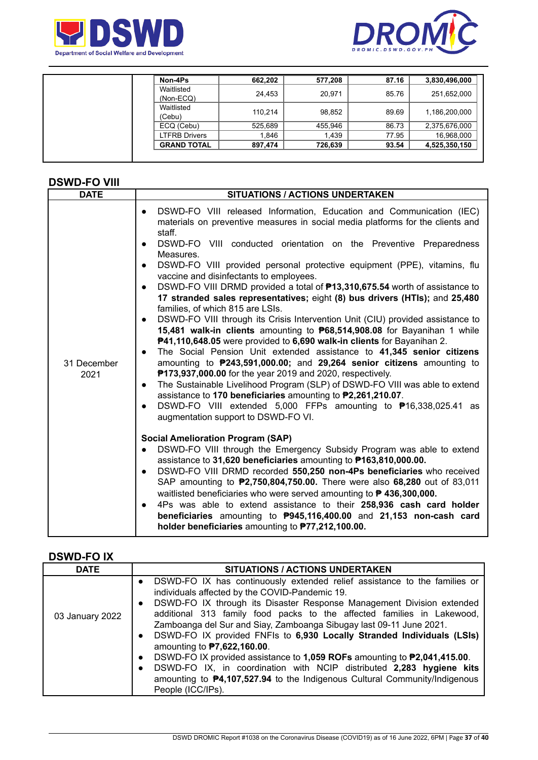



| Non-4Ps                   | 662,202 | 577,208 | 87.16 | 3,830,496,000 |
|---------------------------|---------|---------|-------|---------------|
| Waitlisted<br>$(Non-ECQ)$ | 24,453  | 20,971  | 85.76 | 251,652,000   |
| Waitlisted<br>(Cebu)      | 110.214 | 98,852  | 89.69 | 1,186,200,000 |
| ECQ (Cebu)                | 525,689 | 455,946 | 86.73 | 2,375,676,000 |
| <b>LTFRB Drivers</b>      | 1.846   | 1,439   | 77.95 | 16,968,000    |
| <b>GRAND TOTAL</b>        | 897.474 | 726,639 | 93.54 | 4,525,350,150 |

# **DSWD-FO VIII**

| <b>DATE</b>         | <b>SITUATIONS / ACTIONS UNDERTAKEN</b>                                                                                                                                                                                                                                                                                                                                                                                                                                                                                                                                                                                                                                                                                                                                                                                                                                                                                                                                                                                                                                                                                                                                                                                                                                                                                                                                                                                                                                                                                                                                                                                                                                                                                                                                                                                                                                                                                                                                                                                                                                                         |  |  |
|---------------------|------------------------------------------------------------------------------------------------------------------------------------------------------------------------------------------------------------------------------------------------------------------------------------------------------------------------------------------------------------------------------------------------------------------------------------------------------------------------------------------------------------------------------------------------------------------------------------------------------------------------------------------------------------------------------------------------------------------------------------------------------------------------------------------------------------------------------------------------------------------------------------------------------------------------------------------------------------------------------------------------------------------------------------------------------------------------------------------------------------------------------------------------------------------------------------------------------------------------------------------------------------------------------------------------------------------------------------------------------------------------------------------------------------------------------------------------------------------------------------------------------------------------------------------------------------------------------------------------------------------------------------------------------------------------------------------------------------------------------------------------------------------------------------------------------------------------------------------------------------------------------------------------------------------------------------------------------------------------------------------------------------------------------------------------------------------------------------------------|--|--|
| 31 December<br>2021 | DSWD-FO VIII released Information, Education and Communication (IEC)<br>$\bullet$<br>materials on preventive measures in social media platforms for the clients and<br>staff.<br>DSWD-FO VIII conducted orientation on the Preventive Preparedness<br>$\bullet$<br>Measures.<br>DSWD-FO VIII provided personal protective equipment (PPE), vitamins, flu<br>$\bullet$<br>vaccine and disinfectants to employees.<br>DSWD-FO VIII DRMD provided a total of <b>P13,310,675.54</b> worth of assistance to<br>$\bullet$<br>17 stranded sales representatives; eight (8) bus drivers (HTIs); and 25,480<br>families, of which 815 are LSIs.<br>DSWD-FO VIII through its Crisis Intervention Unit (CIU) provided assistance to<br>$\bullet$<br>15,481 walk-in clients amounting to P68,514,908.08 for Bayanihan 1 while<br>P41,110,648.05 were provided to 6,690 walk-in clients for Bayanihan 2.<br>The Social Pension Unit extended assistance to 41,345 senior citizens<br>amounting to P243,591,000.00; and 29,264 senior citizens amounting to<br><b>P173,937,000.00</b> for the year 2019 and 2020, respectively.<br>The Sustainable Livelihood Program (SLP) of DSWD-FO VIII was able to extend<br>$\bullet$<br>assistance to 170 beneficiaries amounting to P2,261,210.07.<br>DSWD-FO VIII extended 5,000 FFPs amounting to <sup>\$</sup> 16,338,025.41 as<br>$\bullet$<br>augmentation support to DSWD-FO VI.<br><b>Social Amelioration Program (SAP)</b><br>DSWD-FO VIII through the Emergency Subsidy Program was able to extend<br>$\bullet$<br>assistance to 31,620 beneficiaries amounting to P163,810,000.00.<br>DSWD-FO VIII DRMD recorded 550,250 non-4Ps beneficiaries who received<br>$\bullet$<br>SAP amounting to <b>P2,750,804,750.00.</b> There were also 68,280 out of 83,011<br>waitlisted beneficiaries who were served amounting to <b>P 436,300,000.</b><br>4Ps was able to extend assistance to their 258,936 cash card holder<br>$\bullet$<br>beneficiaries amounting to P945,116,400.00 and 21,153 non-cash card<br>holder beneficiaries amounting to P77,212,100.00. |  |  |

# **DSWD-FO IX**

| <b>DATE</b>     | <b>SITUATIONS / ACTIONS UNDERTAKEN</b>                                                                                                                                                                                                                                                                                                                                                                                                                                                                                                                                                                                                                                                                                                                                                           |
|-----------------|--------------------------------------------------------------------------------------------------------------------------------------------------------------------------------------------------------------------------------------------------------------------------------------------------------------------------------------------------------------------------------------------------------------------------------------------------------------------------------------------------------------------------------------------------------------------------------------------------------------------------------------------------------------------------------------------------------------------------------------------------------------------------------------------------|
| 03 January 2022 | DSWD-FO IX has continuously extended relief assistance to the families or<br>individuals affected by the COVID-Pandemic 19.<br>DSWD-FO IX through its Disaster Response Management Division extended<br>$\bullet$<br>additional 313 family food packs to the affected families in Lakewood,<br>Zamboanga del Sur and Siay, Zamboanga Sibugay last 09-11 June 2021.<br>DSWD-FO IX provided FNFIs to 6,930 Locally Stranded Individuals (LSIs)<br>$\bullet$<br>amounting to <b>P7,622,160.00</b> .<br>DSWD-FO IX provided assistance to 1,059 ROFs amounting to <b>₱2,041,415.00</b> .<br>$\bullet$<br>DSWD-FO IX, in coordination with NCIP distributed 2,283 hygiene kits<br>$\bullet$<br>amounting to <b>P4,107,527.94</b> to the Indigenous Cultural Community/Indigenous<br>People (ICC/IPs). |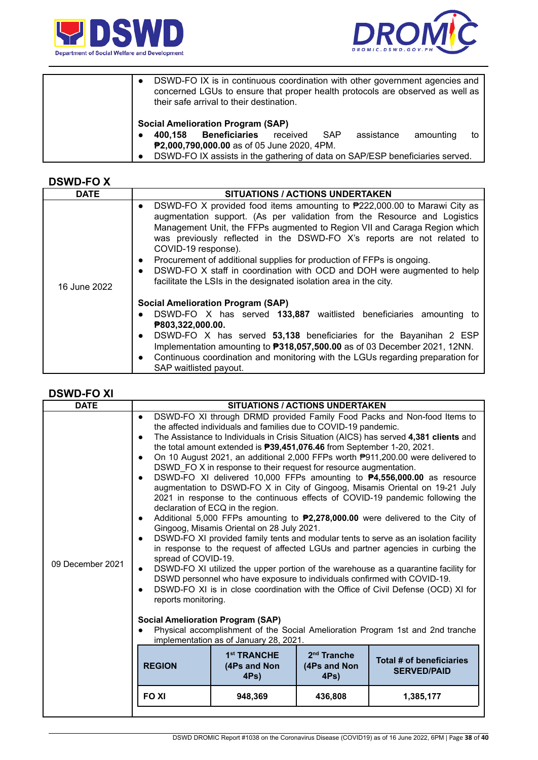



| $\bullet$<br>their safe arrival to their destination. | DSWD-FO IX is in continuous coordination with other government agencies and<br>concerned LGUs to ensure that proper health protocols are observed as well as |
|-------------------------------------------------------|--------------------------------------------------------------------------------------------------------------------------------------------------------------|
| <b>Social Amelioration Program (SAP)</b>              |                                                                                                                                                              |
| <b>Beneficiaries</b><br>received<br>400.158           | assistance<br>SAP<br>amounting<br>to                                                                                                                         |
| P2,000,790,000.00 as of 05 June 2020, 4PM.            |                                                                                                                                                              |
| $\bullet$                                             | DSWD-FO IX assists in the gathering of data on SAP/ESP beneficiaries served.                                                                                 |

#### **DSWD-FO X**

| <b>DATE</b>  | <b>SITUATIONS / ACTIONS UNDERTAKEN</b>                                                                                                                                                                                                                                                                                                                                                                                                                                                                                                                                                               |
|--------------|------------------------------------------------------------------------------------------------------------------------------------------------------------------------------------------------------------------------------------------------------------------------------------------------------------------------------------------------------------------------------------------------------------------------------------------------------------------------------------------------------------------------------------------------------------------------------------------------------|
| 16 June 2022 | DSWD-FO X provided food items amounting to $P222,000.00$ to Marawi City as<br>$\bullet$<br>augmentation support. (As per validation from the Resource and Logistics<br>Management Unit, the FFPs augmented to Region VII and Caraga Region which<br>was previously reflected in the DSWD-FO X's reports are not related to<br>COVID-19 response).<br>Procurement of additional supplies for production of FFPs is ongoing.<br>$\bullet$<br>DSWD-FO X staff in coordination with OCD and DOH were augmented to help<br>$\bullet$<br>facilitate the LSIs in the designated isolation area in the city. |
|              | <b>Social Amelioration Program (SAP)</b><br>DSWD-FO X has served 133,887 waitlisted beneficiaries amounting to<br>$\bullet$<br>₱803,322,000.00.<br>DSWD-FO X has served 53,138 beneficiaries for the Bayanihan 2 ESP<br>$\bullet$<br>Implementation amounting to <b>P318,057,500.00</b> as of 03 December 2021, 12NN.<br>Continuous coordination and monitoring with the LGUs regarding preparation for<br>$\bullet$<br>SAP waitlisted payout.                                                                                                                                                       |

### **DSWD-FO XI**

| <b>DATE</b>      |                                                                                                                                                                                                             |                                                                                                                                                                                                                                                                                                                                                                                                                                | <b>SITUATIONS / ACTIONS UNDERTAKEN</b> |                                                                                                                                                                                                                                                                                                                                                                                                                                                                                                                                                                                                                                                                                                                                                                                                                                                                                                                                                                                                                                           |
|------------------|-------------------------------------------------------------------------------------------------------------------------------------------------------------------------------------------------------------|--------------------------------------------------------------------------------------------------------------------------------------------------------------------------------------------------------------------------------------------------------------------------------------------------------------------------------------------------------------------------------------------------------------------------------|----------------------------------------|-------------------------------------------------------------------------------------------------------------------------------------------------------------------------------------------------------------------------------------------------------------------------------------------------------------------------------------------------------------------------------------------------------------------------------------------------------------------------------------------------------------------------------------------------------------------------------------------------------------------------------------------------------------------------------------------------------------------------------------------------------------------------------------------------------------------------------------------------------------------------------------------------------------------------------------------------------------------------------------------------------------------------------------------|
| 09 December 2021 | $\bullet$<br>$\bullet$<br>$\bullet$<br>$\bullet$<br>$\bullet$<br>$\bullet$<br>spread of COVID-19.<br>$\bullet$<br>$\bullet$<br>reports monitoring.<br><b>Social Amelioration Program (SAP)</b><br>$\bullet$ | the affected individuals and families due to COVID-19 pandemic.<br>the total amount extended is <b>P39,451,076.46</b> from September 1-20, 2021.<br>DSWD FO X in response to their request for resource augmentation.<br>declaration of ECQ in the region.<br>Gingoog, Misamis Oriental on 28 July 2021.<br>DSWD personnel who have exposure to individuals confirmed with COVID-19.<br>implementation as of January 28, 2021. |                                        | DSWD-FO XI through DRMD provided Family Food Packs and Non-food Items to<br>The Assistance to Individuals in Crisis Situation (AICS) has served 4,381 clients and<br>On 10 August 2021, an additional 2,000 FFPs worth P911,200.00 were delivered to<br>DSWD-FO XI delivered 10,000 FFPs amounting to <b>P4,556,000.00</b> as resource<br>augmentation to DSWD-FO X in City of Gingoog, Misamis Oriental on 19-21 July<br>2021 in response to the continuous effects of COVID-19 pandemic following the<br>Additional 5,000 FFPs amounting to <b>P2,278,000.00</b> were delivered to the City of<br>DSWD-FO XI provided family tents and modular tents to serve as an isolation facility<br>in response to the request of affected LGUs and partner agencies in curbing the<br>DSWD-FO XI utilized the upper portion of the warehouse as a quarantine facility for<br>DSWD-FO XI is in close coordination with the Office of Civil Defense (OCD) XI for<br>Physical accomplishment of the Social Amelioration Program 1st and 2nd tranche |
|                  | <b>REGION</b>                                                                                                                                                                                               | 1 <sup>st</sup> TRANCHE<br>(4Ps and Non<br>$4Ps$ )                                                                                                                                                                                                                                                                                                                                                                             | $2nd$ Tranche<br>(4Ps and Non<br>4Ps)  | Total # of beneficiaries<br><b>SERVED/PAID</b>                                                                                                                                                                                                                                                                                                                                                                                                                                                                                                                                                                                                                                                                                                                                                                                                                                                                                                                                                                                            |
|                  | <b>FOXI</b>                                                                                                                                                                                                 | 948,369                                                                                                                                                                                                                                                                                                                                                                                                                        | 436,808                                | 1,385,177                                                                                                                                                                                                                                                                                                                                                                                                                                                                                                                                                                                                                                                                                                                                                                                                                                                                                                                                                                                                                                 |
|                  |                                                                                                                                                                                                             |                                                                                                                                                                                                                                                                                                                                                                                                                                |                                        |                                                                                                                                                                                                                                                                                                                                                                                                                                                                                                                                                                                                                                                                                                                                                                                                                                                                                                                                                                                                                                           |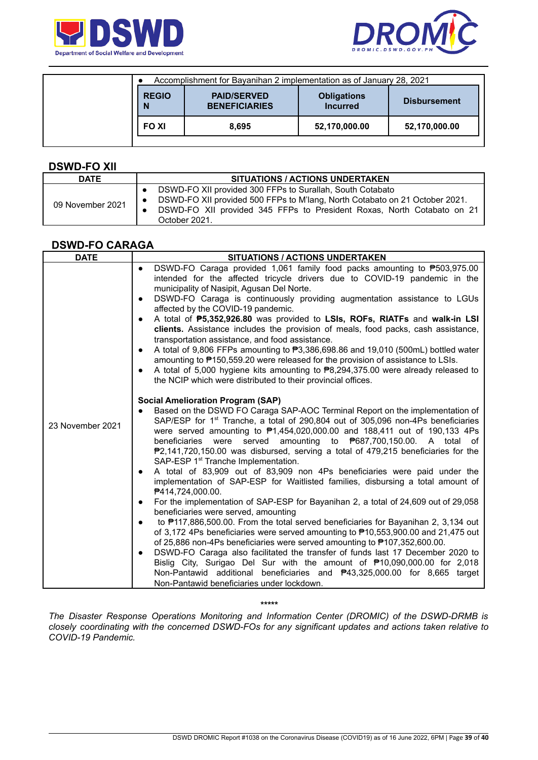



|                   | Accomplishment for Bayanihan 2 implementation as of January 28, 2021 |                                       |                     |
|-------------------|----------------------------------------------------------------------|---------------------------------------|---------------------|
| <b>REGIO</b><br>N | <b>PAID/SERVED</b><br><b>BENEFICIARIES</b>                           | <b>Obligations</b><br><b>Incurred</b> | <b>Disbursement</b> |
| <b>FOXI</b>       | 8.695                                                                | 52,170,000.00                         | 52,170,000.00       |

#### **DSWD-FO XII**

| <b>DATE</b>      | <b>SITUATIONS / ACTIONS UNDERTAKEN</b>                                                                                                                                                                                              |
|------------------|-------------------------------------------------------------------------------------------------------------------------------------------------------------------------------------------------------------------------------------|
| 09 November 2021 | DSWD-FO XII provided 300 FFPs to Surallah, South Cotabato<br>DSWD-FO XII provided 500 FFPs to M'lang, North Cotabato on 21 October 2021.<br>DSWD-FO XII provided 345 FFPs to President Roxas, North Cotabato on 21<br>October 2021. |

### **DSWD-FO CARAGA**

| <b>DATE</b>      | <b>SITUATIONS / ACTIONS UNDERTAKEN</b>                                                                                                                                                                                                                                                                                                                                                                                                                                                                                                                                                                                                                                                                                                                                                                                                                                                                                                                                                                                                                                                                                                                                                                                                                                                                                                                                                                                                                                  |
|------------------|-------------------------------------------------------------------------------------------------------------------------------------------------------------------------------------------------------------------------------------------------------------------------------------------------------------------------------------------------------------------------------------------------------------------------------------------------------------------------------------------------------------------------------------------------------------------------------------------------------------------------------------------------------------------------------------------------------------------------------------------------------------------------------------------------------------------------------------------------------------------------------------------------------------------------------------------------------------------------------------------------------------------------------------------------------------------------------------------------------------------------------------------------------------------------------------------------------------------------------------------------------------------------------------------------------------------------------------------------------------------------------------------------------------------------------------------------------------------------|
|                  | DSWD-FO Caraga provided 1,061 family food packs amounting to ₱503,975.00<br>$\bullet$<br>intended for the affected tricycle drivers due to COVID-19 pandemic in the<br>municipality of Nasipit, Agusan Del Norte.<br>DSWD-FO Caraga is continuously providing augmentation assistance to LGUs<br>$\bullet$<br>affected by the COVID-19 pandemic.<br>A total of P5,352,926.80 was provided to LSIs, ROFs, RIATFs and walk-in LSI<br>$\bullet$<br>clients. Assistance includes the provision of meals, food packs, cash assistance,<br>transportation assistance, and food assistance.<br>A total of 9,806 FFPs amounting to ₱3,386,698.86 and 19,010 (500mL) bottled water<br>$\bullet$<br>amounting to P150,559.20 were released for the provision of assistance to LSIs.<br>A total of 5,000 hygiene kits amounting to $\overline{P8,294,375.00}$ were already released to<br>$\bullet$<br>the NCIP which were distributed to their provincial offices.                                                                                                                                                                                                                                                                                                                                                                                                                                                                                                                |
| 23 November 2021 | <b>Social Amelioration Program (SAP)</b><br>Based on the DSWD FO Caraga SAP-AOC Terminal Report on the implementation of<br>SAP/ESP for 1 <sup>st</sup> Tranche, a total of 290,804 out of 305,096 non-4Ps beneficiaries<br>were served amounting to $\overline{P}1,454,020,000.00$ and 188,411 out of 190,133 4Ps<br>beneficiaries were served amounting to P687,700,150.00. A total of<br>$P2,141,720,150.00$ was disbursed, serving a total of 479,215 beneficiaries for the<br>SAP-ESP 1 <sup>st</sup> Tranche Implementation.<br>A total of 83,909 out of 83,909 non 4Ps beneficiaries were paid under the<br>$\bullet$<br>implementation of SAP-ESP for Waitlisted families, disbursing a total amount of<br><b>₱414,724,000.00.</b><br>For the implementation of SAP-ESP for Bayanihan 2, a total of 24,609 out of 29,058<br>$\bullet$<br>beneficiaries were served, amounting<br>to #117,886,500.00. From the total served beneficiaries for Bayanihan 2, 3,134 out<br>$\bullet$<br>of 3,172 4Ps beneficiaries were served amounting to ₱10,553,900.00 and 21,475 out<br>of 25,886 non-4Ps beneficiaries were served amounting to P107,352,600.00.<br>DSWD-FO Caraga also facilitated the transfer of funds last 17 December 2020 to<br>$\bullet$<br>Bislig City, Surigao Del Sur with the amount of ₱10,090,000.00 for 2,018<br>Non-Pantawid additional beneficiaries and <b>₱43,325,000.00</b> for 8,665 target<br>Non-Pantawid beneficiaries under lockdown. |

*\*\*\*\*\**

*The Disaster Response Operations Monitoring and Information Center (DROMIC) of the DSWD-DRMB is closely coordinating with the concerned DSWD-FOs for any significant updates and actions taken relative to COVID-19 Pandemic.*